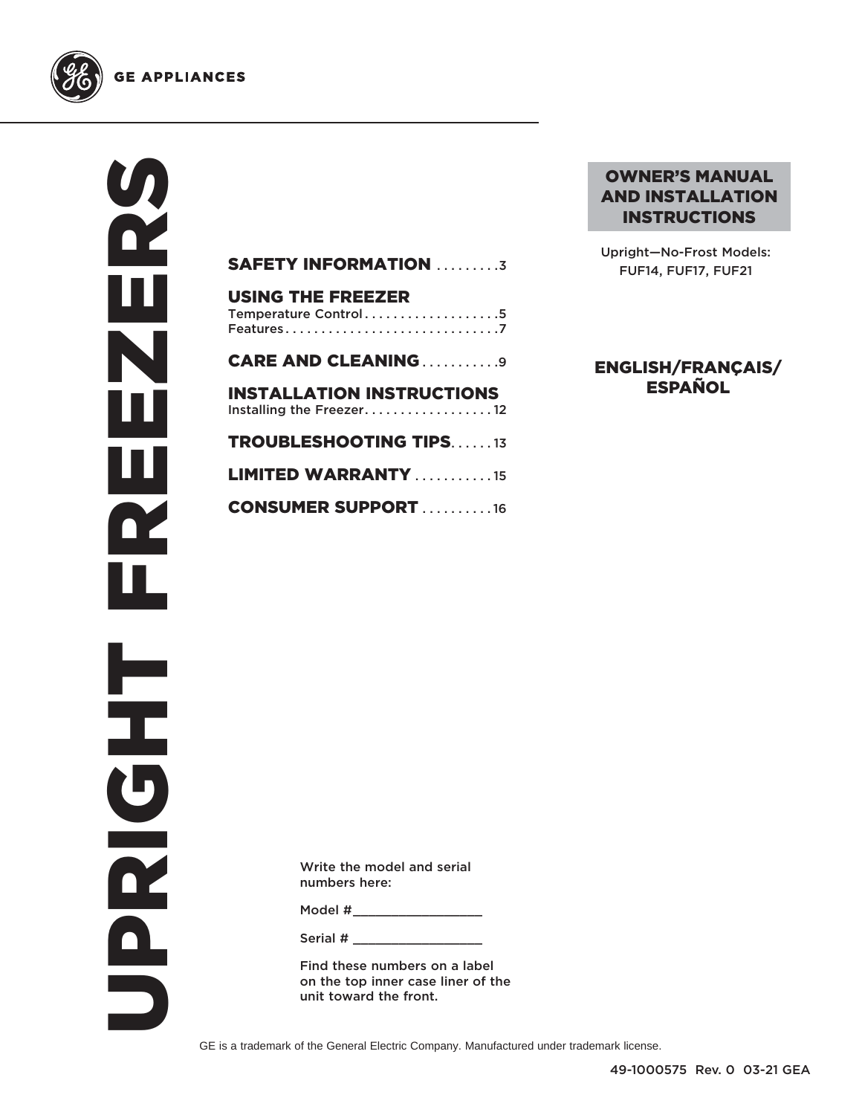

**GE APPLIANCES** 

ORRENENENENES DZ<br>... π N Ш Щ R HPNS

| <b>SAFETY INFORMATION 3</b>                                    |
|----------------------------------------------------------------|
| <b>USING THE FREEZER</b><br>Temperature Control5               |
| <b>CARE AND CLEANING9</b>                                      |
| <b>INSTALLATION INSTRUCTIONS</b><br>Installing the Freezer. 12 |
| <b>TROUBLESHOOTING TIPS.</b> 13                                |
| <b>LIMITED WARRANTY</b> 15                                     |
| <b>CONSUMER SUPPORT</b> 16                                     |
|                                                                |

## OWNER'S MANUAL AND INSTALLATION INSTRUCTIONS

Upright—No-Frost Models: FUF14, FUF17, FUF21

## ENGLISH/FRANÇAIS/ ESPAÑOL

Write the model and serial numbers here:

Model #  $\blacksquare$ 

Serial #

Find these numbers on a label on the top inner case liner of the unit toward the front.

GE is a trademark of the General Electric Company. Manufactured under trademark license.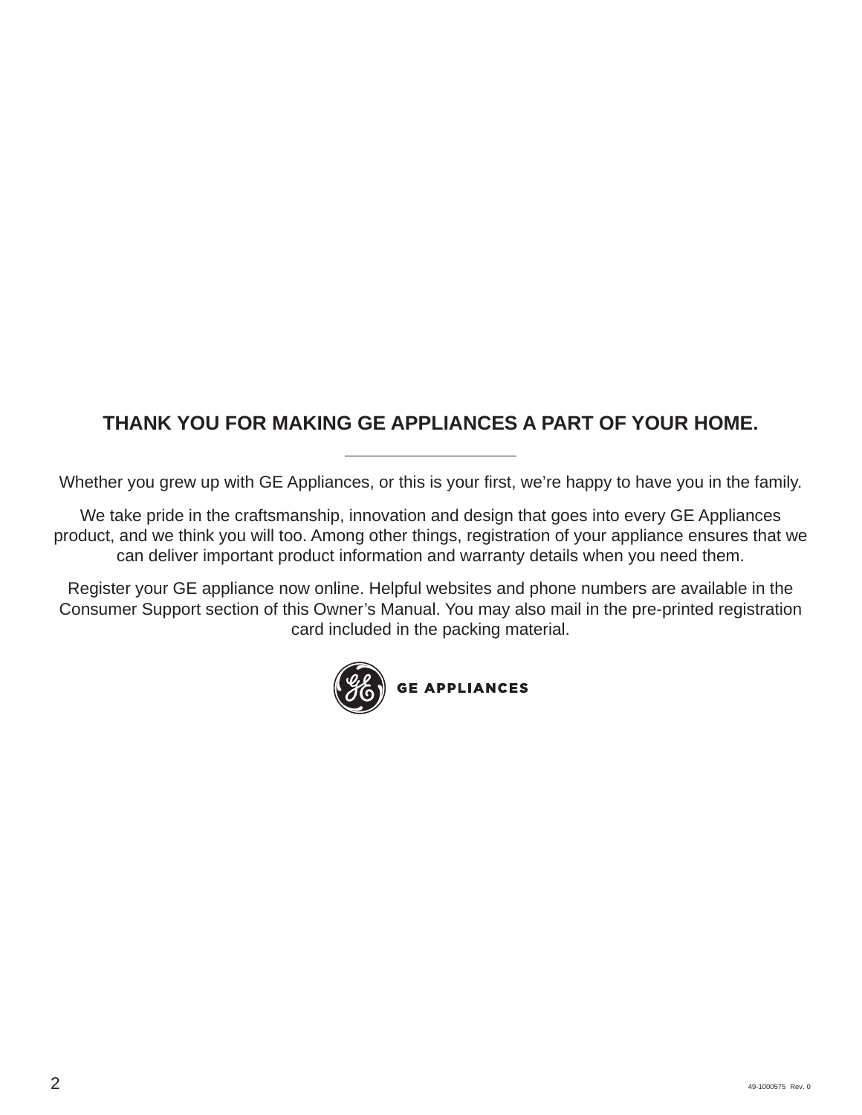# **THANK YOU FOR MAKING GE APPLIANCES A PART OF YOUR HOME.**

Whether you grew up with GE Appliances, or this is your first, we're happy to have you in the family.

We take pride in the craftsmanship, innovation and design that goes into every GE Appliances product, and we think you will too. Among other things, registration of your appliance ensures that we can deliver important product information and warranty details when you need them.

Register your GE appliance now online. Helpful websites and phone numbers are available in the Consumer Support section of this Owner's Manual. You may also mail in the pre-printed registration card included in the packing material.

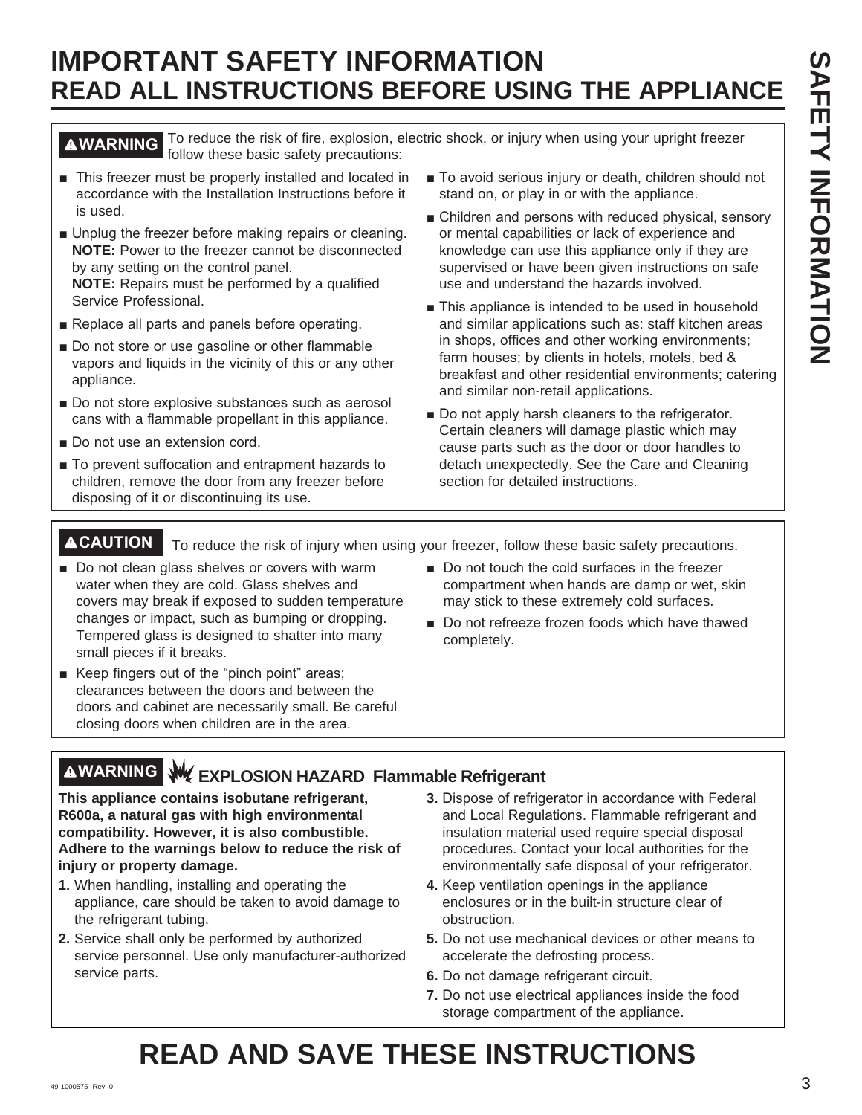# **IMPORTANT SAFETY INFORMATION READ ALL INSTRUCTIONS BEFORE USING THE APPLIANCE**

**AWARNING** To reduce the risk of fire, explosion, electric shock, or injury when using your upright freezer follow these basic safety precautions:

- This freezer must be properly installed and located in accordance with the Installation Instructions before it is used.
- Unplug the freezer before making repairs or cleaning. **NOTE:** Power to the freezer cannot be disconnected by any setting on the control panel.

**NOTE:** Repairs must be performed by a qualified Service Professional.

- Replace all parts and panels before operating.
- Do not store or use gasoline or other flammable vapors and liquids in the vicinity of this or any other appliance.
- Do not store explosive substances such as aerosol cans with a flammable propellant in this appliance.
- Do not use an extension cord.
- To prevent suffocation and entrapment hazards to children, remove the door from any freezer before disposing of it or discontinuing its use.
- To avoid serious injury or death, children should not stand on, or play in or with the appliance.
- Children and persons with reduced physical, sensory or mental capabilities or lack of experience and knowledge can use this appliance only if they are supervised or have been given instructions on safe use and understand the hazards involved.
- This appliance is intended to be used in household and similar applications such as: staff kitchen areas in shops, offices and other working environments; farm houses; by clients in hotels, motels, bed  $\&$ breakfast and other residential environments; catering and similar non-retail applications.
- Do not apply harsh cleaners to the refrigerator. Certain cleaners will damage plastic which may cause parts such as the door or door handles to detach unexpectedly. See the Care and Cleaning section for detailed instructions.

**ACAUTION** To reduce the risk of injury when using your freezer, follow these basic safety precautions.

- Do not clean glass shelves or covers with warm water when they are cold. Glass shelves and covers may break if exposed to sudden temperature changes or impact, such as bumping or dropping. Tempered glass is designed to shatter into many small pieces if it breaks.
- Keep fingers out of the "pinch point" areas; clearances between the doors and between the doors and cabinet are necessarily small. Be careful closing doors when children are in the area.
- Do not touch the cold surfaces in the freezer compartment when hands are damp or wet, skin may stick to these extremely cold surfaces.
- Do not refreeze frozen foods which have thawed completely.
- **WARNING EXPLOSION HAZARD Flammable Refrigerant**

**This appliance contains isobutane refrigerant, R600a, a natural gas with high environmental compatibility. However, it is also combustible. Adhere to the warnings below to reduce the risk of injury or property damage.**

- **1.** When handling, installing and operating the appliance, care should be taken to avoid damage to the refrigerant tubing.
- **2.** Service shall only be performed by authorized service personnel. Use only manufacturer-authorized service parts.
- **3.** Dispose of refrigerator in accordance with Federal and Local Regulations. Flammable refrigerant and insulation material used require special disposal procedures. Contact your local authorities for the environmentally safe disposal of your refrigerator.
- **4.** Keep ventilation openings in the appliance enclosures or in the built-in structure clear of obstruction.
- **5.** Do not use mechanical devices or other means to accelerate the defrosting process.
- **6.** Do not damage refrigerant circuit.
- **7.** Do not use electrical appliances inside the food storage compartment of the appliance.

# **READ AND SAVE THESE INSTRUCTIONS**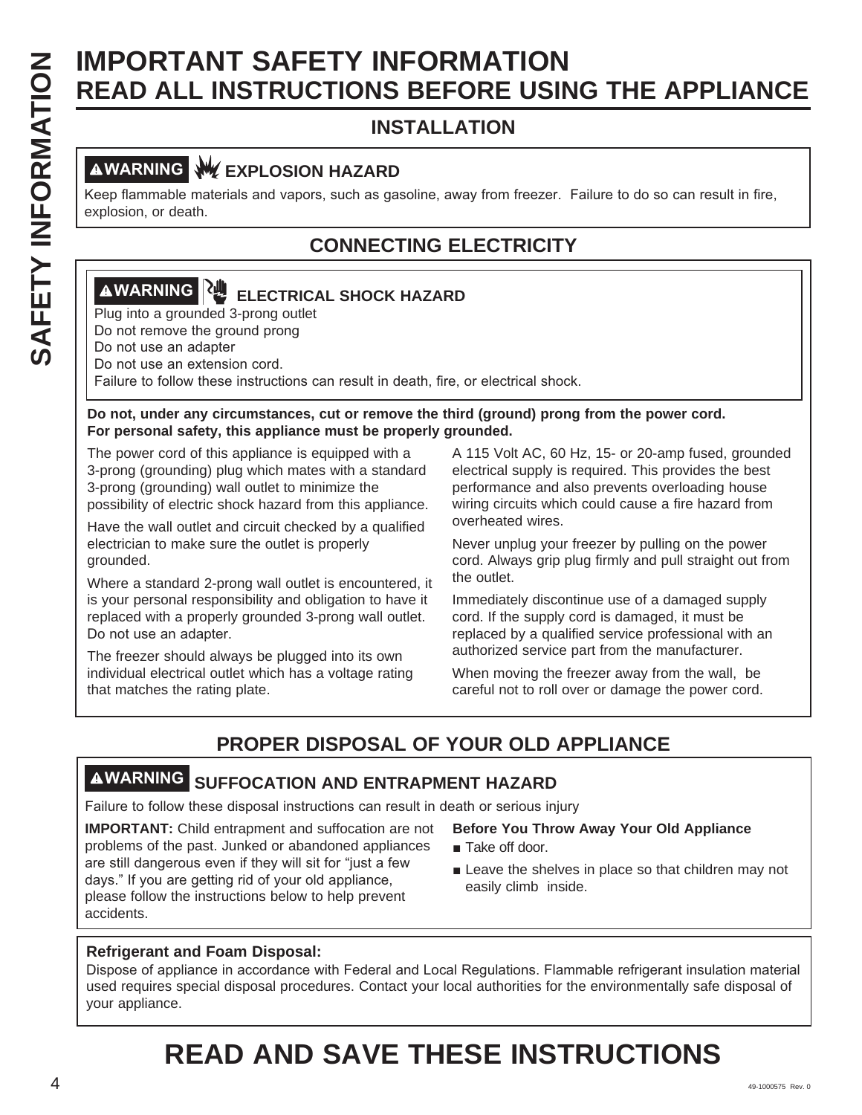# **SAFETY INFORMATION<br>
SEAD ALL INSTRUCTIONS BEFORE USIN<br>
INSTALLATION<br>
IMPORTANT (WEXPLOSION HAZARD<br>
INSTALLATION<br>
IMPORTANT (NEXPLOSION HAZARD<br>
EXPLOSION HAZARD<br>
CONNECTING ELECTRICITY<br>
IMPORTANT (Plug into a grounded 3-pr READ ALL INSTRUCTIONS BEFORE USING THE APPLIANCE**

# **INSTALLATION**

# **AWARNING WEXPLOSION HAZARD**

Keep flammable materials and vapors, such as gasoline, away from freezer. Failure to do so can result in fire, explosion, or death.

# **CONNECTING ELECTRICITY**

# **AWARNING RUP ELECTRICAL SHOCK HAZARD**

Plug into a grounded 3-prong outlet Do not remove the ground prong

Do not use an adapter

Do not use an extension cord.

Failure to follow these instructions can result in death, fire, or electrical shock.

## **Do not, under any circumstances, cut or remove the third (ground) prong from the power cord. For personal safety, this appliance must be properly grounded.**

The power cord of this appliance is equipped with a 3-prong (grounding) plug which mates with a standard 3-prong (grounding) wall outlet to minimize the possibility of electric shock hazard from this appliance.

Have the wall outlet and circuit checked by a qualified electrician to make sure the outlet is properly grounded.

Where a standard 2-prong wall outlet is encountered, it is your personal responsibility and obligation to have it replaced with a properly grounded 3-prong wall outlet. Do not use an adapter.

The freezer should always be plugged into its own individual electrical outlet which has a voltage rating that matches the rating plate.

A 115 Volt AC, 60 Hz, 15- or 20-amp fused, grounded electrical supply is required. This provides the best performance and also prevents overloading house wiring circuits which could cause a fire hazard from overheated wires.

Never unplug your freezer by pulling on the power cord. Always grip plug firmly and pull straight out from the outlet.

Immediately discontinue use of a damaged supply cord. If the supply cord is damaged, it must be replaced by a qualified service professional with an authorized service part from the manufacturer.

When moving the freezer away from the wall, be careful not to roll over or damage the power cord.

# **PROPER DISPOSAL OF YOUR OLD APPLIANCE**

# **WARNING SUFFOCATION AND ENTRAPMENT HAZARD**

Failure to follow these disposal instructions can result in death or serious injury

**IMPORTANT:** Child entrapment and suffocation are not problems of the past. Junked or abandoned appliances are still dangerous even if they will sit for "just a few days." If you are getting rid of your old appliance, please follow the instructions below to help prevent accidents.

## **Before You Throw Away Your Old Appliance**

- $\blacksquare$  Take off door.
- $\blacksquare$  Leave the shelves in place so that children may not easily climb inside.

## **Refrigerant and Foam Disposal:**

Dispose of appliance in accordance with Federal and Local Regulations. Flammable refrigerant insulation material used requires special disposal procedures. Contact your local authorities for the environmentally safe disposal of your appliance.

# **READ AND SAVE THESE INSTRUCTIONS**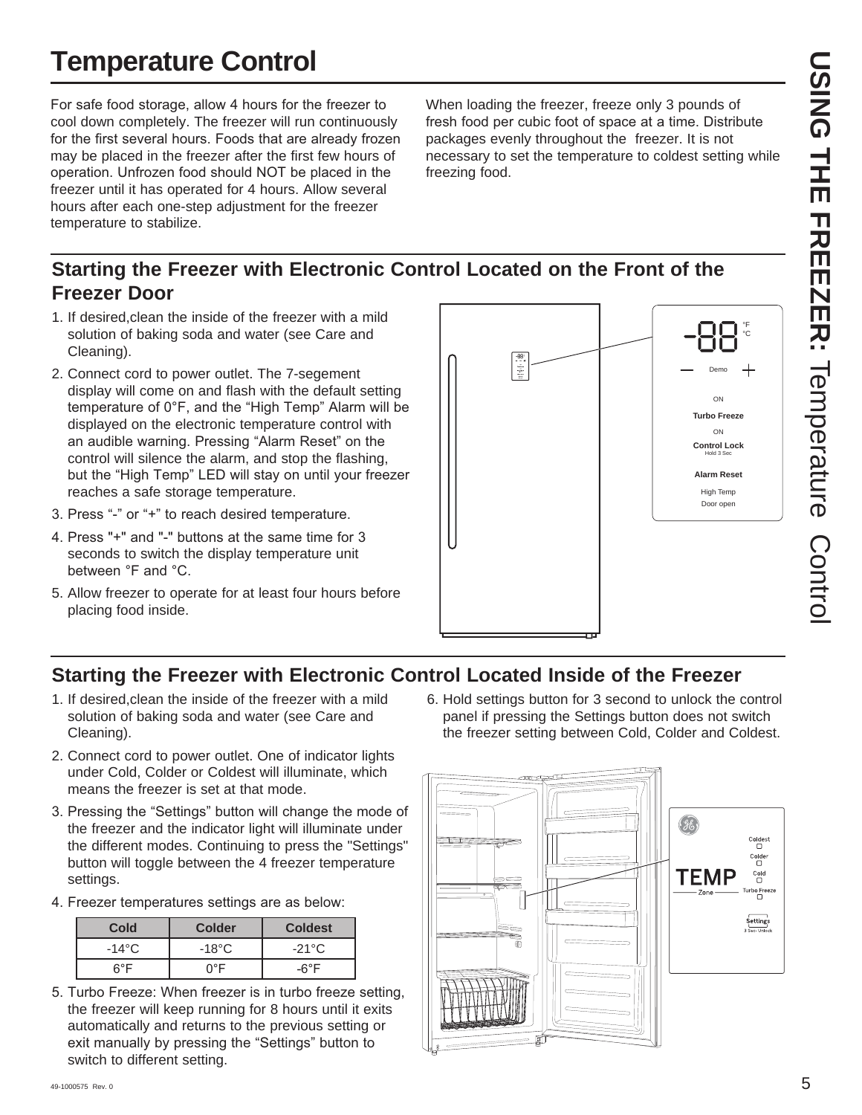# **Temperature Control**

For safe food storage, allow 4 hours for the freezer to cool down completely. The freezer will run continuously for the first several hours. Foods that are already frozen may be placed in the freezer after the first few hours of operation. Unfrozen food should NOT be placed in the freezer until it has operated for 4 hours. Allow several hours after each one-step adjustment for the freezer temperature to stabilize.

When loading the freezer, freeze only 3 pounds of fresh food per cubic foot of space at a time. Distribute packages evenly throughout the freezer. It is not necessary to set the temperature to coldest setting while freezing food.

# **Starting the Freezer with Electronic Control Located on the Front of the Freezer Door**

- 1. If desired,clean the inside of the freezer with a mild solution of baking soda and water (see Care and Cleaning).
- 2. Connect cord to power outlet. The 7-segement display will come on and flash with the default setting temperature of  $0^{\circ}F$ , and the "High Temp" Alarm will be displayed on the electronic temperature control with an audible warning. Pressing "Alarm Reset" on the control will silence the alarm, and stop the flashing, but the "High Temp" LED will stay on until your freezer reaches a safe storage temperature.
- 3. Press "-" or "+" to reach desired temperature.
- 4. Press "+" and "-" buttons at the same time for 3 seconds to switch the display temperature unit between °F and °C.
- 5. Allow freezer to operate for at least four hours before placing food inside.





# **Starting the Freezer with Electronic Control Located Inside of the Freezer**

- 1. If desired,clean the inside of the freezer with a mild solution of baking soda and water (see Care and Cleaning).
- 2. Connect cord to power outlet. One of indicator lights under Cold, Colder or Coldest will illuminate, which means the freezer is set at that mode.
- 3. Pressing the "Settings" button will change the mode of the freezer and the indicator light will illuminate under the different modes. Continuing to press the "Settings" button will toggle between the 4 freezer temperature settings.
- 4. Freezer temperatures settings are as below:

| Cold  | <b>Colder</b>   | <b>Coldest</b>  |
|-------|-----------------|-----------------|
| -14°C | $-18^{\circ}$ C | $-21^{\circ}$ C |
| ନ°F   | ∩°F             | -6°F            |

5. Turbo Freeze: When freezer is in turbo freeze setting. the freezer will keep running for 8 hours until it exits automatically and returns to the previous setting or exit manually by pressing the "Settings" button to switch to different setting.

6. Hold settings button for 3 second to unlock the control panel if pressing the Settings button does not switch the freezer setting between Cold, Colder and Coldest.

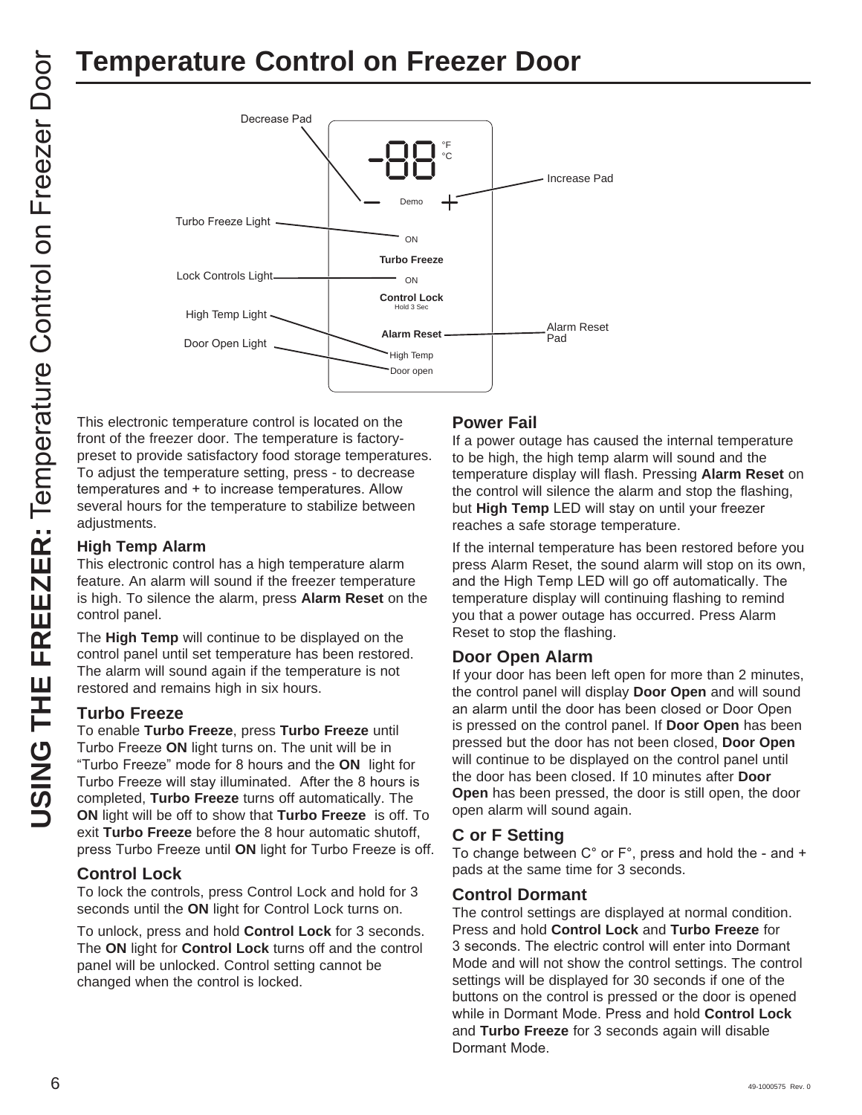# **Temperature Control on Freezer Door**



front of the freezer door. The temperature is factorypreset to provide satisfactory food storage temperatures. To adjust the temperature setting, press - to decrease temperatures and + to increase temperatures. Allow several hours for the temperature to stabilize between adjustments.

## **High Temp Alarm**

This electronic control has a high temperature alarm feature. An alarm will sound if the freezer temperature is high. To silence the alarm, press **Alarm Reset** on the control panel.

The **High Temp** will continue to be displayed on the control panel until set temperature has been restored. The alarm will sound again if the temperature is not restored and remains high in six hours.

## **Turbo Freeze**

To enable **Turbo Freeze**, press **Turbo Freeze** until Turbo Freeze ON light turns on. The unit will be in "Turbo Freeze" mode for 8 hours and the ON light for Turbo Freeze will stay illuminated. After the 8 hours is completed, **Turbo Freeze** turns off automatically. The **ON** light will be off to show that **Turbo Freeze** is off. To exit **Turbo Freeze** before the 8 hour automatic shutoff, press Turbo Freeze until ON light for Turbo Freeze is off.

## **Control Lock**

To lock the controls, press Control Lock and hold for 3 seconds until the **ON** light for Control Lock turns on.

To unlock, press and hold **Control Lock** for 3 seconds. The **ON** light for **Control Lock** turns off and the control panel will be unlocked. Control setting cannot be changed when the control is locked.

## **Power Fail**

If a power outage has caused the internal temperature to be high, the high temp alarm will sound and the temperature display will flash. Pressing **Alarm Reset** on the control will silence the alarm and stop the flashing, but **High Temp** LED will stay on until your freezer reaches a safe storage temperature.

If the internal temperature has been restored before you press Alarm Reset, the sound alarm will stop on its own, and the High Temp LED will go off automatically. The temperature display will continuing flashing to remind you that a power outage has occurred. Press Alarm Reset to stop the flashing.

## **Door Open Alarm**

If your door has been left open for more than 2 minutes, the control panel will display **Door Open** and will sound an alarm until the door has been closed or Door Open is pressed on the control panel. If **Door Open** has been pressed but the door has not been closed, **Door Open** will continue to be displayed on the control panel until the door has been closed. If 10 minutes after **Door Open** has been pressed, the door is still open, the door open alarm will sound again.

## **C or F Setting**

To change between  $C^{\circ}$  or  $F^{\circ}$ , press and hold the - and + pads at the same time for 3 seconds.

## **Control Dormant**

The control settings are displayed at normal condition. Press and hold **Control Lock** and **Turbo Freeze** for 3 seconds. The electric control will enter into Dormant Mode and will not show the control settings. The control settings will be displayed for 30 seconds if one of the buttons on the control is pressed or the door is opened while in Dormant Mode. Press and hold **Control Lock** and **Turbo Freeze** for 3 seconds again will disable Dormant Mode.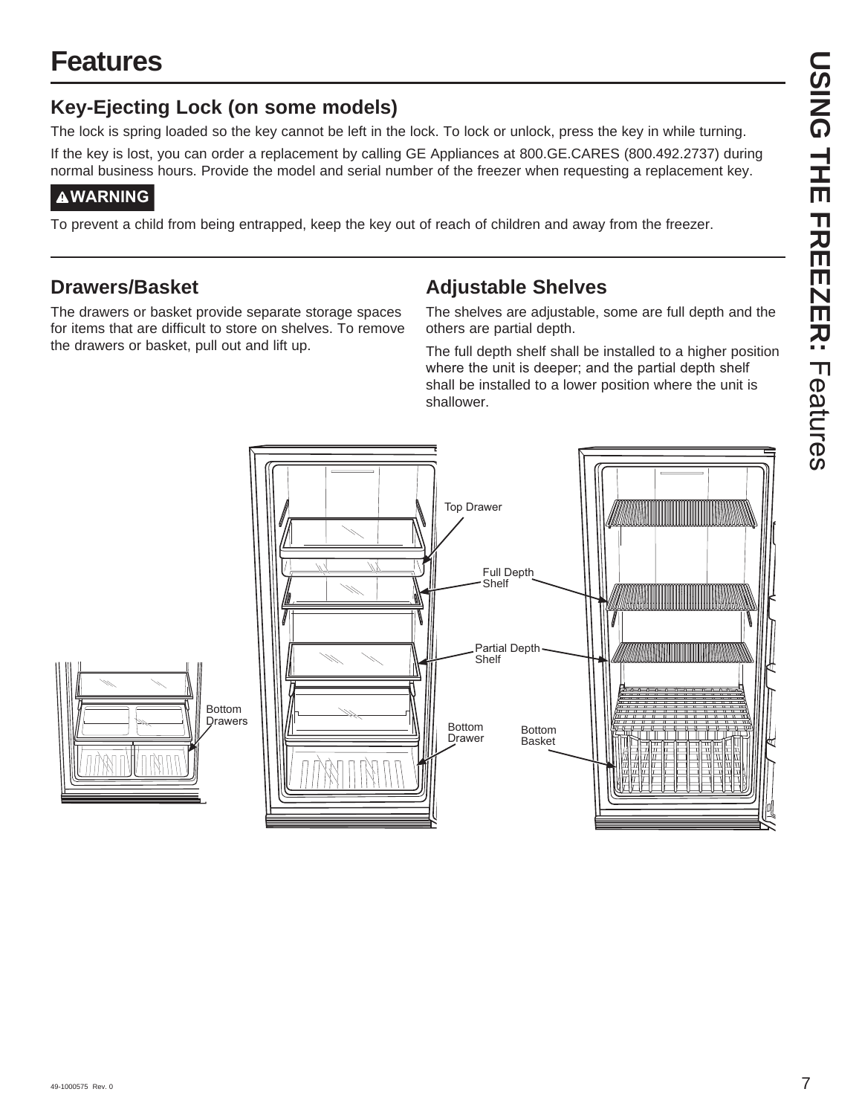# **Features**

# **Key-Ejecting Lock (on some models)**

The lock is spring loaded so the key cannot be left in the lock. To lock or unlock, press the key in while turning.

If the key is lost, you can order a replacement by calling GE Appliances at 800.GE.CARES (800.492.2737) during normal business hours. Provide the model and serial number of the freezer when requesting a replacement key.

# **WARNING**

To prevent a child from being entrapped, keep the key out of reach of children and away from the freezer.

# **Drawers/Basket**

The drawers or basket provide separate storage spaces for items that are difficult to store on shelves. To remove the drawers or basket, pull out and lift up.

# **Adjustable Shelves**

The shelves are adjustable, some are full depth and the others are partial depth.

The full depth shelf shall be installed to a higher position where the unit is deeper; and the partial depth shelf shall be installed to a lower position where the unit is shallower.

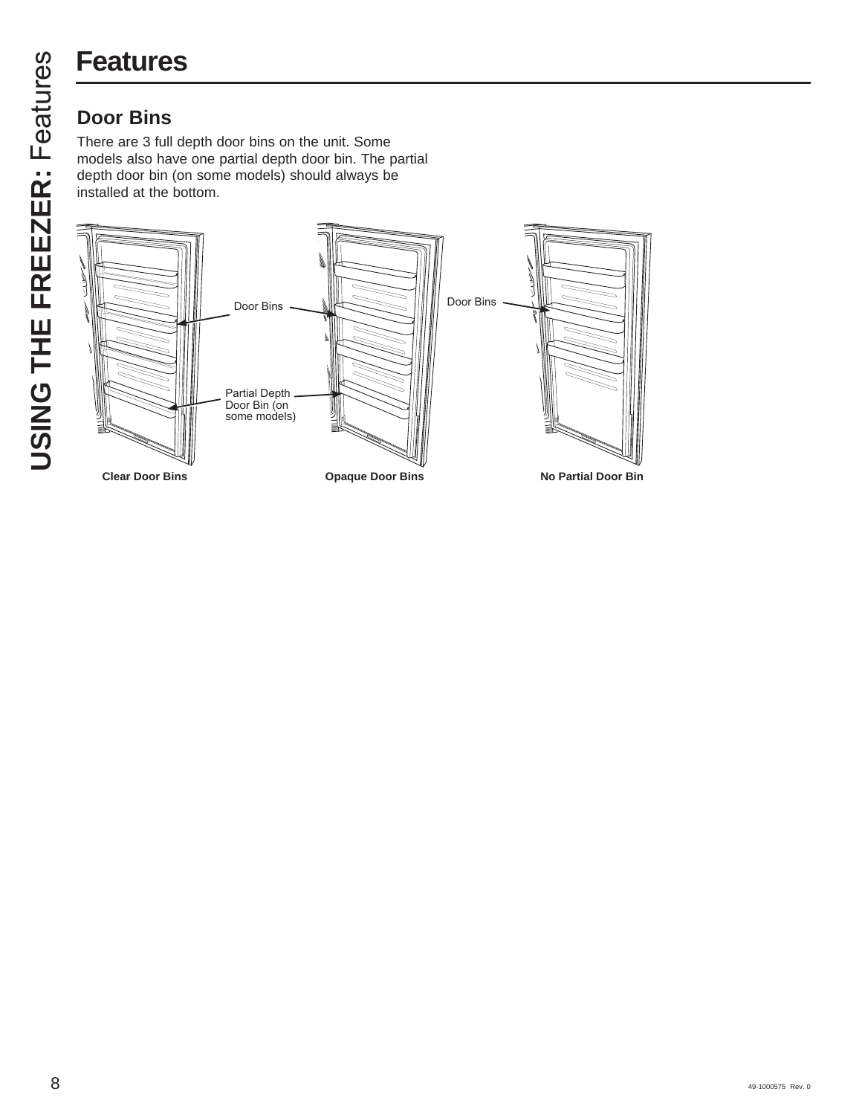# **Features**

There are 3 full depth door bins on the unit. Some models also have one partial depth door bin. The partial depth door bin (on some models) should always be installed at the bottom.

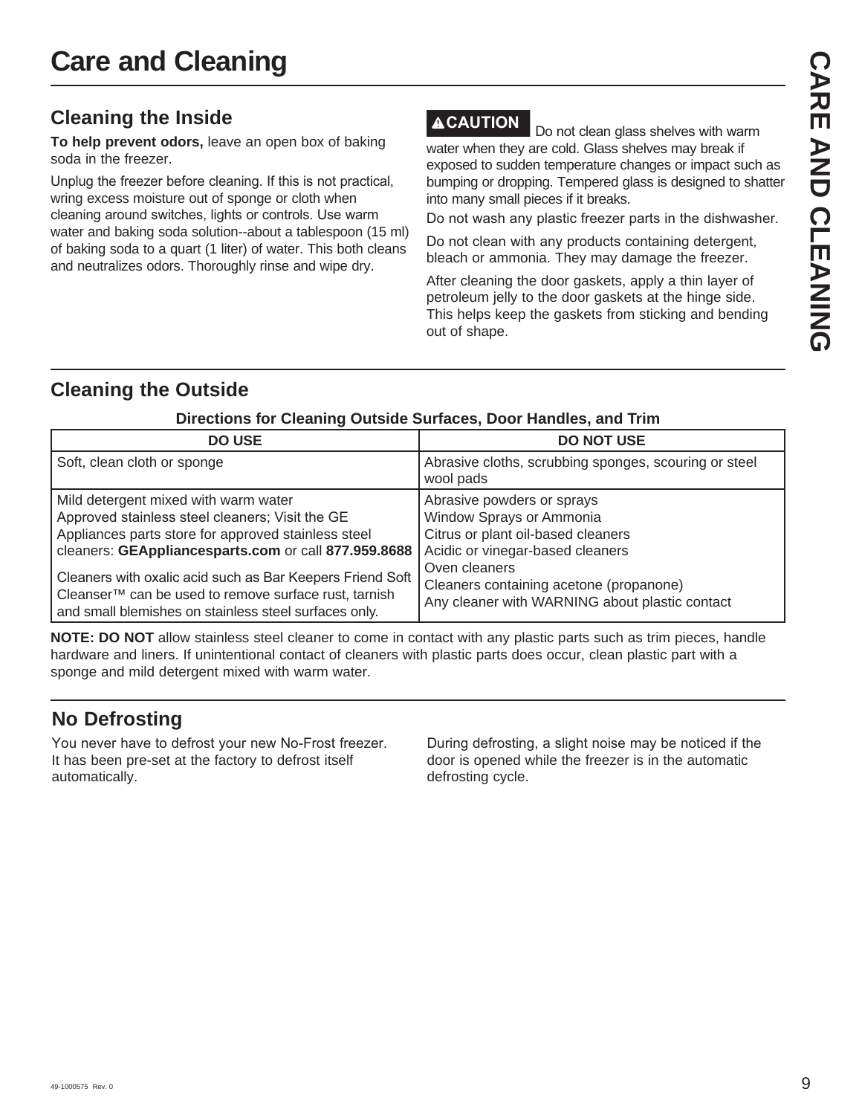# **Cleaning the Inside**

**To help prevent odors,** leave an open box of baking soda in the freezer.

Unplug the freezer before cleaning. If this is not practical, wring excess moisture out of sponge or cloth when cleaning around switches, lights or controls. Use warm water and baking soda solution--about a tablespoon (15 ml) of baking soda to a quart (1 liter) of water. This both cleans and neutralizes odors. Thoroughly rinse and wipe dry.

**ACAUTION** Do not clean glass shelves with warm water when they are cold. Glass shelves may break if exposed to sudden temperature changes or impact such as bumping or dropping. Tempered glass is designed to shatter into many small pieces if it breaks.

Do not wash any plastic freezer parts in the dishwasher.

Do not clean with any products containing detergent, bleach or ammonia. They may damage the freezer.

After cleaning the door gaskets, apply a thin layer of petroleum jelly to the door gaskets at the hinge side. This helps keep the gaskets from sticking and bending out of shape.

# **Cleaning the Outside**

| <b>DO USE</b>                                                                                                                                                                                                                                                                                                                                                                         | <b>DO NOT USE</b>                                                                                                                                                                                                                              |
|---------------------------------------------------------------------------------------------------------------------------------------------------------------------------------------------------------------------------------------------------------------------------------------------------------------------------------------------------------------------------------------|------------------------------------------------------------------------------------------------------------------------------------------------------------------------------------------------------------------------------------------------|
| Soft, clean cloth or sponge                                                                                                                                                                                                                                                                                                                                                           | Abrasive cloths, scrubbing sponges, scouring or steel<br>wool pads                                                                                                                                                                             |
| Mild detergent mixed with warm water<br>Approved stainless steel cleaners; Visit the GE<br>Appliances parts store for approved stainless steel<br>cleaners: GEAppliancesparts.com or call 877.959.8688<br>Cleaners with oxalic acid such as Bar Keepers Friend Soft<br>Cleanser™ can be used to remove surface rust, tarnish<br>and small blemishes on stainless steel surfaces only. | Abrasive powders or sprays<br>Window Sprays or Ammonia<br>Citrus or plant oil-based cleaners<br>Acidic or vinegar-based cleaners<br>Oven cleaners<br>Cleaners containing acetone (propanone)<br>Any cleaner with WARNING about plastic contact |

## **Directions for Cleaning Outside Surfaces, Door Handles, and Trim**

**NOTE: DO NOT** allow stainless steel cleaner to come in contact with any plastic parts such as trim pieces, handle hardware and liners. If unintentional contact of cleaners with plastic parts does occur, clean plastic part with a sponge and mild detergent mixed with warm water.

# **No Defrosting**

You never have to defrost your new No-Frost freezer. It has been pre-set at the factory to defrost itself automatically.

During defrosting, a slight noise may be noticed if the door is opened while the freezer is in the automatic defrosting cycle.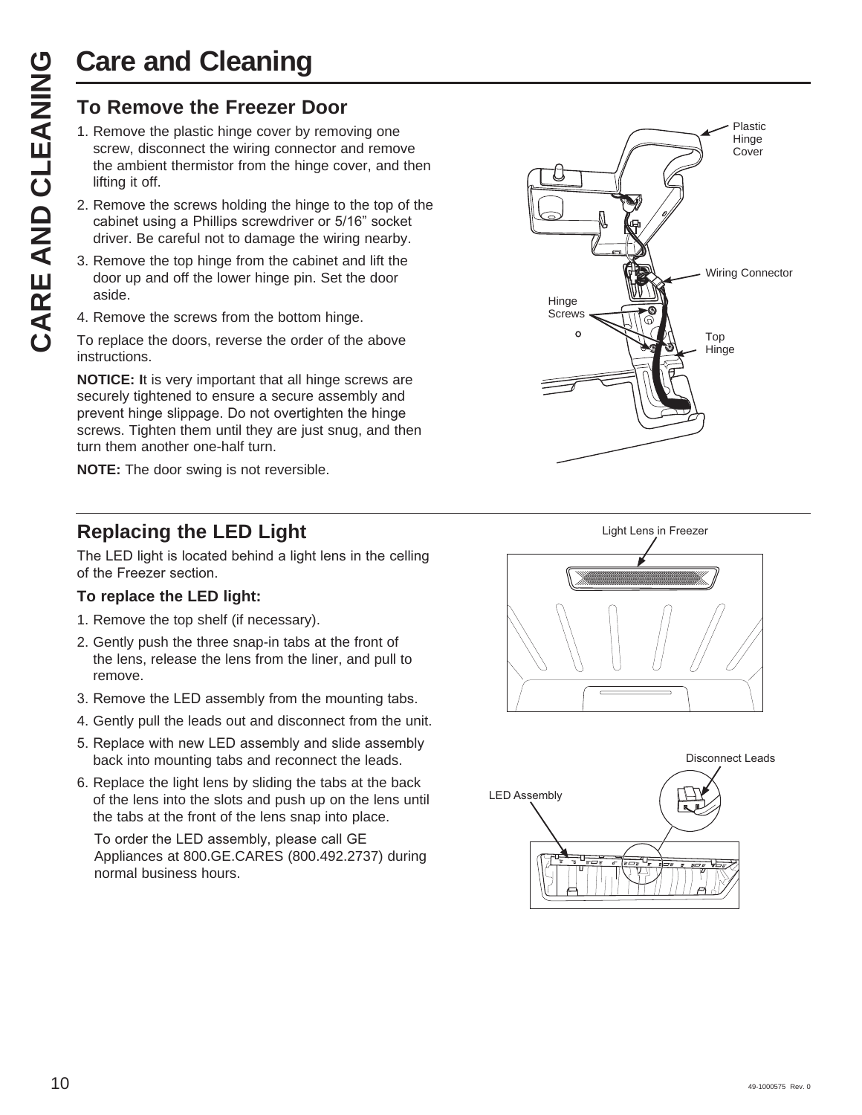# **Care and Cleaning**

- Care and Cleaning<br>
To Remove the Freezer Door<br>
1. Remove the plastic hinge cover by removative critical termistor from the hinge connector a<br>
lifting it off.<br>
2. Remove the screws holding the hinge to<br>
cabinet using a Phil 1. Remove the plastic hinge cover by removing one screw, disconnect the wiring connector and remove the ambient thermistor from the hinge cover, and then lifting it off.
	- 2. Remove the screws holding the hinge to the top of the cabinet using a Phillips screwdriver or 5/16" socket driver. Be careful not to damage the wiring nearby.
	- 3. Remove the top hinge from the cabinet and lift the door up and off the lower hinge pin. Set the door aside.
	- 4. Remove the screws from the bottom hinge.

To replace the doors, reverse the order of the above instructions.

**NOTICE: I**t is very important that all hinge screws are securely tightened to ensure a secure assembly and prevent hinge slippage. Do not overtighten the hinge screws. Tighten them until they are just snug, and then turn them another one-half turn.

**NOTE:** The door swing is not reversible.

# **Replacing the LED Light**

The LED light is located behind a light lens in the celling of the Freezer section.

# **To replace the LED light:**

- 1. Remove the top shelf (if necessary).
- 2. Gently push the three snap-in tabs at the front of the lens, release the lens from the liner, and pull to remove.
- 3. Remove the LED assembly from the mounting tabs.
- 4. Gently pull the leads out and disconnect from the unit.
- 5. Replace with new LED assembly and slide assembly back into mounting tabs and reconnect the leads.
- 6. Replace the light lens by sliding the tabs at the back of the lens into the slots and push up on the lens until the tabs at the front of the lens snap into place.

To order the LED assembly, please call GE Appliances at 800.GE.CARES (800.492.2737) during normal business hours.





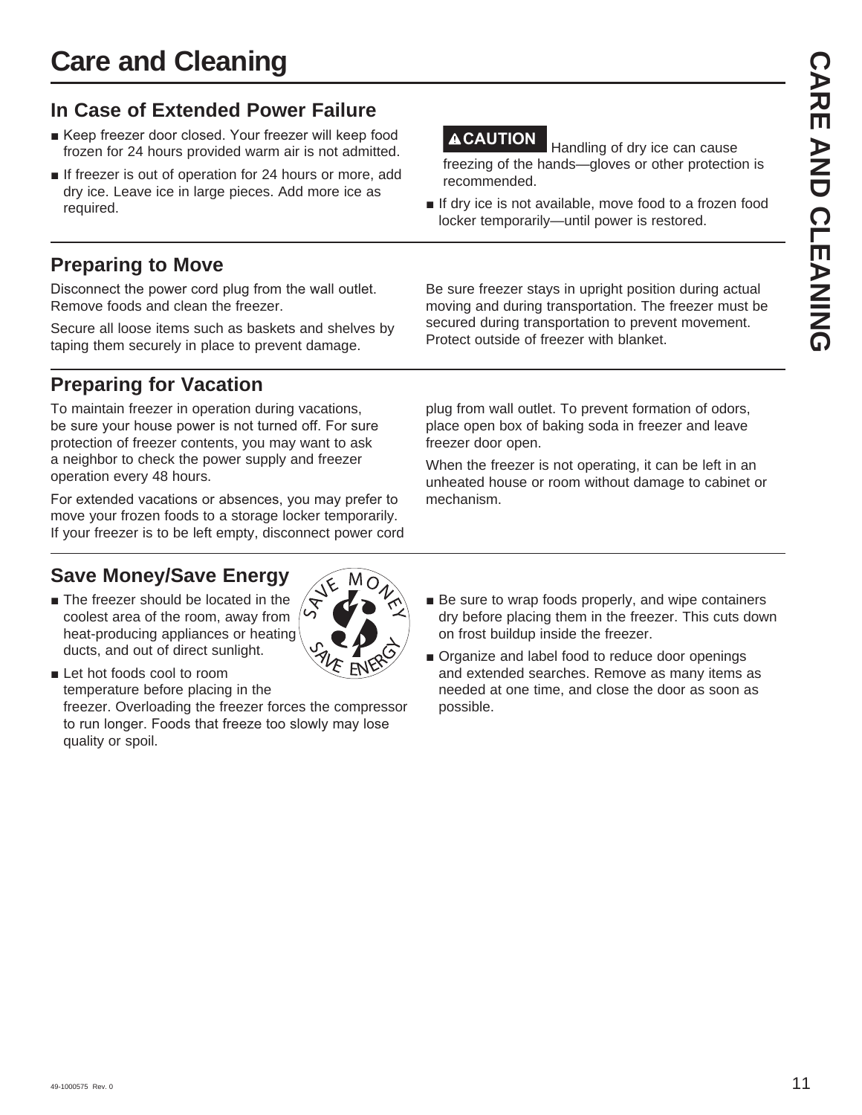**Care and Cleaning**

# **In Case of Extended Power Failure**

- Keep freezer door closed. Your freezer will keep food frozen for 24 hours provided warm air is not admitted.
- $\blacksquare$  If freezer is out of operation for 24 hours or more, add dry ice. Leave ice in large pieces. Add more ice as required.

# **Preparing to Move**

Disconnect the power cord plug from the wall outlet. Remove foods and clean the freezer.

Secure all loose items such as baskets and shelves by taping them securely in place to prevent damage.

# **Preparing for Vacation**

To maintain freezer in operation during vacations, be sure your house power is not turned off. For sure protection of freezer contents, you may want to ask a neighbor to check the power supply and freezer operation every 48 hours.

For extended vacations or absences, you may prefer to move your frozen foods to a storage locker temporarily. If your freezer is to be left empty, disconnect power cord

# **Save Money/Save Energy**

 $\blacksquare$  The freezer should be located in the coolest area of the room, away from heat-producing appliances or heating ducts, and out of direct sunlight.

**Let hot foods cool to room** temperature before placing in the freezer. Overloading the freezer forces the compressor to run longer. Foods that freeze too slowly may lose quality or spoil.

**ACAUTION** Handling of dry ice can cause freezing of the hands—gloves or other protection is recommended.

**If dry ice is not available, move food to a frozen food** locker temporarily—until power is restored.

Be sure freezer stays in upright position during actual moving and during transportation. The freezer must be secured during transportation to prevent movement. Protect outside of freezer with blanket.

plug from wall outlet. To prevent formation of odors, place open box of baking soda in freezer and leave freezer door open.

When the freezer is not operating, it can be left in an unheated house or room without damage to cabinet or mechanism.

- $\blacksquare$  Be sure to wrap foods properly, and wipe containers dry before placing them in the freezer. This cuts down on frost buildup inside the freezer.
- $\blacksquare$  Organize and label food to reduce door openings and extended searches. Remove as many items as needed at one time, and close the door as soon as possible.

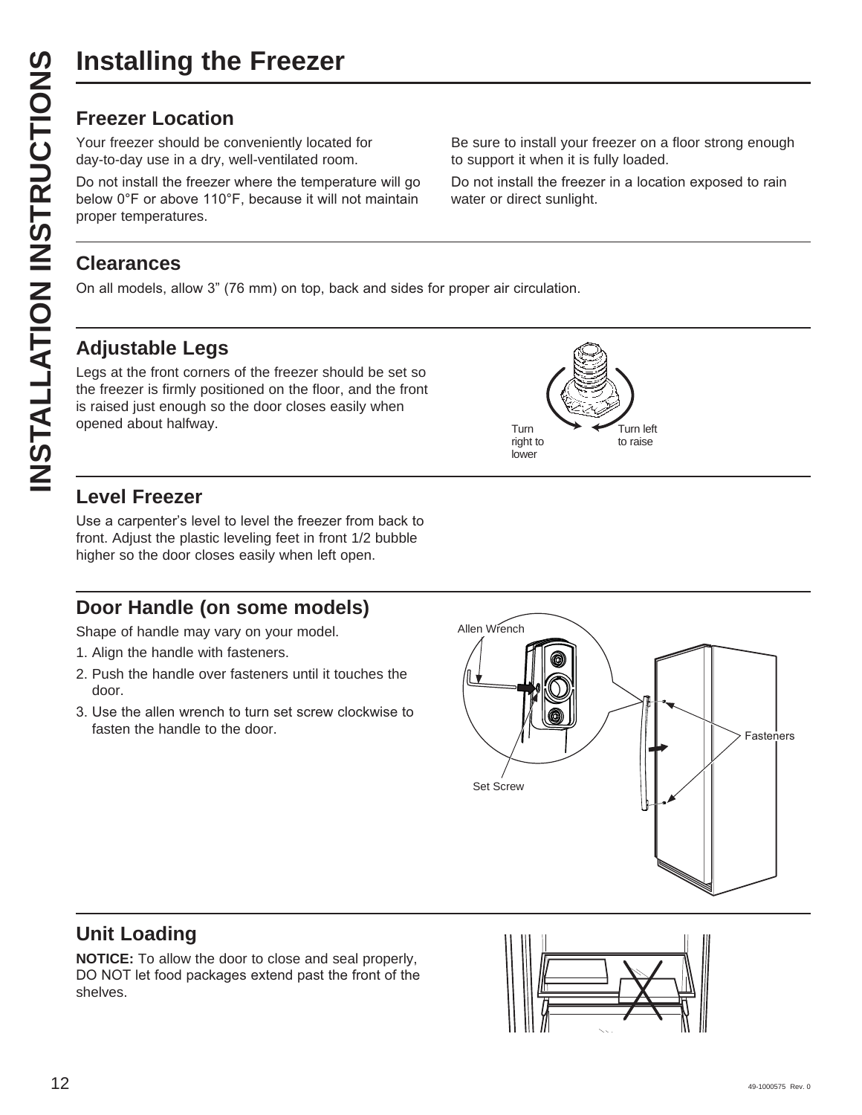Your freezer should be conveniently located for day-to-day use in a dry, well-ventilated room.

Do not install the freezer where the temperature will go below 0°F or above 110°F, because it will not maintain proper temperatures.

Be sure to install your freezer on a floor strong enough to support it when it is fully loaded.

Do not install the freezer in a location exposed to rain water or direct sunlight.

# **Clearances**

On all models, allow 3" (76 mm) on top, back and sides for proper air circulation.

# **Adjustable Legs**

Legs at the front corners of the freezer should be set so the freezer is firmly positioned on the floor, and the front is raised just enough so the door closes easily when opened about halfway.



# **Level Freezer**

Use a carpenter's level to level the freezer from back to front. Adjust the plastic leveling feet in front 1/2 bubble higher so the door closes easily when left open.

# **Door Handle (on some models)**

Shape of handle may vary on your model.

- 1. Align the handle with fasteners.
- 2. Push the handle over fasteners until it touches the door.
- 3. Use the allen wrench to turn set screw clockwise to



# **Unit Loading**

**NOTICE:** To allow the door to close and seal properly, DO NOT let food packages extend past the front of the shelves.

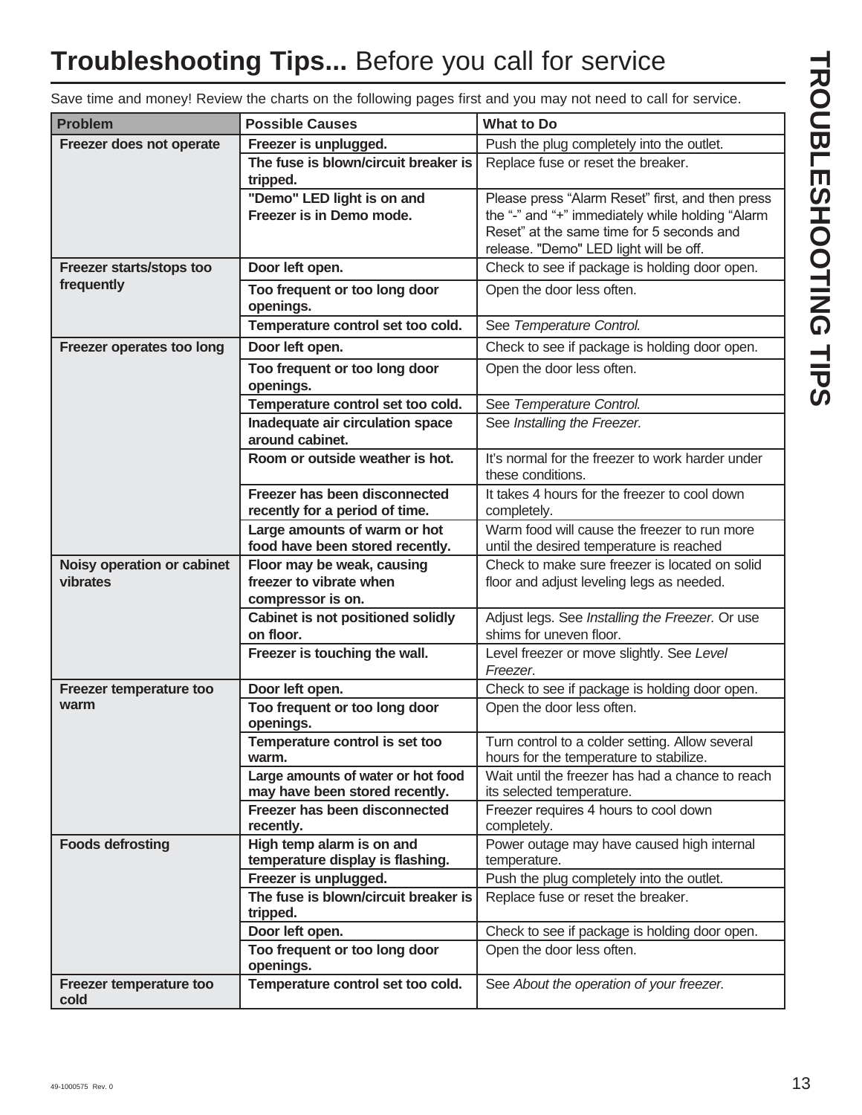# **Troubleshooting Tips...** Before you call for service

TROUBLESHOOTING TIPS **TROUBLESHOOTING TIPS**

| Save time and money! Review the charts on the following pages first and you may not need to call for service. |  |  |  |
|---------------------------------------------------------------------------------------------------------------|--|--|--|
|                                                                                                               |  |  |  |
|                                                                                                               |  |  |  |

| <b>Problem</b>                         | <b>Possible Causes</b>                                    | <b>What to Do</b>                                                                          |
|----------------------------------------|-----------------------------------------------------------|--------------------------------------------------------------------------------------------|
| Freezer does not operate               | Freezer is unplugged.                                     | Push the plug completely into the outlet.                                                  |
|                                        | The fuse is blown/circuit breaker is<br>tripped.          | Replace fuse or reset the breaker.                                                         |
|                                        | "Demo" LED light is on and                                | Please press "Alarm Reset" first, and then press                                           |
|                                        | Freezer is in Demo mode.                                  | the "-" and "+" immediately while holding "Alarm                                           |
|                                        |                                                           | Reset" at the same time for 5 seconds and                                                  |
|                                        |                                                           | release. "Demo" LED light will be off.                                                     |
| Freezer starts/stops too<br>frequently | Door left open.                                           | Check to see if package is holding door open.                                              |
|                                        | Too frequent or too long door<br>openings.                | Open the door less often.                                                                  |
|                                        | Temperature control set too cold.                         | See Temperature Control.                                                                   |
| Freezer operates too long              | Door left open.                                           | Check to see if package is holding door open.                                              |
|                                        | Too frequent or too long door                             | Open the door less often.                                                                  |
|                                        | openings.                                                 |                                                                                            |
|                                        | Temperature control set too cold.                         | See Temperature Control.                                                                   |
|                                        | Inadequate air circulation space<br>around cabinet.       | See Installing the Freezer.                                                                |
|                                        | Room or outside weather is hot.                           | It's normal for the freezer to work harder under<br>these conditions.                      |
|                                        | Freezer has been disconnected                             | It takes 4 hours for the freezer to cool down                                              |
|                                        | recently for a period of time.                            | completely.                                                                                |
|                                        | Large amounts of warm or hot                              | Warm food will cause the freezer to run more                                               |
|                                        | food have been stored recently.                           | until the desired temperature is reached<br>Check to make sure freezer is located on solid |
| Noisy operation or cabinet<br>vibrates | Floor may be weak, causing<br>freezer to vibrate when     | floor and adjust leveling legs as needed.                                                  |
|                                        | compressor is on.                                         |                                                                                            |
|                                        | Cabinet is not positioned solidly                         | Adjust legs. See Installing the Freezer. Or use                                            |
|                                        | on floor.                                                 | shims for uneven floor.                                                                    |
|                                        | Freezer is touching the wall.                             | Level freezer or move slightly. See Level<br>Freezer.                                      |
| Freezer temperature too                | Door left open.                                           | Check to see if package is holding door open.                                              |
| warm                                   | Too frequent or too long door<br>openings.                | Open the door less often.                                                                  |
|                                        | Temperature control is set too<br>warm.                   | Turn control to a colder setting. Allow several<br>hours for the temperature to stabilize. |
|                                        | Large amounts of water or hot food                        | Wait until the freezer has had a chance to reach                                           |
|                                        | may have been stored recently.                            | its selected temperature.                                                                  |
|                                        | Freezer has been disconnected<br>recently.                | Freezer requires 4 hours to cool down<br>completely.                                       |
| <b>Foods defrosting</b>                | High temp alarm is on and                                 | Power outage may have caused high internal                                                 |
|                                        | temperature display is flashing.<br>Freezer is unplugged. | temperature.<br>Push the plug completely into the outlet.                                  |
|                                        | The fuse is blown/circuit breaker is                      | Replace fuse or reset the breaker.                                                         |
|                                        | tripped.                                                  |                                                                                            |
|                                        | Door left open.                                           | Check to see if package is holding door open.                                              |
|                                        | Too frequent or too long door<br>openings.                | Open the door less often.                                                                  |
| Freezer temperature too<br>cold        | Temperature control set too cold.                         | See About the operation of your freezer.                                                   |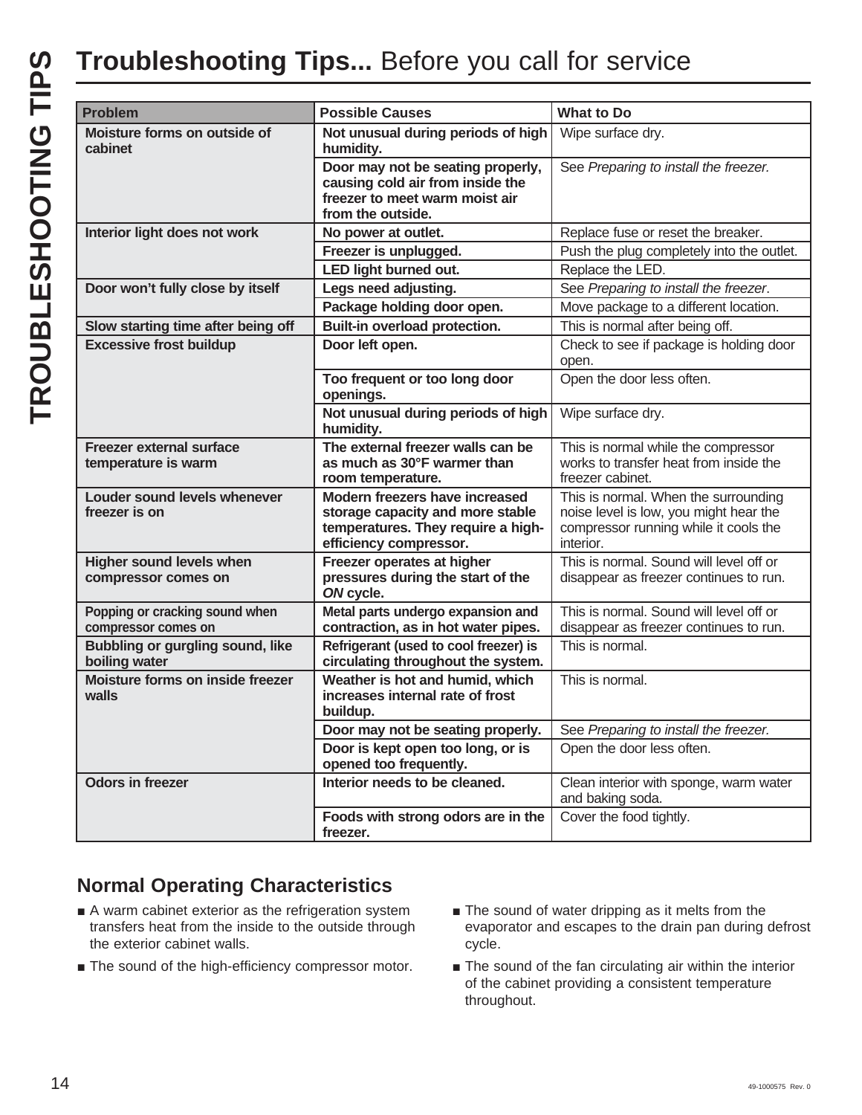| <b>Problem</b>                                           | <b>Possible Causes</b>                                                                                                             | <b>What to Do</b>                                                                                                                    |
|----------------------------------------------------------|------------------------------------------------------------------------------------------------------------------------------------|--------------------------------------------------------------------------------------------------------------------------------------|
| Moisture forms on outside of<br>cabinet                  | Not unusual during periods of high<br>humidity.                                                                                    | Wipe surface dry.                                                                                                                    |
|                                                          | Door may not be seating properly,<br>causing cold air from inside the<br>freezer to meet warm moist air<br>from the outside.       | See Preparing to install the freezer.                                                                                                |
| Interior light does not work                             | No power at outlet.                                                                                                                | Replace fuse or reset the breaker.                                                                                                   |
|                                                          | Freezer is unplugged.                                                                                                              | Push the plug completely into the outlet.                                                                                            |
|                                                          | LED light burned out.                                                                                                              | Replace the LED.                                                                                                                     |
| Door won't fully close by itself                         | Legs need adjusting.                                                                                                               | See Preparing to install the freezer.                                                                                                |
|                                                          | Package holding door open.                                                                                                         | Move package to a different location.                                                                                                |
| Slow starting time after being off                       | Built-in overload protection.                                                                                                      | This is normal after being off.                                                                                                      |
| <b>Excessive frost buildup</b>                           | Door left open.                                                                                                                    | Check to see if package is holding door<br>open.                                                                                     |
|                                                          | Too frequent or too long door<br>openings.                                                                                         | Open the door less often.                                                                                                            |
|                                                          | Not unusual during periods of high<br>humidity.                                                                                    | Wipe surface dry.                                                                                                                    |
| <b>Freezer external surface</b><br>temperature is warm   | The external freezer walls can be<br>as much as 30°F warmer than<br>room temperature.                                              | This is normal while the compressor<br>works to transfer heat from inside the<br>freezer cabinet.                                    |
| Louder sound levels whenever<br>freezer is on            | Modern freezers have increased<br>storage capacity and more stable<br>temperatures. They require a high-<br>efficiency compressor. | This is normal. When the surrounding<br>noise level is low, you might hear the<br>compressor running while it cools the<br>interior. |
| <b>Higher sound levels when</b><br>compressor comes on   | Freezer operates at higher<br>pressures during the start of the<br>ON cycle.                                                       | This is normal. Sound will level off or<br>disappear as freezer continues to run.                                                    |
| Popping or cracking sound when<br>compressor comes on    | Metal parts undergo expansion and<br>contraction, as in hot water pipes.                                                           | This is normal. Sound will level off or<br>disappear as freezer continues to run.                                                    |
| <b>Bubbling or gurgling sound, like</b><br>boiling water | Refrigerant (used to cool freezer) is<br>circulating throughout the system.                                                        | This is normal.                                                                                                                      |
| Moisture forms on inside freezer<br>walls                | Weather is hot and humid, which<br>increases internal rate of frost<br>buildup.                                                    | This is normal.                                                                                                                      |
|                                                          | Door may not be seating properly.                                                                                                  | See Preparing to install the freezer.                                                                                                |
|                                                          | Door is kept open too long, or is<br>opened too frequently.                                                                        | Open the door less often.                                                                                                            |
| <b>Odors in freezer</b>                                  | Interior needs to be cleaned.                                                                                                      | Clean interior with sponge, warm water<br>and baking soda.                                                                           |
|                                                          | Foods with strong odors are in the<br>freezer.                                                                                     | Cover the food tightly.                                                                                                              |

# **Normal Operating Characteristics**

- A warm cabinet exterior as the refrigeration system transfers heat from the inside to the outside through the exterior cabinet walls.
- $\blacksquare$  The sound of the high-efficiency compressor motor.
- $\blacksquare$  The sound of water dripping as it melts from the evaporator and escapes to the drain pan during defrost cycle.
- $\blacksquare$  The sound of the fan circulating air within the interior of the cabinet providing a consistent temperature throughout.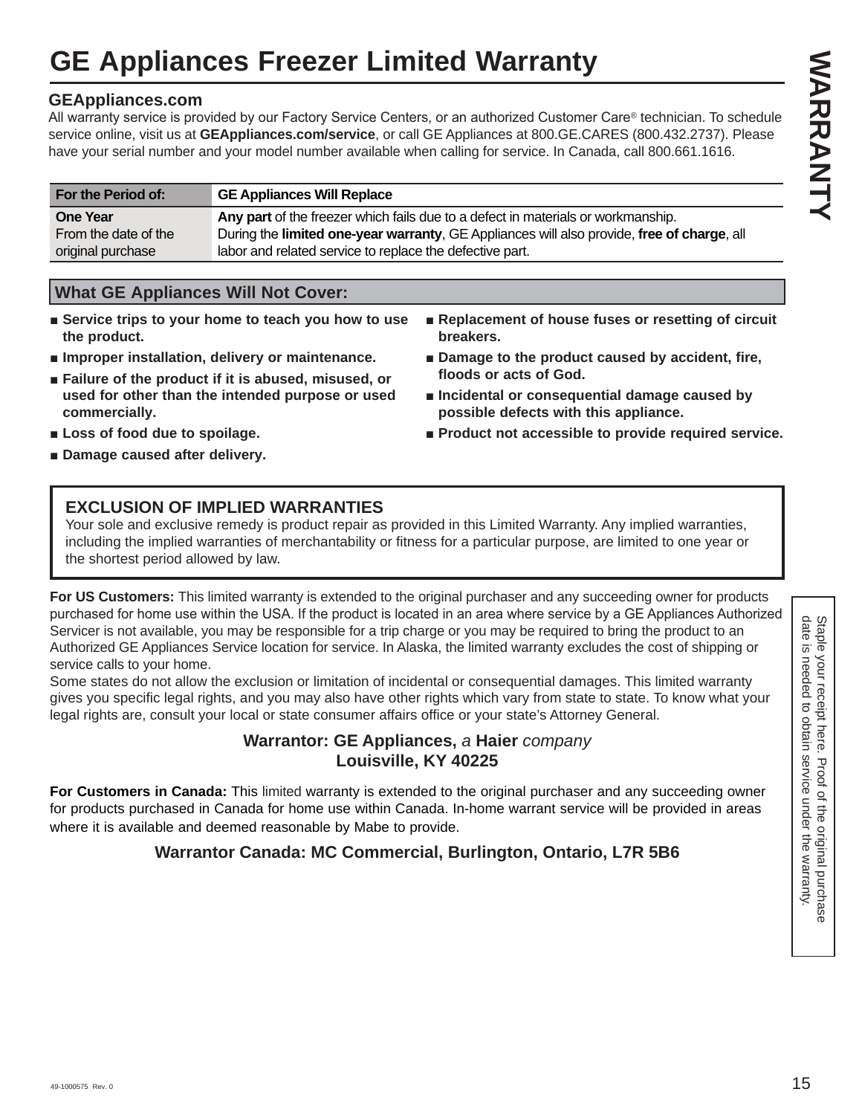# **GE Appliances Freezer Limited Warranty**

## **GEAppliances.com**

All warranty service is provided by our Factory Service Centers, or an authorized Customer Care® technician. To schedule service online, visit us at **GEAppliances.com/service**, or call GE Appliances at 800.GE.CARES (800.432.2737). Please have your serial number and your model number available when calling for service. In Canada, call 800.661.1616.

| For the Period of:   | <b>GE Appliances Will Replace</b>                                                          |
|----------------------|--------------------------------------------------------------------------------------------|
| <b>One Year</b>      | Any part of the freezer which fails due to a defect in materials or workmanship.           |
| From the date of the | During the limited one-year warranty, GE Appliances will also provide, free of charge, all |
| original purchase    | labor and related service to replace the defective part.                                   |

# **What GE Appliances Will Not Cover:**

- Service trips to your home to teach you how to use **the product.**
- $\blacksquare$  Improper installation, delivery or maintenance.
- **Example 3** Failure of the product if it is abused, misused, or **used for other than the intended purpose or used commercially.**
- Replacement of house fuses or resetting of circuit **breakers.**
- Damage to the product caused by accident, fire, **floods or acts of God.**
- $\blacksquare$  Incidental or consequential damage caused by **possible defects with this appliance.**
- $\blacksquare$  Product not accessible to provide required service.

■ Loss of food due to spoilage.  $\blacksquare$  Damage caused after delivery.

# **EXCLUSION OF IMPLIED WARRANTIES**

Your sole and exclusive remedy is product repair as provided in this Limited Warranty. Any implied warranties, including the implied warranties of merchantability or fitness for a particular purpose, are limited to one year or the shortest period allowed by law.

**For US Customers:** This limited warranty is extended to the original purchaser and any succeeding owner for products purchased for home use within the USA. If the product is located in an area where service by a GE Appliances Authorized Servicer is not available, you may be responsible for a trip charge or you may be required to bring the product to an Authorized GE Appliances Service location for service. In Alaska, the limited warranty excludes the cost of shipping or service calls to your home.

Some states do not allow the exclusion or limitation of incidental or consequential damages. This limited warranty gives you specific legal rights, and you may also have other rights which vary from state to state. To know what your legal rights are, consult your local or state consumer affairs office or your state's Attorney General.

# **Warrantor: GE Appliances,** *a* **Haier** *company*  **Louisville, KY 40225**

**For Customers in Canada:** This limited warranty is extended to the original purchaser and any succeeding owner for products purchased in Canada for home use within Canada. In-home warrant service will be provided in areas where it is available and deemed reasonable by Mabe to provide.

# **Warrantor Canada: MC Commercial, Burlington, Ontario, L7R 5B6**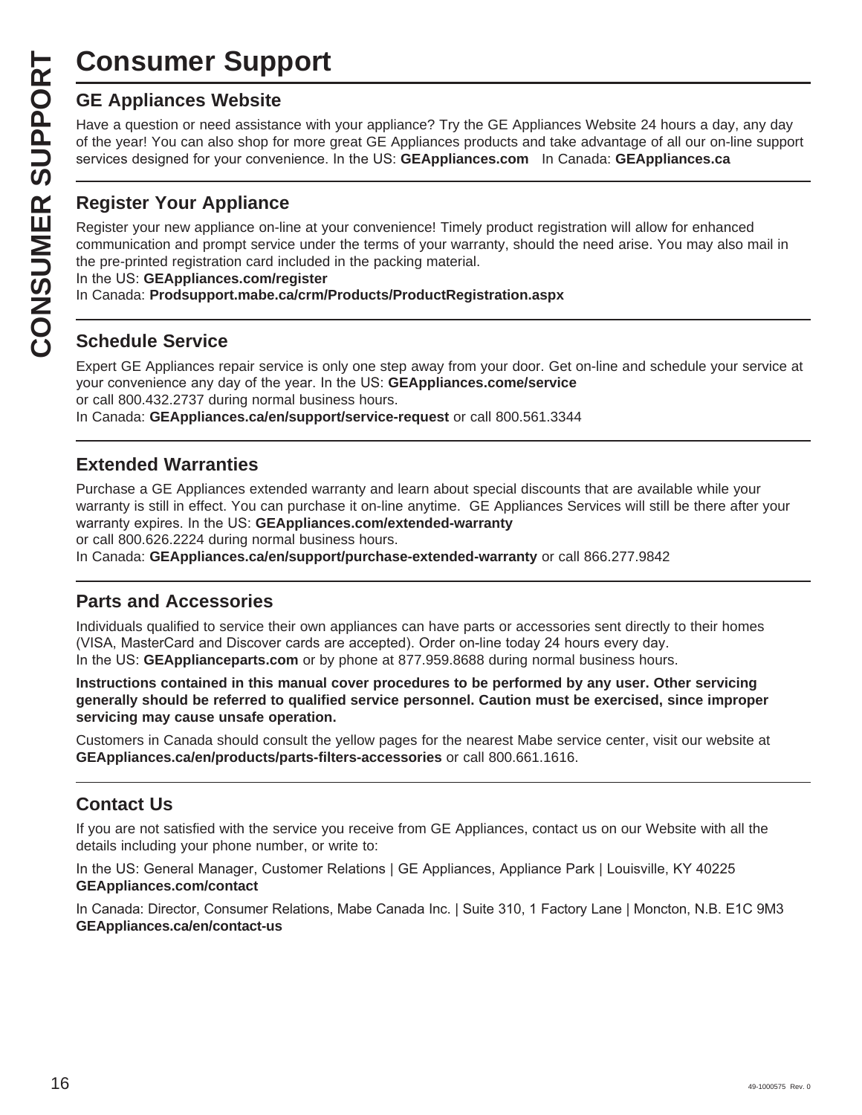# **Consumer Support**

Have a question or need assistance with your appliance? Try the GE Appliances Website 24 hours a day, any day of the year! You can also shop for more great GE Appliances products and take advantage of all our on-line support Exervices designed for your convenience. In the US: **GEAppliances.com** In Canada: **GEAppliances.ca** 

# **Register Your Appliance**

**CONSUMER SUP**<br> **GE Appliances Website**<br>
Have a question or need assistar<br>
of the year! You can also shop for<br>
services designed for your conver<br> **CONSUMER PERITHER PROPERITY CONSUMER PROPERITY OUT Appliance on-1**<br>
CONSUME Register your new appliance on-line at your convenience! Timely product registration will allow for enhanced communication and prompt service under the terms of your warranty, should the need arise. You may also mail in the pre-printed registration card included in the packing material.

In the US: GEAppliances.com/register

In Canada: **Prodsupport.mabe.ca/crm/Products/ProductRegistration.aspx**

# **Schedule Service**

Expert GE Appliances repair service is only one step away from your door. Get on-line and schedule your service at your convenience any day of the year. In the US: **GEAppliances.come/service** or call 800.432.2737 during normal business hours.

In Canada: **GEAppliances.ca/en/support/service-request** or call 800.561.3344

# **Extended Warranties**

Purchase a GE Appliances extended warranty and learn about special discounts that are available while your warranty is still in effect. You can purchase it on-line anytime. GE Appliances Services will still be there after your warranty expires. In the US: GEAppliances.com/extended-warranty or call 800.626.2224 during normal business hours.

In Canada: **GEAppliances.ca/en/support/purchase-extended-warranty** or call 866.277.9842

# **Parts and Accessories**

Individuals qualified to service their own appliances can have parts or accessories sent directly to their homes (VISA, MasterCard and Discover cards are accepted). Order on-line today 24 hours every day. In the US: **GEApplianceparts.com** or by phone at 877.959.8688 during normal business hours.

**Instructions contained in this manual cover procedures to be performed by any user. Other servicing generally should be referred to qualified service personnel. Caution must be exercised, since improper servicing may cause unsafe operation.**

Customers in Canada should consult the yellow pages for the nearest Mabe service center, visit our website at **GEAppliances.ca/en/products/parts-filters-accessories** or call 800.661.1616.

# **Contact Us**

If you are not satisfied with the service you receive from GE Appliances, contact us on our Website with all the details including your phone number, or write to:

In the US: General Manager, Customer Relations | GE Appliances, Appliance Park | Louisville, KY 40225 **GEAppliances.com/contact**

In Canada: Director, Consumer Relations, Mabe Canada Inc. | Suite 310, 1 Factory Lane | Moncton, N.B. E1C 9M3 **GEAppliances.ca/en/contact-us**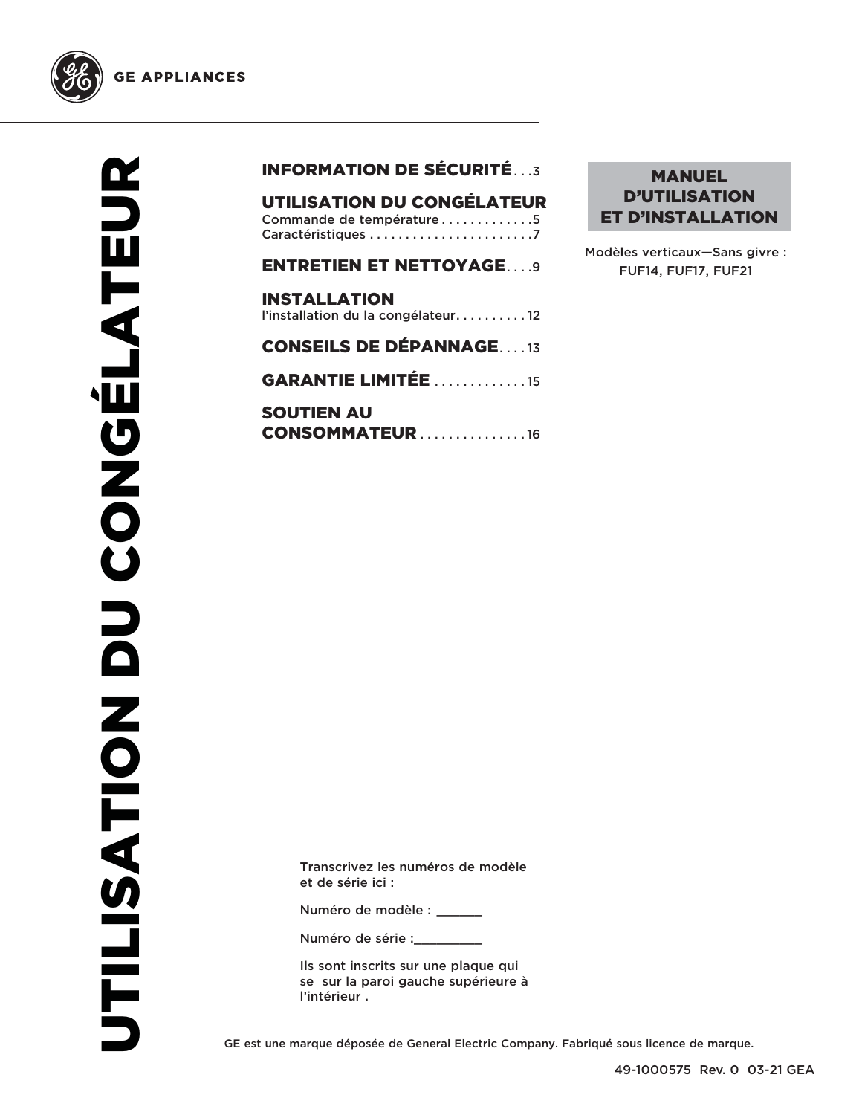

# INFORMATION DE SÉCURITÉ . . .3

UTILISATION DU CONGÉLATEUR Commande de température . . . . . . . . . . . . 5 Caractéristiques . . . . . . . . . . . . . . . . . . . . . . .7

| <b>ENTRETIEN ET NETTOYAGE9</b>                            |
|-----------------------------------------------------------|
| <b>INSTALLATION</b><br>l'installation du la congélateur12 |
| <b>CONSEILS DE DÉPANNAGE13</b>                            |
| <b>GARANTIE LIMITÉE</b> 15                                |

SOUTIEN AU **CONSOMMATEUR . . . . . . . . . . . . . . 16** 

## MANUEL D'UTILISATION ET D'INSTALLATION

Modèles verticaux—Sans givre : FUF14, FUF17, FUF21

Transcrivez les numéros de modèle et de série ici :

Numéro de modèle : \_\_\_\_\_\_

Numéro de série :

Ils sont inscrits sur une plaque qui se sur la paroi gauche supérieure à l'intérieur .

GE est une marque déposée de General Electric Company. Fabriqué sous licence de marque.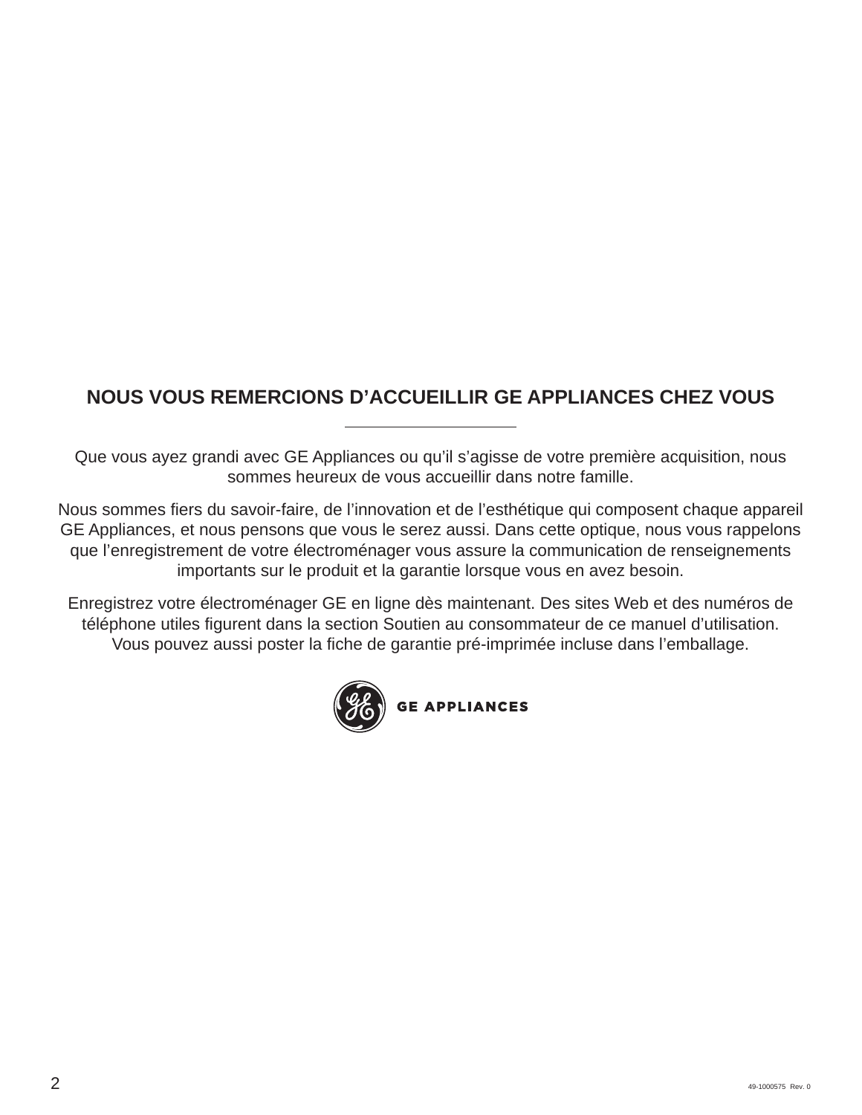# **NOUS VOUS REMERCIONS D'ACCUEILLIR GE APPLIANCES CHEZ VOUS**

Que vous ayez grandi avec GE Appliances ou qu'il s'agisse de votre première acquisition, nous sommes heureux de vous accueillir dans notre famille.

Nous sommes fiers du savoir-faire, de l'innovation et de l'esthétique qui composent chaque appareil GE Appliances, et nous pensons que vous le serez aussi. Dans cette optique, nous vous rappelons que l'enregistrement de votre électroménager vous assure la communication de renseignements importants sur le produit et la garantie lorsque vous en avez besoin.

Enregistrez votre électroménager GE en ligne dès maintenant. Des sites Web et des numéros de téléphone utiles figurent dans la section Soutien au consommateur de ce manuel d'utilisation. Vous pouvez aussi poster la fiche de garantie pré-imprimée incluse dans l'emballage.

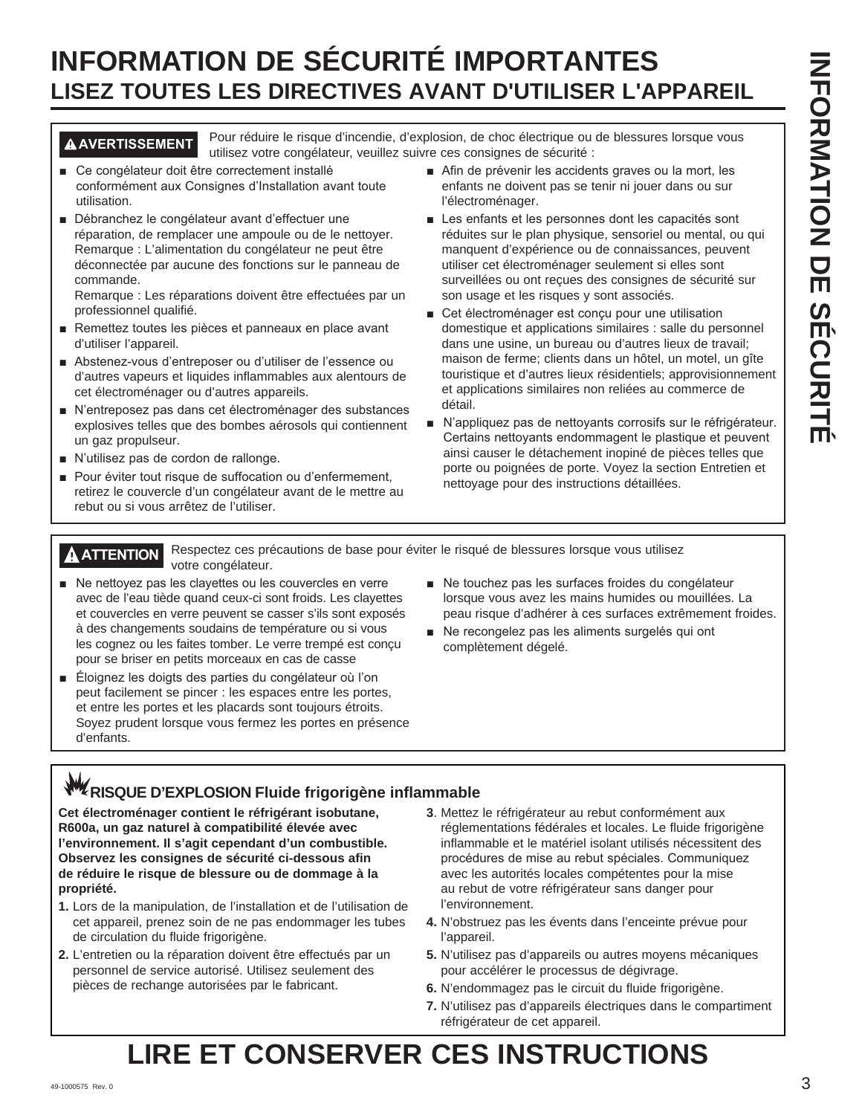# **INFORMATION DE SÉCURITÉ IMPORTANTES LISEZ TOUTES LES DIRECTIVES AVANT D'UTILISER L'APPAREIL**

**AVERTISSEMENT** Pour réduire le risque d'incendie, d'explosion, de choc électrique ou de blessures lorsque vous utilisez votre congélateur, veuillez suivre ces consignes de sécurité :

- Ce congélateur doit être correctement installé conformément aux Consignes d'Installation avant toute utilisation.
- Débranchez le congélateur avant d'effectuer une réparation, de remplacer une ampoule ou de le nettoyer. Remarque : L'alimentation du congélateur ne peut être déconnectée par aucune des fonctions sur le panneau de commande.

Remarque : Les réparations doivent être effectuées par un professionnel qualifié.

- Remettez toutes les pièces et panneaux en place avant d'utiliser l'appareil.
- Abstenez-vous d'entreposer ou d'utiliser de l'essence ou d'autres vapeurs et liquides inflammables aux alentours de cet électroménager ou d'autres appareils.
- N'entreposez pas dans cet électroménager des substances explosives telles que des bombes aérosols qui contiennent un gaz propulseur.
- N'utilisez pas de cordon de rallonge.
- Pour éviter tout risque de suffocation ou d'enfermement, retirez le couvercle d'un congélateur avant de le mettre au rebut ou si vous arrêtez de l'utiliser.
- Afin de prévenir les accidents graves ou la mort, les enfants ne doivent pas se tenir ni jouer dans ou sur l'électroménager.
- Les enfants et les personnes dont les capacités sont réduites sur le plan physique, sensoriel ou mental, ou qui manquent d'expérience ou de connaissances, peuvent utiliser cet électroménager seulement si elles sont surveillées ou ont reçues des consignes de sécurité sur son usage et les risques y sont associés.
- Cet électroménager est conçu pour une utilisation domestique et applications similaires : salle du personnel dans une usine, un bureau ou d'autres lieux de travail; maison de ferme; clients dans un hôtel, un motel, un gîte touristique et d'autres lieux résidentiels; approvisionnement et applications similaires non reliées au commerce de détail.
- N'appliquez pas de nettoyants corrosifs sur le réfrigérateur. Certains nettoyants endommagent le plastique et peuvent ainsi causer le détachement inopiné de pièces telles que porte ou poignées de porte. Voyez la section Entretien et nettoyage pour des instructions détaillées.

**ATTENTION** Respectez ces précautions de base pour éviter le risqué de blessures lorsque vous utilisez votre congélateur.

- $\blacksquare$  Ne nettoyez pas les clayettes ou les couvercles en verre avec de l'eau tiède quand ceux-ci sont froids. Les clayettes et couvercles en verre peuvent se casser s'ils sont exposés à des changements soudains de température ou si vous les cognez ou les faites tomber. Le verre trempé est conçu pour se briser en petits morceaux en cas de casse
- Éloignez les doigts des parties du congélateur où l'on peut facilement se pincer : les espaces entre les portes, et entre les portes et les placards sont toujours étroits. Soyez prudent lorsque vous fermez les portes en présence d'enfants.
- Ne touchez pas les surfaces froides du congélateur lorsque vous avez les mains humides ou mouillées. La peau risque d'adhérer à ces surfaces extrêmement froides.
- Ne recongelez pas les aliments surgelés qui ont complètement dégelé.

# **W** RISQUE D'EXPLOSION Fluide frigorigène inflammable

**Cet électroménager contient le réfrigérant isobutane, R600a, un gaz naturel à compatibilité élevée avec l'environnement. Il s'agit cependant d'un combustible. Observez les consignes de sécurité ci-dessous afin de réduire le risque de blessure ou de dommage à la propriété.**

- **1.** Lors de la manipulation, de l'installation et de l'utilisation de cet appareil, prenez soin de ne pas endommager les tubes de circulation du fluide frigorigène.
- **2.** L'entretien ou la réparation doivent être effectués par un personnel de service autorisé. Utilisez seulement des pièces de rechange autorisées par le fabricant.
- **3**. Mettez le réfrigérateur au rebut conformément aux réglementations fédérales et locales. Le fluide frigorigène inflammable et le matériel isolant utilisés nécessitent des procédures de mise au rebut spéciales. Communiquez avec les autorités locales compétentes pour la mise au rebut de votre réfrigérateur sans danger pour l'environnement.
- **4.** N'obstruez pas les évents dans l'enceinte prévue pour l'appareil.
- **5.** N'utilisez pas d'appareils ou autres moyens mécaniques pour accélérer le processus de dégivrage.
- **6.** N'endommagez pas le circuit du fluide frigorigène.
- **7.** N'utilisez pas d'appareils électriques dans le compartiment réfrigérateur de cet appareil.

# **LIRE ET CONSERVER CES INSTRUCTIONS**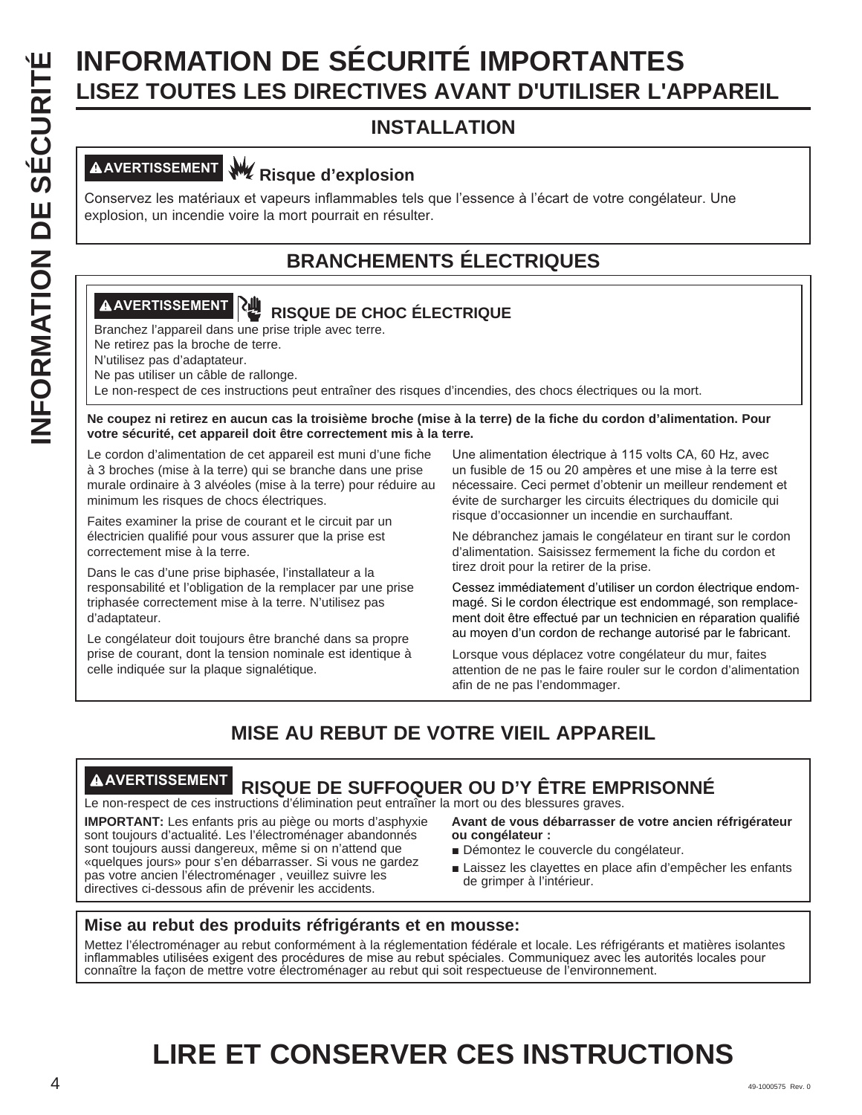# INFORMATION DE SÉCURITÉ IMPORTANTES<br>
INSTALLATION<br>
INSTALLATION<br>
CONSERVES EN ES DIRECTIVES AVANT D'UTILISER L'A<br>
INSTALLATION<br>
CONSERVES LES DIRECTIVES AVANT D'UTILISER L'A<br>
CONSERVES LES DIRECTIVES EN EN EN ENCRIPCION CO **LISEZ TOUTES LES DIRECTIVES AVANT D'UTILISER L'APPAREIL**

# **INSTALLATION**

# **AVERTISSEMENT Risque d'explosion**

Conservez les matériaux et vapeurs inflammables tels que l'essence à l'écart de votre congélateur. Une explosion, un incendie voire la mort pourrait en résulter.

# **BRANCHEMENTS ÉLECTRIQUES**

# **AVERTISSEMENT RISQUE DE CHOC ÉLECTRIQUE**

Branchez l'appareil dans une prise triple avec terre.

Ne retirez pas la broche de terre.

N'utilisez pas d'adaptateur.

Ne pas utiliser un câble de rallonge.

Le non-respect de ces instructions peut entraîner des risques d'incendies, des chocs électriques ou la mort.

**Ne coupez ni retirez en aucun cas la troisième broche (mise à la terre) de la fiche du cordon d'alimentation. Pour votre sécurité, cet appareil doit être correctement mis à la terre.**

Le cordon d'alimentation de cet appareil est muni d'une fiche à 3 broches (mise à la terre) qui se branche dans une prise murale ordinaire à 3 alvéoles (mise à la terre) pour réduire au minimum les risques de chocs électriques.

Faites examiner la prise de courant et le circuit par un électricien qualifié pour vous assurer que la prise est correctement mise à la terre.

Dans le cas d'une prise biphasée, l'installateur a la responsabilité et l'obligation de la remplacer par une prise triphasée correctement mise à la terre. N'utilisez pas d'adaptateur.

Le congélateur doit toujours être branché dans sa propre prise de courant, dont la tension nominale est identique à celle indiquée sur la plaque signalétique.

Une alimentation électrique à 115 volts CA, 60 Hz, avec un fusible de 15 ou 20 ampères et une mise à la terre est nécessaire. Ceci permet d'obtenir un meilleur rendement et évite de surcharger les circuits électriques du domicile qui risque d'occasionner un incendie en surchauffant.

Ne débranchez jamais le congélateur en tirant sur le cordon d'alimentation. Saisissez fermement la fiche du cordon et tirez droit pour la retirer de la prise.

Cessez immédiatement d'utiliser un cordon électrique endommagé. Si le cordon électrique est endommagé, son remplacement doit être effectué par un technicien en réparation qualifié au moyen d'un cordon de rechange autorisé par le fabricant.

Lorsque vous déplacez votre congélateur du mur, faites attention de ne pas le faire rouler sur le cordon d'alimentation afin de ne pas l'endommager.

# **MISE AU REBUT DE VOTRE VIEIL APPAREIL**

# **AVERTISSEMENT RISQUE DE SUFFOQUER OU D'Y ÊTRE EMPRISONNÉ**

Le non-respect de ces instructions d'élimination peut entraîner la mort ou des blessures graves.

**IMPORTANT:** Les enfants pris au piège ou morts d'asphyxie sont toujours d'actualité. Les l'électroménager abandonnés sont toujours aussi dangereux, même si on n'attend que «quelques jours» pour s'en débarrasser. Si vous ne gardez pas votre ancien l'électroménager , veuillez suivre les directives ci-dessous afin de prévenir les accidents.

**Avant de vous débarrasser de votre ancien réfrigérateur ou congélateur :**

- Démontez le couvercle du congélateur.
- Laissez les clayettes en place afin d'empêcher les enfants de grimper à l'intérieur.

# **Mise au rebut des produits réfrigérants et en mousse:**

Mettez l'électroménager au rebut conformément à la réglementation fédérale et locale. Les réfrigérants et matières isolantes inflammables utilisées exigent des procédures de mise au rebut spéciales. Communiquez avec les autorités locales pour connaître la façon de mettre votre électroménager au rebut qui soit respectueuse de l'environnement.

# **LIRE ET CONSERVER CES INSTRUCTIONS**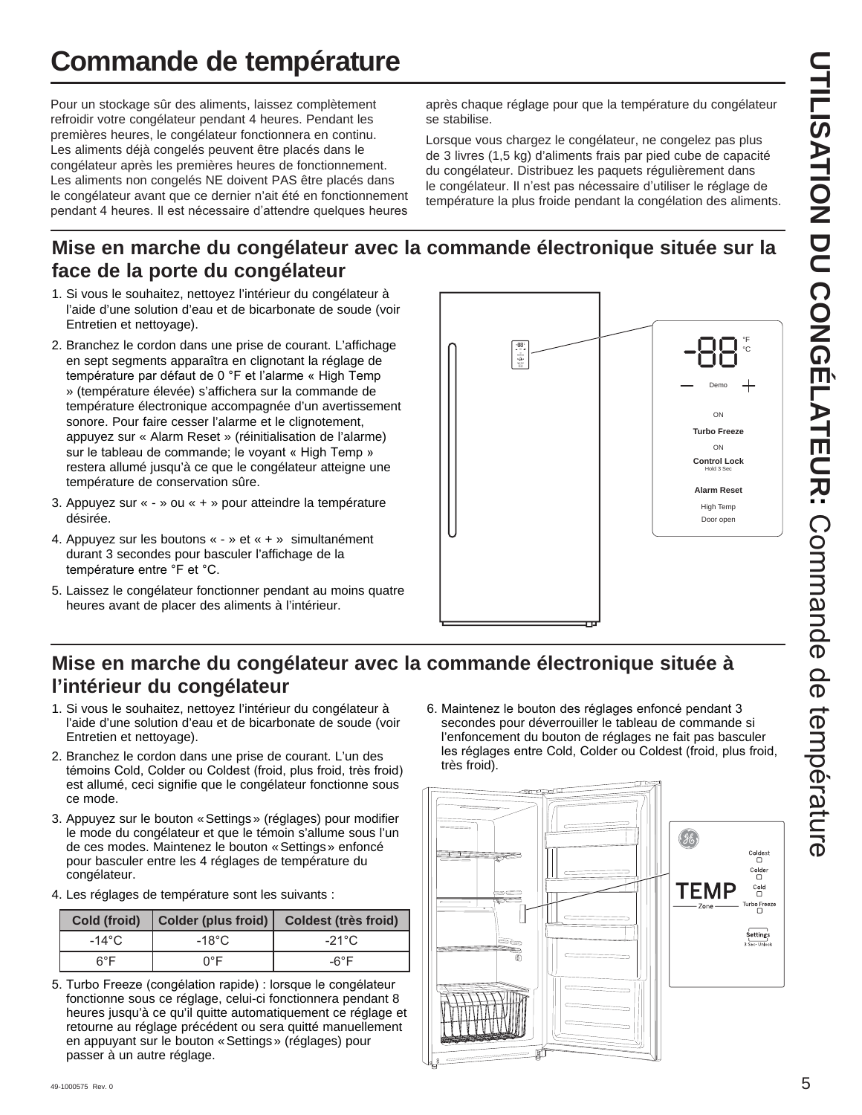# **Commande de température**

Pour un stockage sûr des aliments, laissez complètement refroidir votre congélateur pendant 4 heures. Pendant les premières heures, le congélateur fonctionnera en continu. Les aliments déjà congelés peuvent être placés dans le congélateur après les premières heures de fonctionnement. Les aliments non congelés NE doivent PAS être placés dans le congélateur avant que ce dernier n'ait été en fonctionnement pendant 4 heures. Il est nécessaire d'attendre quelques heures

après chaque réglage pour que la température du congélateur se stabilise.

Lorsque vous chargez le congélateur, ne congelez pas plus de 3 livres (1,5 kg) d'aliments frais par pied cube de capacité du congélateur. Distribuez les paquets régulièrement dans le congélateur. Il n'est pas nécessaire d'utiliser le réglage de température la plus froide pendant la congélation des aliments.

# **Mise en marche du congélateur avec la commande électronique située sur la face de la porte du congélateur**

- 1. Si vous le souhaitez, nettoyez l'intérieur du congélateur à l'aide d'une solution d'eau et de bicarbonate de soude (voir Entretien et nettoyage).
- 2. Branchez le cordon dans une prise de courant. L'affichage en sept segments apparaîtra en clignotant la réglage de température par défaut de 0 °F et l'alarme « High Temp » (température élevée) s'affichera sur la commande de température électronique accompagnée d'un avertissement sonore. Pour faire cesser l'alarme et le clignotement, appuyez sur « Alarm Reset » (réinitialisation de l'alarme) sur le tableau de commande; le voyant « High Temp » restera allumé jusqu'à ce que le congélateur atteigne une température de conservation sûre.
- 3. Appuyez sur « » ou « + » pour atteindre la température désirée.
- 4. Appuyez sur les boutons « » et « + » simultanément durant 3 secondes pour basculer l'affichage de la température entre °F et °C.
- 5. Laissez le congélateur fonctionner pendant au moins quatre heures avant de placer des aliments à l'intérieur.



# **Mise en marche du congélateur avec la commande électronique située à l'intérieur du congélateur**

- 1. Si vous le souhaitez, nettoyez l'intérieur du congélateur à l'aide d'une solution d'eau et de bicarbonate de soude (voir Entretien et nettoyage).
- 2. Branchez le cordon dans une prise de courant. L'un des témoins Cold, Colder ou Coldest (froid, plus froid, très froid) est allumé, ceci signifie que le congélateur fonctionne sous ce mode.
- 3. Appuyez sur le bouton « Settings » (réglages) pour modifier le mode du congélateur et que le témoin s'allume sous l'un de ces modes. Maintenez le bouton « Settings » enfoncé pour basculer entre les 4 réglages de température du congélateur.
- 4. Les réglages de température sont les suivants :

| Cold (froid) | Colder (plus froid) | <b>Coldest (très froid)</b> |
|--------------|---------------------|-----------------------------|
| -14°C        | $-18^{\circ}$ C     | $-21^{\circ}$ C             |
| ନ°F          | ∩°F                 | -6°F                        |

5. Turbo Freeze (congélation rapide) : lorsque le congélateur fonctionne sous ce réglage, celui-ci fonctionnera pendant 8 heures jusqu'à ce qu'il quitte automatiquement ce réglage et retourne au réglage précédent ou sera quitté manuellement en appuyant sur le bouton « Settings » (réglages) pour passer à un autre réglage.

6. Maintenez le bouton des réglages enfoncé pendant 3 secondes pour déverrouiller le tableau de commande si l'enfoncement du bouton de réglages ne fait pas basculer les réglages entre Cold, Colder ou Coldest (froid, plus froid, très froid).

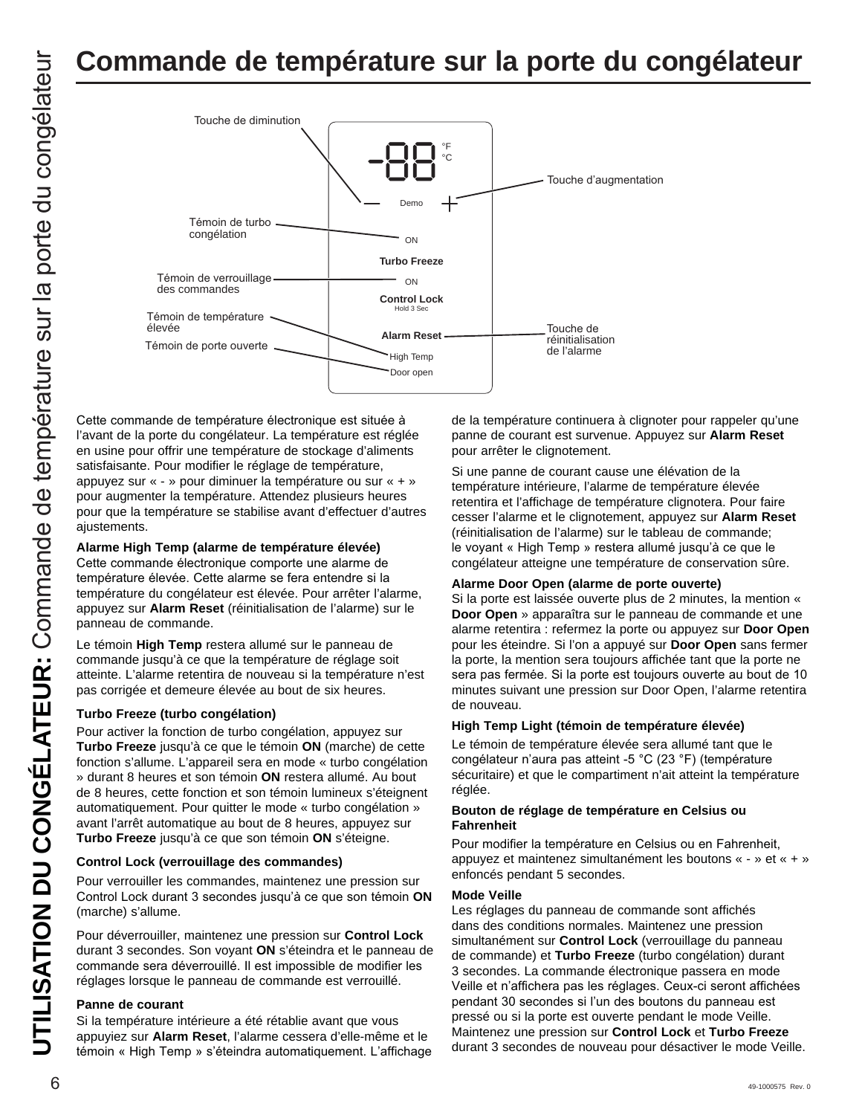# **Commande de température sur la porte du congélateur**



Cette commande de température électronique est située à l'avant de la porte du congélateur. La température est réglée en usine pour offrir une température de stockage d'aliments satisfaisante. Pour modifier le réglage de température, appuyez sur « - » pour diminuer la température ou sur « + » pour augmenter la température. Attendez plusieurs heures pour que la température se stabilise avant d'effectuer d'autres ajustements.

#### **Alarme High Temp (alarme de température élevée)**

Cette commande électronique comporte une alarme de température élevée. Cette alarme se fera entendre si la température du congélateur est élevée. Pour arrêter l'alarme, appuyez sur **Alarm Reset** (réinitialisation de l'alarme) sur le panneau de commande.

Le témoin **High Temp** restera allumé sur le panneau de commande jusqu'à ce que la température de réglage soit atteinte. L'alarme retentira de nouveau si la température n'est pas corrigée et demeure élevée au bout de six heures.

#### **Turbo Freeze (turbo congélation)**

Pour activer la fonction de turbo congélation, appuyez sur **Turbo Freeze** jusqu'à ce que le témoin **ON** (marche) de cette fonction s'allume. L'appareil sera en mode « turbo congélation » durant 8 heures et son témoin **ON** restera allumé. Au bout de 8 heures, cette fonction et son témoin lumineux s'éteignent automatiquement. Pour quitter le mode « turbo congélation » avant l'arrêt automatique au bout de 8 heures, appuyez sur **Turbo Freeze** jusqu'à ce que son témoin **ON** s'éteigne.

#### **Control Lock (verrouillage des commandes)**

Pour verrouiller les commandes, maintenez une pression sur Control Lock durant 3 secondes jusqu'à ce que son témoin ON (marche) s'allume.

Pour déverrouiller, maintenez une pression sur **Control Lock**  durant 3 secondes. Son voyant **ON** s'éteindra et le panneau de commande sera déverrouillé. Il est impossible de modifier les réglages lorsque le panneau de commande est verrouillé.

#### **Panne de courant**

Si la température intérieure a été rétablie avant que vous appuyiez sur **Alarm Reset**, l'alarme cessera d'elle-même et le témoin « High Temp » s'éteindra automatiquement. L'affichage de la température continuera à clignoter pour rappeler qu'une panne de courant est survenue. Appuyez sur **Alarm Reset** pour arrêter le clignotement.

Si une panne de courant cause une élévation de la température intérieure, l'alarme de température élevée retentira et l'affichage de température clignotera. Pour faire cesser l'alarme et le clignotement, appuyez sur **Alarm Reset** (réinitialisation de l'alarme) sur le tableau de commande; le voyant « High Temp » restera allumé jusqu'à ce que le congélateur atteigne une température de conservation sûre.

#### **Alarme Door Open (alarme de porte ouverte)**

Si la porte est laissée ouverte plus de 2 minutes, la mention « **Door Open** » apparaîtra sur le panneau de commande et une alarme retentira : refermez la porte ou appuyez sur **Door Open**  pour les éteindre. Si l'on a appuyé sur **Door Open** sans fermer la porte, la mention sera toujours affichée tant que la porte ne sera pas fermée. Si la porte est toujours ouverte au bout de 10 minutes suivant une pression sur Door Open, l'alarme retentira de nouveau.

#### **High Temp Light (témoin de température élevée)**

Le témoin de température élevée sera allumé tant que le congélateur n'aura pas atteint -5 °C (23 °F) (température sécuritaire) et que le compartiment n'ait atteint la température réglée.

#### **Bouton de réglage de température en Celsius ou Fahrenheit**

Pour modifier la température en Celsius ou en Fahrenheit, appuyez et maintenez simultanément les boutons « - » et « + » enfoncés pendant 5 secondes.

#### **Mode Veille**

Les réglages du panneau de commande sont affichés dans des conditions normales. Maintenez une pression simultanément sur **Control Lock** (verrouillage du panneau de commande) et **Turbo Freeze** (turbo congélation) durant 3 secondes. La commande électronique passera en mode Veille et n'affichera pas les réglages. Ceux-ci seront affichées pendant 30 secondes si l'un des boutons du panneau est pressé ou si la porte est ouverte pendant le mode Veille. Maintenez une pression sur **Control Lock** et **Turbo Freeze**  durant 3 secondes de nouveau pour désactiver le mode Veille.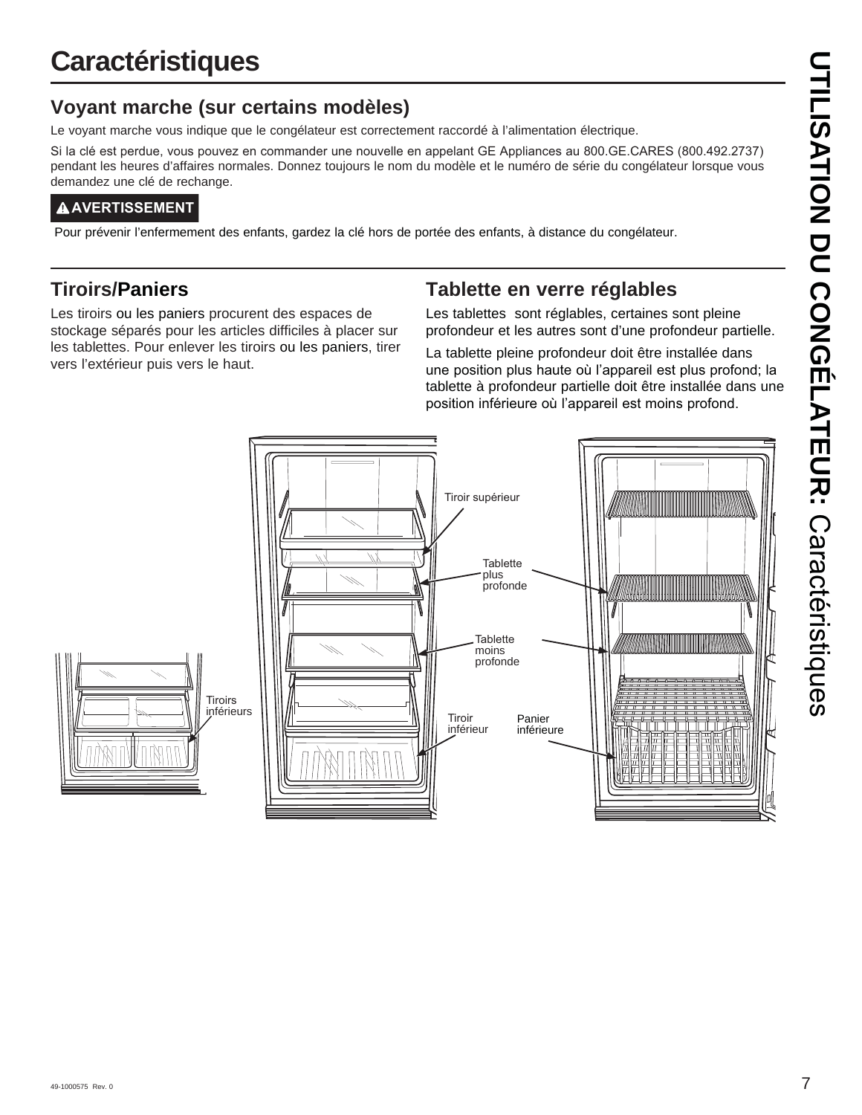# **Caractéristiques**

# **Voyant marche (sur certains modèles)**

Le voyant marche vous indique que le congélateur est correctement raccordé à l'alimentation électrique.

Si la clé est perdue, vous pouvez en commander une nouvelle en appelant GE Appliances au 800.GE.CARES (800.492.2737) pendant les heures d'affaires normales. Donnez toujours le nom du modèle et le numéro de série du congélateur lorsque vous demandez une clé de rechange.

# **AAVERTISSEMENT**

Pour prévenir l'enfermement des enfants, gardez la clé hors de portée des enfants, à distance du congélateur.

# **Tiroirs/Paniers**

Les tiroirs ou les paniers procurent des espaces de stockage séparés pour les articles difficiles à placer sur les tablettes. Pour enlever les tiroirs ou les paniers, tirer vers l'extérieur puis vers le haut.

# **Tablette en verre réglables**

Les tablettes sont réglables, certaines sont pleine profondeur et les autres sont d'une profondeur partielle.

La tablette pleine profondeur doit être installée dans une position plus haute où l'appareil est plus profond; la tablette à profondeur partielle doit être installée dans une position inférieure où l'appareil est moins profond.

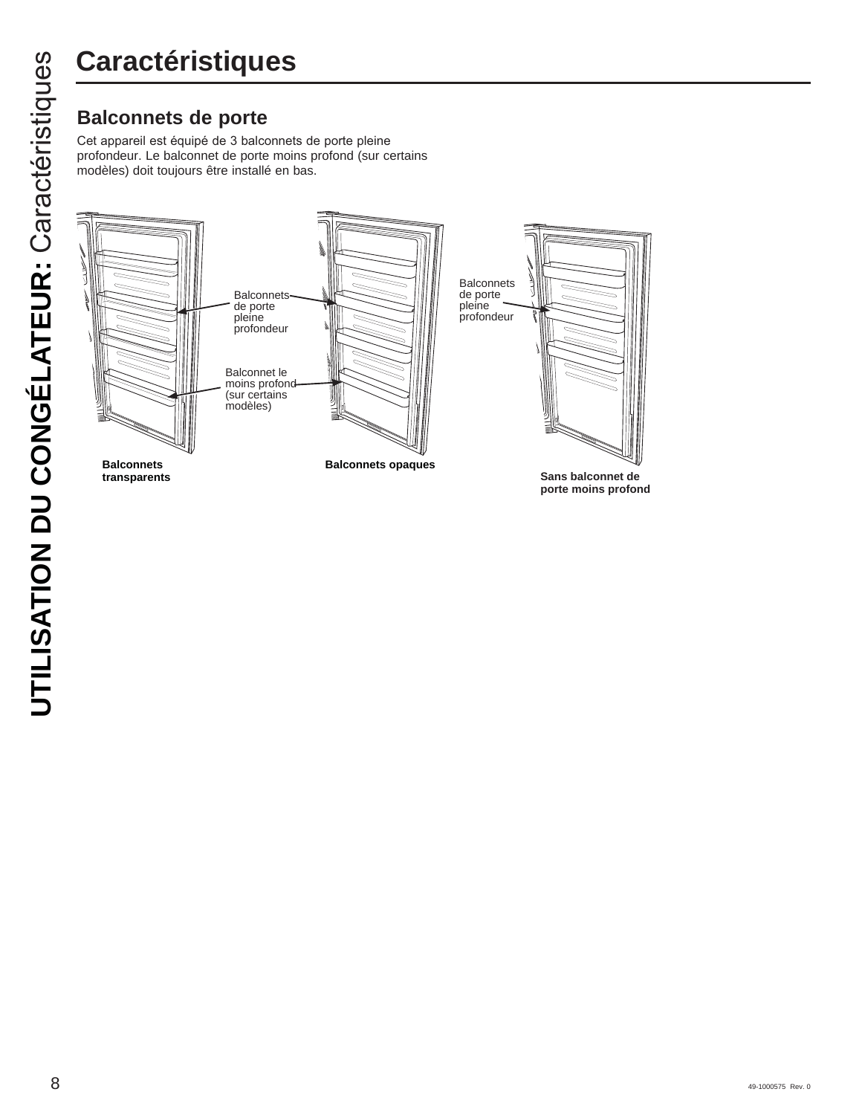Cet appareil est équipé de 3 balconnets de porte pleine profondeur. Le balconnet de porte moins profond (sur certains modèles) doit toujours être installé en bas.

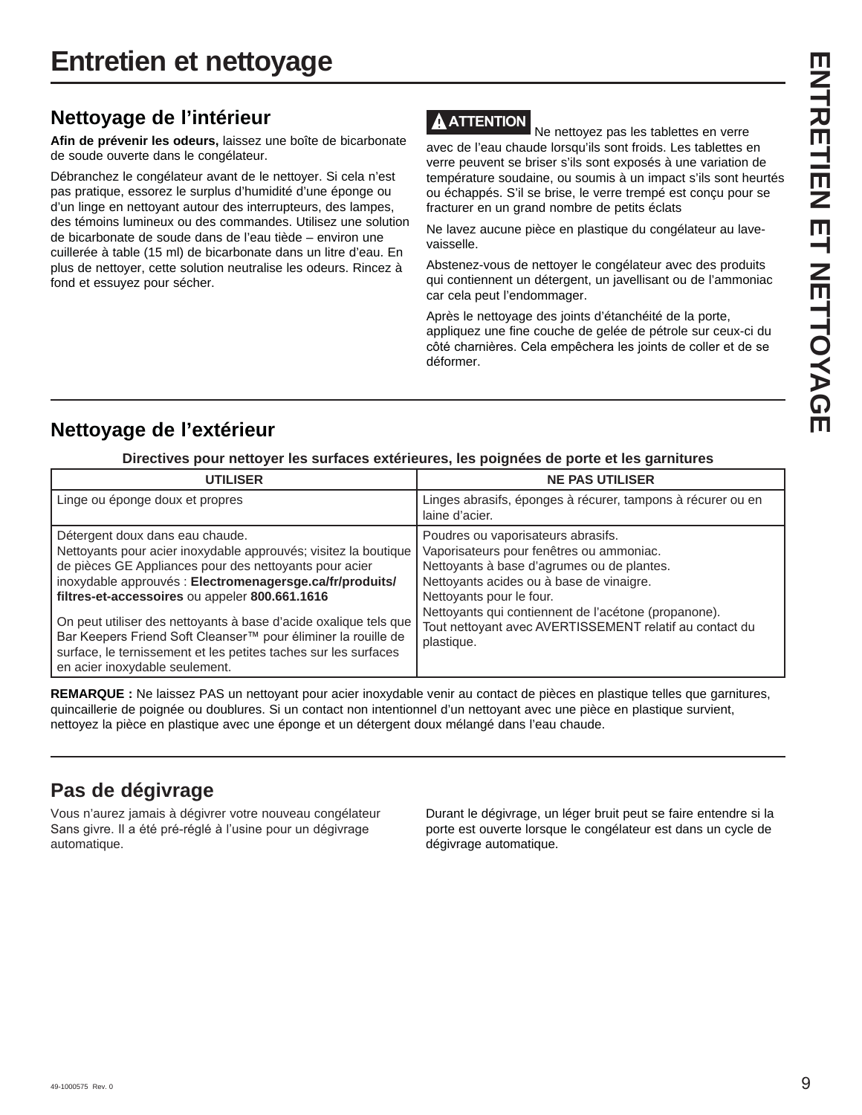# **Nettoyage de l'intérieur**

**Afin de prévenir les odeurs,** laissez une boîte de bicarbonate de soude ouverte dans le congélateur.

Débranchez le congélateur avant de le nettoyer. Si cela n'est pas pratique, essorez le surplus d'humidité d'une éponge ou d'un linge en nettoyant autour des interrupteurs, des lampes, des témoins lumineux ou des commandes. Utilisez une solution de bicarbonate de soude dans de l'eau tiède – environ une cuillerée à table (15 ml) de bicarbonate dans un litre d'eau. En plus de nettoyer, cette solution neutralise les odeurs. Rincez à fond et essuyez pour sécher.

# **ATTENTION**

 Ne nettoyez pas les tablettes en verre avec de l'eau chaude lorsqu'ils sont froids. Les tablettes en verre peuvent se briser s'ils sont exposés à une variation de température soudaine, ou soumis à un impact s'ils sont heurtés ou échappés. S'il se brise, le verre trempé est conçu pour se fracturer en un grand nombre de petits éclats

Ne lavez aucune pièce en plastique du congélateur au lavevaisselle.

Abstenez-vous de nettoyer le congélateur avec des produits qui contiennent un détergent, un javellisant ou de l'ammoniac car cela peut l'endommager.

Après le nettoyage des joints d'étanchéité de la porte, appliquez une fine couche de gelée de pétrole sur ceux-ci du côté charnières. Cela empêchera les joints de coller et de se déformer.

# **Nettoyage de l'extérieur**

## **Directives pour nettoyer les surfaces extérieures, les poignées de porte et les garnitures**

| <b>UTILISER</b>                                                                                                                                                                                                                                                                                                                                                                                                                                                                                                      | <b>NE PAS UTILISER</b>                                                                                                                                                                                                                                                                                                                |
|----------------------------------------------------------------------------------------------------------------------------------------------------------------------------------------------------------------------------------------------------------------------------------------------------------------------------------------------------------------------------------------------------------------------------------------------------------------------------------------------------------------------|---------------------------------------------------------------------------------------------------------------------------------------------------------------------------------------------------------------------------------------------------------------------------------------------------------------------------------------|
| Linge ou éponge doux et propres                                                                                                                                                                                                                                                                                                                                                                                                                                                                                      | Linges abrasifs, éponges à récurer, tampons à récurer ou en<br>laine d'acier.                                                                                                                                                                                                                                                         |
| Détergent doux dans eau chaude.<br>Nettoyants pour acier inoxydable approuvés; visitez la boutique<br>de pièces GE Appliances pour des nettoyants pour acier<br>inoxydable approuvés : Electromenagersge.ca/fr/produits/<br>filtres-et-accessoires ou appeler 800.661.1616<br>On peut utiliser des nettoyants à base d'acide oxalique tels que<br>Bar Keepers Friend Soft Cleanser™ pour éliminer la rouille de<br>surface, le ternissement et les petites taches sur les surfaces<br>en acier inoxydable seulement. | Poudres ou vaporisateurs abrasifs.<br>Vaporisateurs pour fenêtres ou ammoniac.<br>Nettoyants à base d'agrumes ou de plantes.<br>Nettoyants acides ou à base de vinaigre.<br>Nettoyants pour le four.<br>Nettoyants qui contiennent de l'acétone (propanone).<br>Tout nettoyant avec AVERTISSEMENT relatif au contact du<br>plastique. |

**REMARQUE :** Ne laissez PAS un nettoyant pour acier inoxydable venir au contact de pièces en plastique telles que garnitures, quincaillerie de poignée ou doublures. Si un contact non intentionnel d'un nettoyant avec une pièce en plastique survient, nettoyez la pièce en plastique avec une éponge et un détergent doux mélangé dans l'eau chaude.

# **Pas de dégivrage**

Vous n'aurez jamais à dégivrer votre nouveau congélateur Sans givre. Il a été pré-réglé à l'usine pour un dégivrage automatique.

Durant le dégivrage, un léger bruit peut se faire entendre si la porte est ouverte lorsque le congélateur est dans un cycle de dégivrage automatique.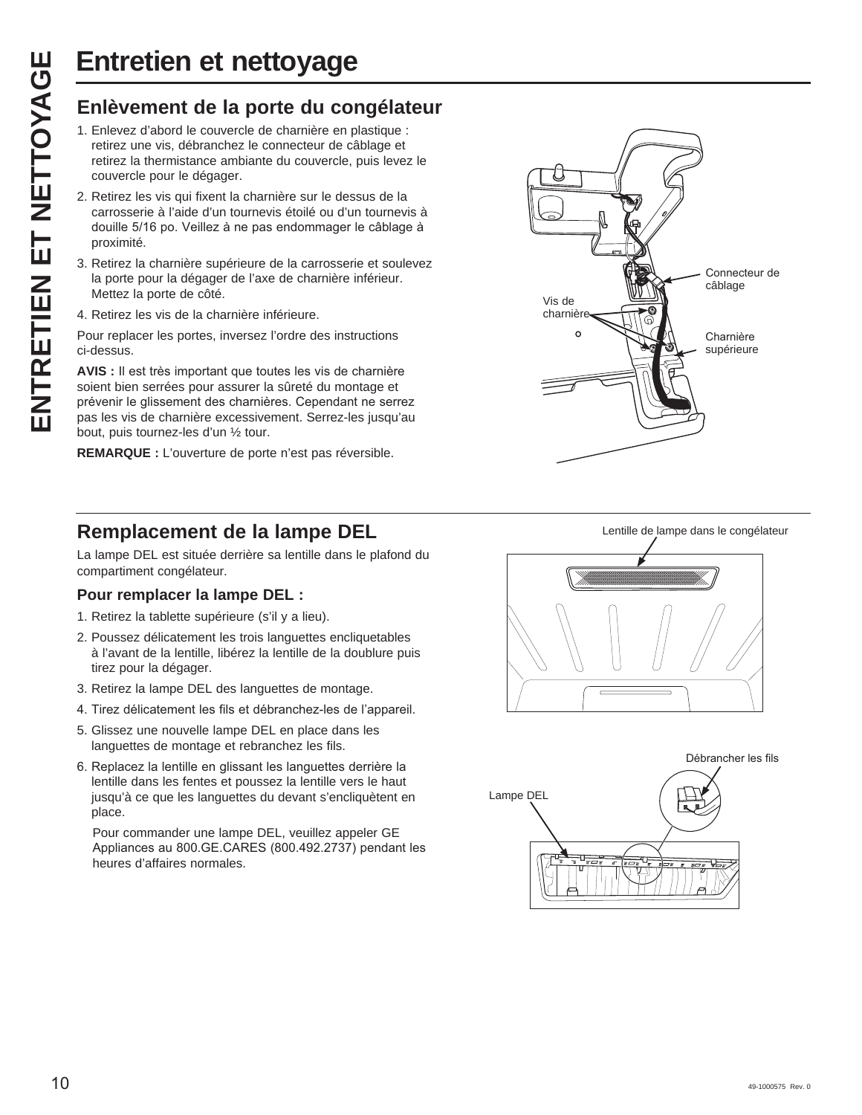- 1. Enlevez d'abord le couvercle de charnière en plastique : retirez une vis, débranchez le connecteur de câblage et retirez la thermistance ambiante du couvercle, puis levez le couvercle pour le dégager.
- 2. Retirez les vis qui fixent la charnière sur le dessus de la carrosserie à l'aide d'un tournevis étoilé ou d'un tournevis à douille 5/16 po. Veillez à ne pas endommager le câblage à proximité.
- 3. Retirez la charnière supérieure de la carrosserie et soulevez la porte pour la dégager de l'axe de charnière inférieur. Mettez la porte de côté.
- 4. Retirez les vis de la charnière inférieure.

Pour replacer les portes, inversez l'ordre des instructions ci-dessus.

Entretien et nettoyage<br>
Enlèvement de la porte du congélateur<br>
1. Enlevez d'abord le couvercle de chamière en plastique :<br>
retirez la thermistance ambiante du couvercle, puis levez le<br>
couvercle pour le dégager.<br>
2. Retire **AVIS** : Il est très important que toutes les vis de charnière soient bien serrées pour assurer la sûreté du montage et prévenir le glissement des charnières. Cependant ne serrez pas les vis de charnière excessivement. Serrez-les jusqu'au bout, puis tournez-les d'un ½ tour.

**REMARQUE :** L'ouverture de porte n'est pas réversible.



La lampe DEL est située derrière sa lentille dans le plafond du compartiment congélateur.

# **Pour remplacer la lampe DEL :**

- 1. Retirez la tablette supérieure (s'il y a lieu).
- 2. Poussez délicatement les trois languettes encliquetables à l'avant de la lentille, libérez la lentille de la doublure puis tirez pour la dégager.
- 3. Retirez la lampe DEL des languettes de montage.
- 4. Tirez délicatement les fils et débranchez-les de l'appareil.
- 5. Glissez une nouvelle lampe DEL en place dans les languettes de montage et rebranchez les fils.
- 6. Replacez la lentille en glissant les languettes derrière la lentille dans les fentes et poussez la lentille vers le haut jusqu'à ce que les languettes du devant s'encliquètent en place.

 Pour commander une lampe DEL, veuillez appeler GE Appliances au 800.GE.CARES (800.492.2737) pendant les heures d'affaires normales.





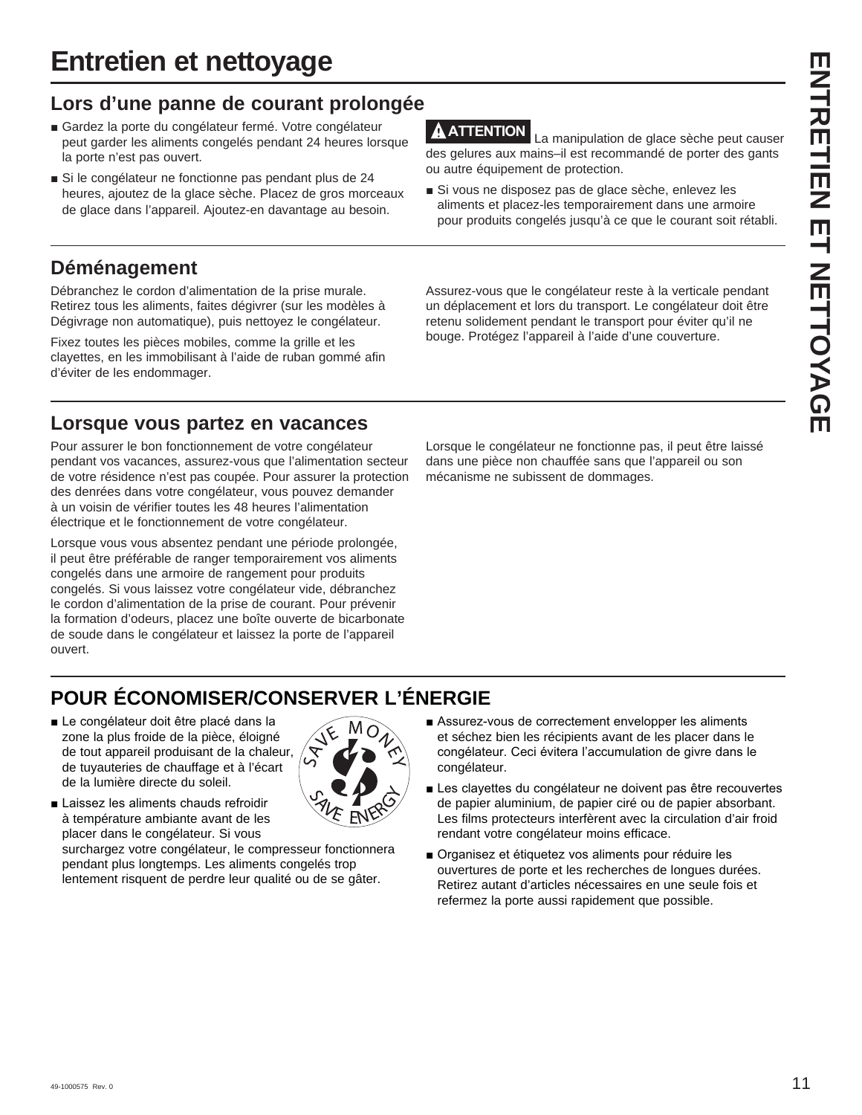# **Entretien et nettoyage**

# **Lors d'une panne de courant prolongée**

- Gardez la porte du congélateur fermé. Votre congélateur peut garder les aliments congelés pendant 24 heures lorsque la porte n'est pas ouvert.
- Si le congélateur ne fonctionne pas pendant plus de 24 heures, ajoutez de la glace sèche. Placez de gros morceaux de glace dans l'appareil. Ajoutez-en davantage au besoin.

# **Déménagement**

Débranchez le cordon d'alimentation de la prise murale. Retirez tous les aliments, faites dégivrer (sur les modèles à Dégivrage non automatique), puis nettoyez le congélateur.

Fixez toutes les pièces mobiles, comme la grille et les clayettes, en les immobilisant à l'aide de ruban gommé afin d'éviter de les endommager.

# **Lorsque vous partez en vacances**

Pour assurer le bon fonctionnement de votre congélateur pendant vos vacances, assurez-vous que l'alimentation secteur de votre résidence n'est pas coupée. Pour assurer la protection des denrées dans votre congélateur, vous pouvez demander à un voisin de vérifier toutes les 48 heures l'alimentation électrique et le fonctionnement de votre congélateur.

Lorsque vous vous absentez pendant une période prolongée, il peut être préférable de ranger temporairement vos aliments congelés dans une armoire de rangement pour produits congelés. Si vous laissez votre congélateur vide, débranchez le cordon d'alimentation de la prise de courant. Pour prévenir la formation d'odeurs, placez une boîte ouverte de bicarbonate de soude dans le congélateur et laissez la porte de l'appareil ouvert.

**ATTENTION** La manipulation de glace sèche peut causer des gelures aux mains–il est recommandé de porter des gants ou autre équipement de protection.

Si vous ne disposez pas de glace sèche, enlevez les aliments et placez-les temporairement dans une armoire pour produits congelés jusqu'à ce que le courant soit rétabli.

Assurez-vous que le congélateur reste à la verticale pendant un déplacement et lors du transport. Le congélateur doit être retenu solidement pendant le transport pour éviter qu'il ne bouge. Protégez l'appareil à l'aide d'une couverture.

Lorsque le congélateur ne fonctionne pas, il peut être laissé dans une pièce non chauffée sans que l'appareil ou son mécanisme ne subissent de dommages.

# **POUR ÉCONOMISER/CONSERVER L'ÉNERGIE**

Le congélateur doit être placé dans la zone la plus froide de la pièce, éloigné de tout appareil produisant de la chaleur, de tuyauteries de chauffage et à l'écart de la lumière directe du soleil.



Laissez les aliments chauds refroidir à température ambiante avant de les placer dans le congélateur. Si vous

surchargez votre congélateur, le compresseur fonctionnera pendant plus longtemps. Les aliments congelés trop lentement risquent de perdre leur qualité ou de se gâter.

- Assurez-vous de correctement envelopper les aliments et séchez bien les récipients avant de les placer dans le congélateur. Ceci évitera l'accumulation de givre dans le congélateur.
- Les clayettes du congélateur ne doivent pas être recouvertes de papier aluminium, de papier ciré ou de papier absorbant. Les films protecteurs interfèrent avec la circulation d'air froid rendant votre congélateur moins efficace.
- Organisez et étiquetez vos aliments pour réduire les ouvertures de porte et les recherches de longues durées. Retirez autant d'articles nécessaires en une seule fois et refermez la porte aussi rapidement que possible.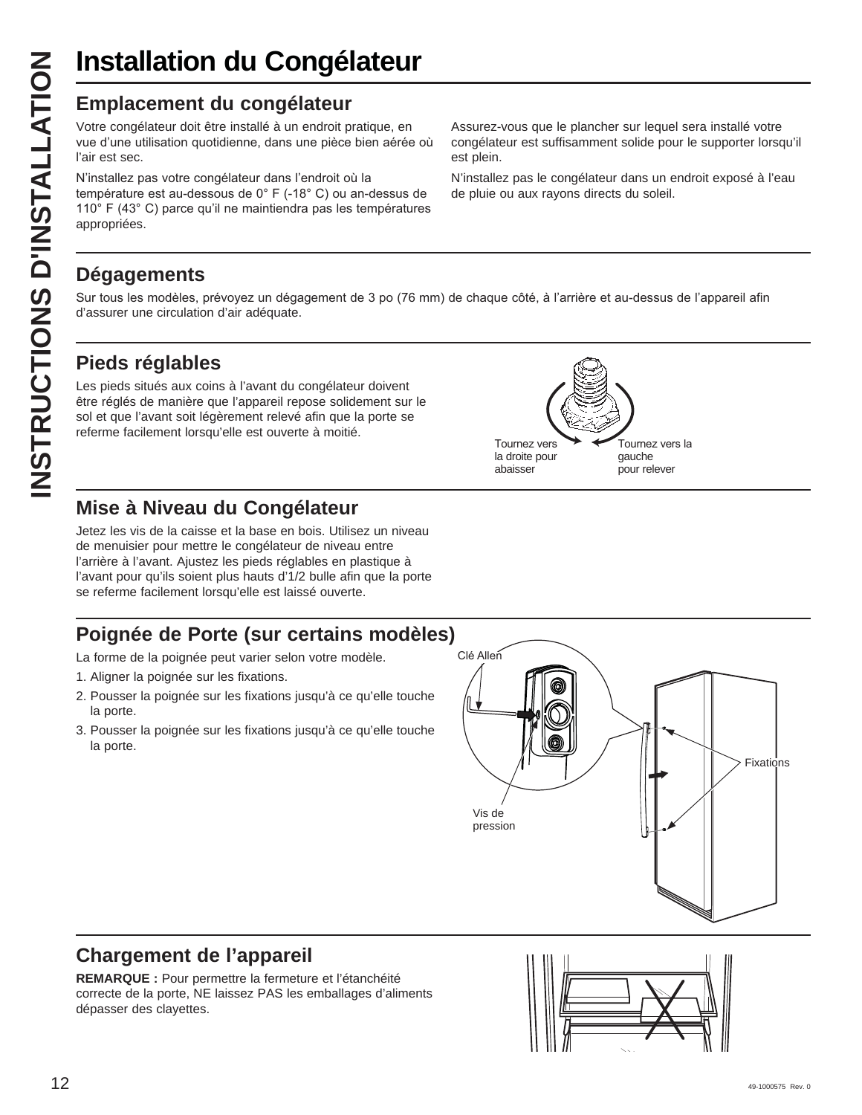# **Installation du Congélateur**

Votre congélateur doit être installé à un endroit pratique, en vue d'une utilisation quotidienne, dans une pièce bien aérée où l'air est sec.

N'installez pas votre congélateur dans l'endroit où la température est au-dessous de 0° F (-18° C) ou an-dessus de 110° F (43°C) parce qu'il ne maintiendra pas les températures appropriées.

Assurez-vous que le plancher sur lequel sera installé votre congélateur est suffisamment solide pour le supporter lorsqu'il est plein.

N'installez pas le congélateur dans un endroit exposé à l'eau de pluie ou aux rayons directs du soleil.

> Tournez vers la gauche pour relever

# **Dégagements**

Sur tous les modèles, prévoyez un dégagement de 3 po (76 mm) de chaque côté, à l'arrière et au-dessus de l'appareil afin d'assurer une circulation d'air adéquate.

> Tournez vers la droite pour abaisser

# **Pieds réglables**

**INSTRUCTIONS D'INSTALLATION Emplacement du congélateur** Les pieds situés aux coins à l'avant du congélateur doivent être réglés de manière que l'appareil repose solidement sur le sol et que l'avant soit légèrement relevé afin que la porte se referme facilement lorsqu'elle est ouverte à moitié.

# **Mise à Niveau du Congélateur**

Jetez les vis de la caisse et la base en bois. Utilisez un niveau de menuisier pour mettre le congélateur de niveau entre l'arrière à l'avant. Ajustez les pieds réglables en plastique à l'avant pour qu'ils soient plus hauts d'1/2 bulle afin que la porte se referme facilement lorsqu'elle est laissé ouverte.

# **Poignée de Porte (sur certains modèles)**

La forme de la poignée peut varier selon votre modèle.

- 1. Aligner la poignée sur les fixations.
- 2. Pousser la poignée sur les fixations jusqu'à ce qu'elle touche la porte.
- 3. Pousser la poignée sur les fixations jusqu'à ce qu'elle touche la porte.



# **Chargement de l'appareil**

**REMARQUE :** Pour permettre la fermeture et l'étanchéité correcte de la porte, NE laissez PAS les emballages d'aliments dépasser des clayettes.

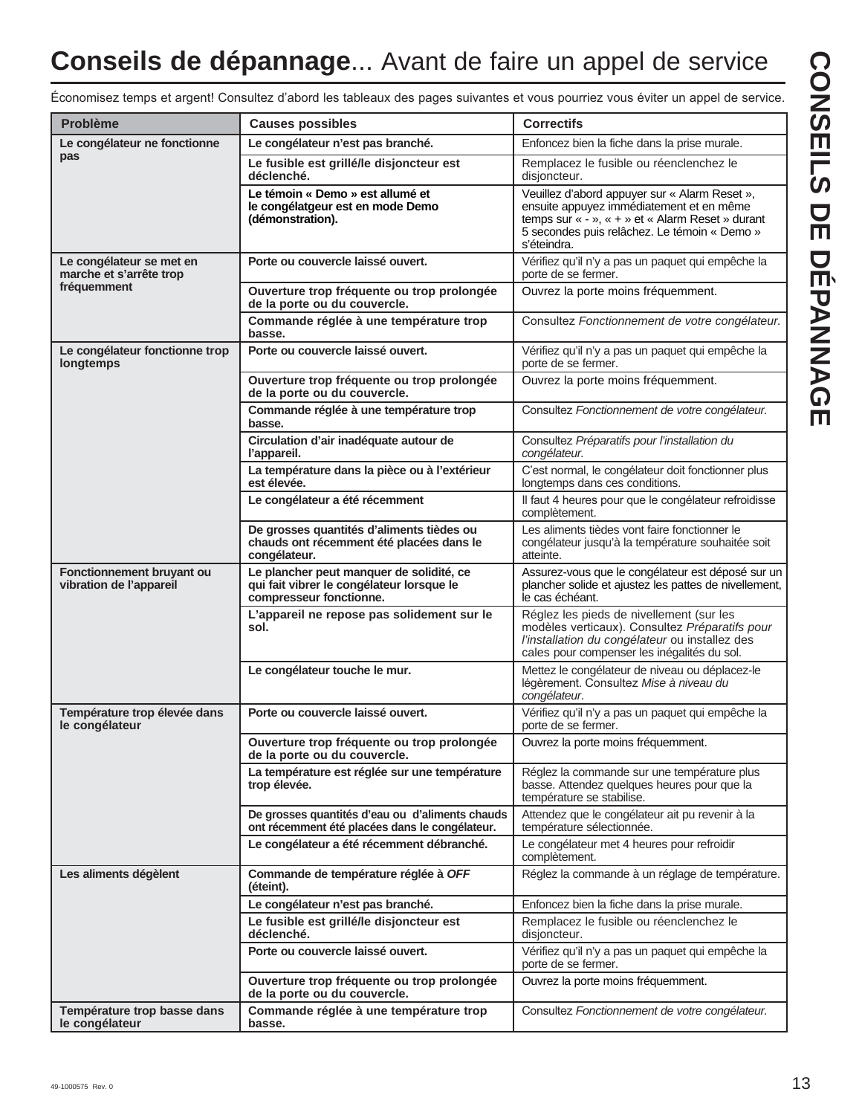# **Conseils de dépannage**... Avant de faire un appel de service

**CONSEILS DE DÉPANNAGE CONSEILS DE DÉPANNAGE**

Économisez temps et argent! Consultez d'abord les tableaux des pages suivantes et vous pourriez vous éviter un appel de service.

| <b>Problème</b>                                      | <b>Causes possibles</b>                                                                                          | <b>Correctifs</b>                                                                                                                                                                                            |
|------------------------------------------------------|------------------------------------------------------------------------------------------------------------------|--------------------------------------------------------------------------------------------------------------------------------------------------------------------------------------------------------------|
| Le congélateur ne fonctionne                         | Le congélateur n'est pas branché.                                                                                | Enfoncez bien la fiche dans la prise murale.                                                                                                                                                                 |
| pas                                                  | Le fusible est grillé/le disjoncteur est<br>déclenché.                                                           | Remplacez le fusible ou réenclenchez le<br>disjoncteur.                                                                                                                                                      |
|                                                      | Le témoin « Demo » est allumé et<br>le congélatgeur est en mode Demo<br>(démonstration).                         | Veuillez d'abord appuyer sur « Alarm Reset »,<br>ensuite appuyez immédiatement et en même<br>temps sur « - », « + » et « Alarm Reset » durant<br>5 secondes puis relâchez. Le témoin « Demo »<br>s'éteindra. |
| Le congélateur se met en<br>marche et s'arrête trop  | Porte ou couvercle laissé ouvert.                                                                                | Vérifiez qu'il n'y a pas un paquet qui empêche la<br>porte de se fermer.                                                                                                                                     |
| fréquemment                                          | Ouverture trop fréquente ou trop prolongée<br>de la porte ou du couvercle.                                       | Ouvrez la porte moins fréquemment.                                                                                                                                                                           |
|                                                      | Commande réglée à une température trop<br>basse.                                                                 | Consultez Fonctionnement de votre congélateur.                                                                                                                                                               |
| Le congélateur fonctionne trop<br>longtemps          | Porte ou couvercle laissé ouvert.                                                                                | Vérifiez qu'il n'y a pas un paquet qui empêche la<br>porte de se fermer.                                                                                                                                     |
|                                                      | Ouverture trop fréquente ou trop prolongée<br>de la porte ou du couvercle.                                       | Ouvrez la porte moins fréquemment.                                                                                                                                                                           |
|                                                      | Commande réglée à une température trop<br>basse.                                                                 | Consultez Fonctionnement de votre congélateur.                                                                                                                                                               |
|                                                      | Circulation d'air inadéquate autour de<br>l'appareil.                                                            | Consultez Préparatifs pour l'installation du<br>congélateur.                                                                                                                                                 |
|                                                      | La température dans la pièce ou à l'extérieur<br>est élevée.                                                     | C'est normal, le congélateur doit fonctionner plus<br>longtemps dans ces conditions.                                                                                                                         |
|                                                      | Le congélateur a été récemment                                                                                   | Il faut 4 heures pour que le congélateur refroidisse<br>complètement.                                                                                                                                        |
|                                                      | De grosses quantités d'aliments tièdes ou<br>chauds ont récemment été placées dans le<br>congélateur.            | Les aliments tièdes vont faire fonctionner le<br>congélateur jusqu'à la température souhaitée soit<br>atteinte.                                                                                              |
| Fonctionnement bruyant ou<br>vibration de l'appareil | Le plancher peut manquer de solidité, ce<br>qui fait vibrer le congélateur lorsque le<br>compresseur fonctionne. | Assurez-vous que le congélateur est déposé sur un<br>plancher solide et ajustez les pattes de nivellement,<br>le cas échéant.                                                                                |
|                                                      | L'appareil ne repose pas solidement sur le<br>sol.                                                               | Réglez les pieds de nivellement (sur les<br>modèles verticaux). Consultez Préparatifs pour<br>l'installation du congélateur ou installez des<br>cales pour compenser les inégalités du sol.                  |
|                                                      | Le congélateur touche le mur.                                                                                    | Mettez le congélateur de niveau ou déplacez-le<br>légèrement. Consultez Mise à niveau du<br>congélateur.                                                                                                     |
| Température trop élevée dans<br>le congélateur       | Porte ou couvercle laissé ouvert.                                                                                | Vérifiez qu'il n'y a pas un paquet qui empêche la<br>porte de se fermer.                                                                                                                                     |
|                                                      | Ouverture trop fréquente ou trop prolongée<br>de la porte ou du couvercle.                                       | Ouvrez la porte moins fréquemment.                                                                                                                                                                           |
|                                                      | La température est réglée sur une température<br>trop élevée.                                                    | Réglez la commande sur une température plus<br>basse. Attendez quelques heures pour que la<br>température se stabilise.                                                                                      |
|                                                      | De grosses quantités d'eau ou d'aliments chauds<br>ont récemment été placées dans le congélateur.                | Attendez que le congélateur ait pu revenir à la<br>température sélectionnée.                                                                                                                                 |
|                                                      | Le congélateur a été récemment débranché.                                                                        | Le congélateur met 4 heures pour refroidir<br>complètement.                                                                                                                                                  |
| Les aliments dégèlent                                | Commande de température réglée à OFF<br>(éteint).                                                                | Réglez la commande à un réglage de température.                                                                                                                                                              |
|                                                      | Le congélateur n'est pas branché.                                                                                | Enfoncez bien la fiche dans la prise murale.                                                                                                                                                                 |
|                                                      | Le fusible est grillé/le disjoncteur est<br>déclenché.                                                           | Remplacez le fusible ou réenclenchez le<br>disjoncteur.                                                                                                                                                      |
|                                                      | Porte ou couvercle laissé ouvert.                                                                                | Vérifiez qu'il n'y a pas un paquet qui empêche la<br>porte de se fermer.                                                                                                                                     |
|                                                      | Ouverture trop fréquente ou trop prolongée<br>de la porte ou du couvercle.                                       | Ouvrez la porte moins fréquemment.                                                                                                                                                                           |
| Température trop basse dans<br>le congélateur        | Commande réglée à une température trop<br>basse.                                                                 | Consultez Fonctionnement de votre congélateur.                                                                                                                                                               |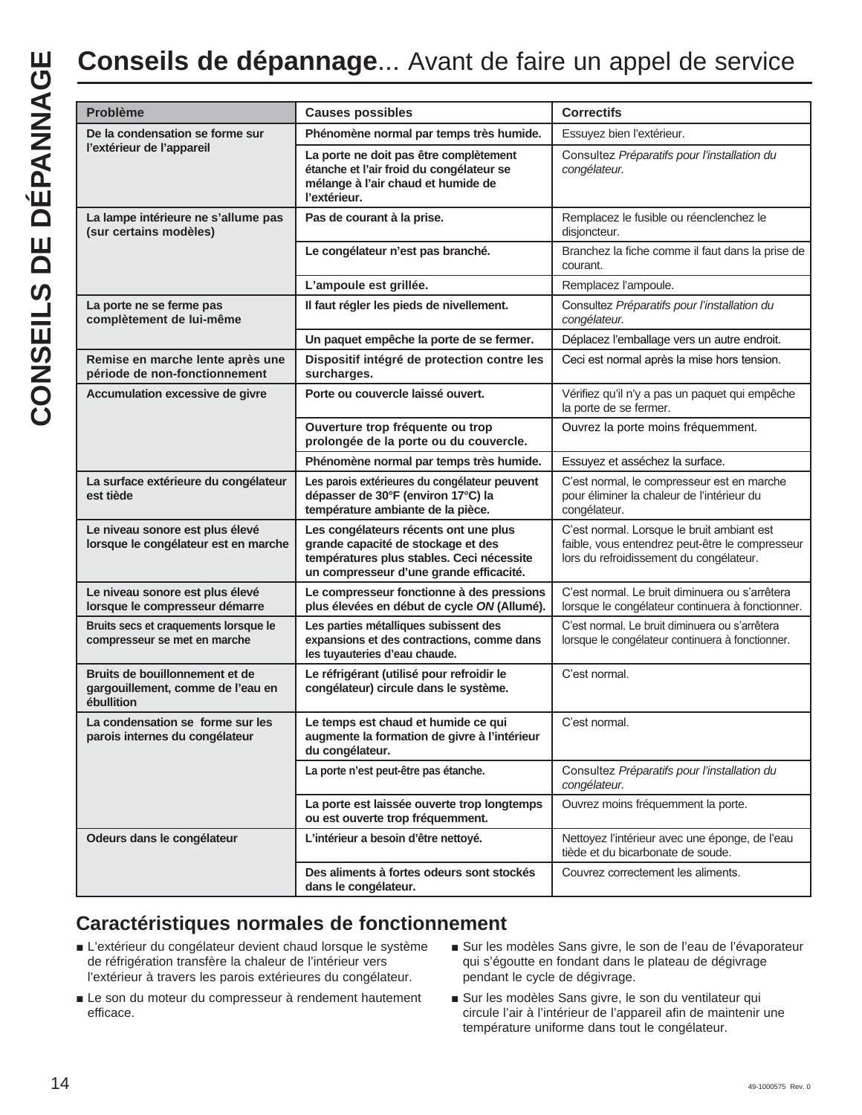| <b>Problème</b>                                                                   | <b>Causes possibles</b>                                                                                                                                             | <b>Correctifs</b>                                                                                                                        |
|-----------------------------------------------------------------------------------|---------------------------------------------------------------------------------------------------------------------------------------------------------------------|------------------------------------------------------------------------------------------------------------------------------------------|
| De la condensation se forme sur                                                   | Phénomène normal par temps très humide.                                                                                                                             | Essuyez bien l'extérieur.                                                                                                                |
| l'extérieur de l'appareil                                                         | La porte ne doit pas être complètement<br>étanche et l'air froid du congélateur se<br>mélange à l'air chaud et humide de<br>l'extérieur.                            | Consultez Préparatifs pour l'installation du<br>congélateur.                                                                             |
| La lampe intérieure ne s'allume pas<br>(sur certains modèles)                     | Pas de courant à la prise.                                                                                                                                          | Remplacez le fusible ou réenclenchez le<br>disjoncteur.                                                                                  |
|                                                                                   | Le congélateur n'est pas branché.                                                                                                                                   | Branchez la fiche comme il faut dans la prise de<br>courant.                                                                             |
|                                                                                   | L'ampoule est grillée.                                                                                                                                              | Remplacez l'ampoule.                                                                                                                     |
| La porte ne se ferme pas<br>complètement de lui-même                              | Il faut régler les pieds de nivellement.                                                                                                                            | Consultez Préparatifs pour l'installation du<br>congélateur.                                                                             |
|                                                                                   | Un paquet empêche la porte de se fermer.                                                                                                                            | Déplacez l'emballage vers un autre endroit.                                                                                              |
| Remise en marche lente après une<br>période de non-fonctionnement                 | Dispositif intégré de protection contre les<br>surcharges.                                                                                                          | Ceci est normal après la mise hors tension.                                                                                              |
| Accumulation excessive de givre                                                   | Porte ou couvercle laissé ouvert.                                                                                                                                   | Vérifiez qu'il n'y a pas un paquet qui empêche<br>la porte de se fermer.                                                                 |
|                                                                                   | Ouverture trop fréquente ou trop<br>prolongée de la porte ou du couvercle.                                                                                          | Ouvrez la porte moins fréquemment.                                                                                                       |
|                                                                                   | Phénomène normal par temps très humide.                                                                                                                             | Essuyez et asséchez la surface.                                                                                                          |
| La surface extérieure du congélateur<br>est tiède                                 | Les parois extérieures du congélateur peuvent<br>dépasser de 30°F (environ 17°C) la<br>température ambiante de la pièce.                                            | C'est normal, le compresseur est en marche<br>pour éliminer la chaleur de l'intérieur du<br>congélateur.                                 |
| Le niveau sonore est plus élevé<br>lorsque le congélateur est en marche           | Les congélateurs récents ont une plus<br>grande capacité de stockage et des<br>températures plus stables. Ceci nécessite<br>un compresseur d'une grande efficacité. | C'est normal. Lorsque le bruit ambiant est<br>faible, vous entendrez peut-être le compresseur<br>lors du refroidissement du congélateur. |
| Le niveau sonore est plus élevé<br>lorsque le compresseur démarre                 | Le compresseur fonctionne à des pressions<br>plus élevées en début de cycle ON (Allumé).                                                                            | C'est normal. Le bruit diminuera ou s'arrêtera<br>lorsque le congélateur continuera à fonctionner.                                       |
| Bruits secs et craquements lorsque le<br>compresseur se met en marche             | Les parties métalliques subissent des<br>expansions et des contractions, comme dans<br>les tuyauteries d'eau chaude.                                                | C'est normal. Le bruit diminuera ou s'arrêtera<br>lorsque le congélateur continuera à fonctionner.                                       |
| Bruits de bouillonnement et de<br>gargouillement, comme de l'eau en<br>ébullition | Le réfrigérant (utilisé pour refroidir le<br>congélateur) circule dans le système.                                                                                  | C'est normal.                                                                                                                            |
| La condensation se forme sur les<br>parois internes du congélateur                | Le temps est chaud et humide ce qui<br>augmente la formation de givre à l'intérieur<br>du congélateur.                                                              | C'est normal.                                                                                                                            |
|                                                                                   | La porte n'est peut-être pas étanche.                                                                                                                               | Consultez Préparatifs pour l'installation du<br>congélateur.                                                                             |
|                                                                                   | La porte est laissée ouverte trop longtemps<br>ou est ouverte trop fréquemment.                                                                                     | Ouvrez moins fréquemment la porte.                                                                                                       |
| Odeurs dans le congélateur                                                        | L'intérieur a besoin d'être nettoyé.                                                                                                                                | Nettoyez l'intérieur avec une éponge, de l'eau<br>tiède et du bicarbonate de soude.                                                      |
|                                                                                   | Des aliments à fortes odeurs sont stockés                                                                                                                           | Couvrez correctement les aliments.                                                                                                       |

# **Caractéristiques normales de fonctionnement**

- L'extérieur du congélateur devient chaud lorsque le système de réfrigération transfère la chaleur de l'intérieur vers l'extérieur à travers les parois extérieures du congélateur.
- Le son du moteur du compresseur à rendement hautement efficace.
- Sur les modèles Sans givre, le son de l'eau de l'évaporateur qui s'égoutte en fondant dans le plateau de dégivrage pendant le cycle de dégivrage.
- Sur les modèles Sans givre, le son du ventilateur qui circule l'air à l'intérieur de l'appareil afin de maintenir une température uniforme dans tout le congélateur.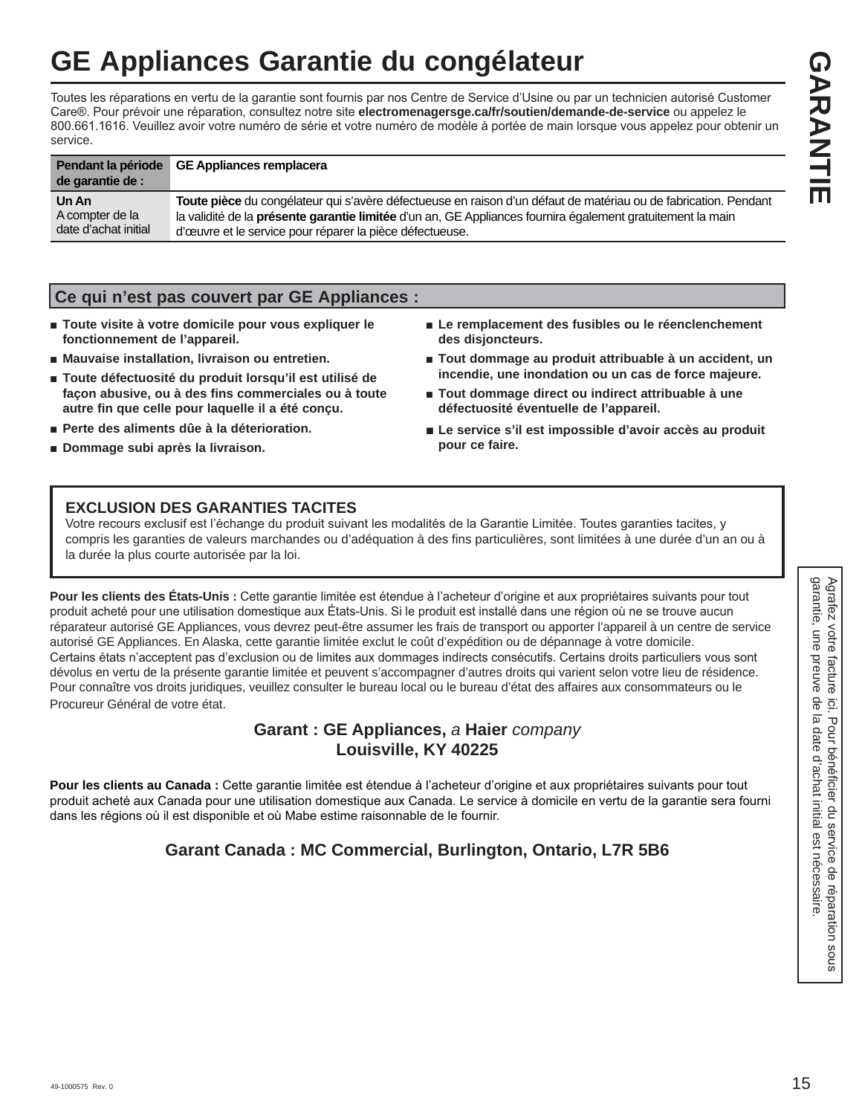# **GE Appliances Garantie du congélateur**

Toutes les réparations en vertu de la garantie sont fournis par nos Centre de Service d'Usine ou par un technicien autorisé Customer Care®. Pour prévoir une réparation, consultez notre site electromenagersge.ca/fr/soutien/demande-de-service ou appelez le 800.661.1616. Veuillez avoir votre numéro de série et votre numéro de modèle à portée de main lorsque vous appelez pour obtenir un service.

| Pendant la période<br>de garantie de : | <b>GE Appliances remplacera</b>                                                                                 |
|----------------------------------------|-----------------------------------------------------------------------------------------------------------------|
| Un An                                  | Toute pièce du congélateur qui s'avère défectueuse en raison d'un défaut de matériau ou de fabrication. Pendant |
| A compter de la                        | la validité de la présente garantie limitée d'un an, GE Appliances fournira également gratuitement la main      |
| date d'achat initial                   | d'œuvre et le service pour réparer la pièce défectueuse.                                                        |

## **Ce qui n'est pas couvert par GE Appliances :**

- Toute visite à votre domicile pour vous expliquer le **fonctionnement de l'appareil.**
- $\blacksquare$  Mauvaise installation, livraison ou entretien.
- **Ŷ Toute défectuosité du produit lorsqu'il est utilisé de façon abusive, ou à des fins commerciales ou à toute autre fin que celle pour laquelle il a été conçu.**
- **Perte des aliments dûe à la déterioration.**
- **Ŷ Dommage subi après la livraison.**
- Le remplacement des fusibles ou le réenclenchement **des disjoncteurs.**
- Tout dommage au produit attribuable à un accident, un **incendie, une inondation ou un cas de force majeure.**
- Tout dommage direct ou indirect attribuable à une **défectuosité éventuelle de l'appareil.**
- Le service s'il est impossible d'avoir accès au produit **pour ce faire.**

# **EXCLUSION DES GARANTIES TACITES**

Votre recours exclusif est l'échange du produit suivant les modalités de la Garantie Limitée. Toutes garanties tacites, y compris les garanties de valeurs marchandes ou d'adéquation à des fins particulières, sont limitées à une durée d'un an ou à la durée la plus courte autorisée par la loi.

Pour les clients des États-Unis : Cette garantie limitée est étendue à l'acheteur d'origine et aux propriétaires suivants pour tout produit acheté pour une utilisation domestique aux États-Unis. Si le produit est installé dans une région où ne se trouve aucun réparateur autorisé GE Appliances, vous devrez peut-être assumer les frais de transport ou apporter l'appareil à un centre de service autorisé GE Appliances. En Alaska, cette garantie limitée exclut le coût d'expédition ou de dépannage à votre domicile. Certains états n'acceptent pas d'exclusion ou de limites aux dommages indirects consécutifs. Certains droits particuliers vous sont dévolus en vertu de la présente garantie limitée et peuvent s'accompagner d'autres droits qui varient selon votre lieu de résidence. Pour connaître vos droits juridiques, veuillez consulter le bureau local ou le bureau d'état des affaires aux consommateurs ou le Procureur Général de votre état.

# **Garant : GE Appliances,** *a* **Haier** *company*  **Louisville, KY 40225**

Pour les clients au Canada : Cette garantie limitée est étendue à l'acheteur d'origine et aux propriétaires suivants pour tout produit acheté aux Canada pour une utilisation domestique aux Canada. Le service à domicile en vertu de la garantie sera fourni dans les régions où il est disponible et où Mabe estime raisonnable de le fournir.

# **Garant Canada : MC Commercial, Burlington, Ontario, L7R 5B6**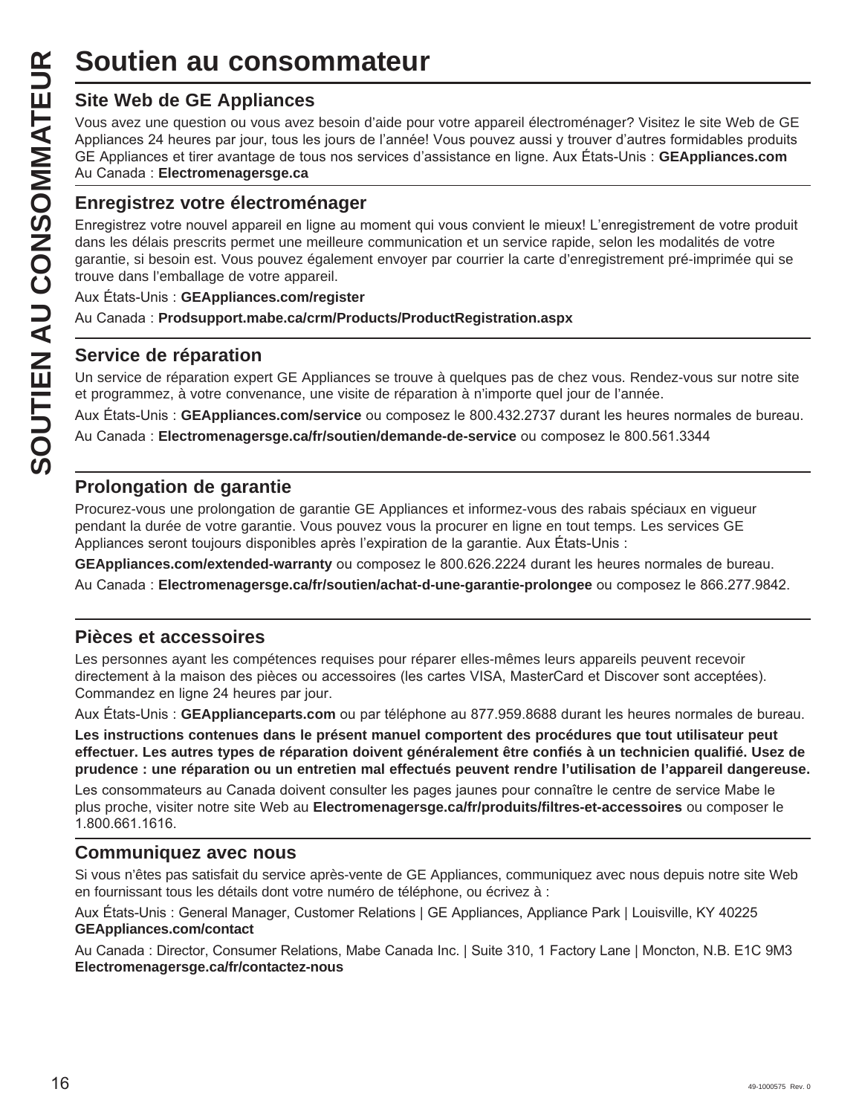# **Site Web de GE Appliances**

Vous avez une question ou vous avez besoin d'aide pour votre appareil électroménager? Visitez le site Web de GE Appliances 24 heures par jour, tous les jours de l'année! Vous pouvez aussi y trouver d'autres formidables produits GE Appliances et tirer avantage de tous nos services d'assistance en ligne. Aux États-Unis : GEAppliances.com Au Canada: Electromenagersge.ca

# **Enregistrez votre électroménager**

**Soutien au consommateur<br>
Site Web de GE Appliances**<br>
Yous avez une question ou vous avez besoin d'aide pou<br>
Appliances 24 heures par jour, tous les jours de l'année!<br>
GE Appliances et tirer avantage de tous nos services d Enregistrez votre nouvel appareil en ligne au moment qui vous convient le mieux! L'enregistrement de votre produit dans les délais prescrits permet une meilleure communication et un service rapide, selon les modalités de votre garantie, si besoin est. Vous pouvez également envoyer par courrier la carte d'enregistrement pré-imprimée qui se trouve dans l'emballage de votre appareil.

Aux États-Unis : **GEAppliances.com/register** 

Au Canada: Prodsupport.mabe.ca/crm/Products/ProductRegistration.aspx

# **Service de réparation**

Un service de réparation expert GE Appliances se trouve à quelques pas de chez vous. Rendez-vous sur notre site et programmez, à votre convenance, une visite de réparation à n'importe quel jour de l'année.

Aux États-Unis : GEAppliances.com/service ou composez le 800.432.2737 durant les heures normales de bureau.

Au Canada: Electromenagersge.ca/fr/soutien/demande-de-service ou composez le 800.561.3344

# **Prolongation de garantie**

Procurez-vous une prolongation de garantie GE Appliances et informez-vous des rabais spéciaux en vigueur pendant la durée de votre garantie. Vous pouvez vous la procurer en ligne en tout temps. Les services GE Appliances seront toujours disponibles après l'expiration de la garantie. Aux États-Unis :

GEAppliances.com/extended-warranty ou composez le 800.626.2224 durant les heures normales de bureau.

Au Canada : Electromenagersge.ca/fr/soutien/achat-d-une-garantie-prolongee ou composez le 866.277.9842.

# **Pièces et accessoires**

Les personnes ayant les compétences requises pour réparer elles-mêmes leurs appareils peuvent recevoir directement à la maison des pièces ou accessoires (les cartes VISA, MasterCard et Discover sont acceptées). Commandez en ligne 24 heures par jour.

Aux États-Unis : GEApplianceparts.com ou par téléphone au 877.959.8688 durant les heures normales de bureau.

**Les instructions contenues dans le présent manuel comportent des procédures que tout utilisateur peut effectuer. Les autres types de réparation doivent généralement être confiés à un technicien qualifié. Usez de prudence : une réparation ou un entretien mal effectués peuvent rendre l'utilisation de l'appareil dangereuse.**

Les consommateurs au Canada doivent consulter les pages jaunes pour connaître le centre de service Mabe le plus proche, visiter notre site Web au **Electromenagersge.ca/fr/produits/filtres-et-accessoires** ou composer le 1.800.661.1616.

# **Communiquez avec nous**

Si vous n'êtes pas satisfait du service après-vente de GE Appliances, communiquez avec nous depuis notre site Web en fournissant tous les détails dont votre numéro de téléphone, ou écrivez à :

Aux États-Unis : General Manager, Customer Relations | GE Appliances, Appliance Park | Louisville, KY 40225 **GEAppliances.com/contact**

Au Canada: Director, Consumer Relations, Mabe Canada Inc. | Suite 310, 1 Factory Lane | Moncton, N.B. E1C 9M3 **Electromenagersge.ca/fr/contactez-nous**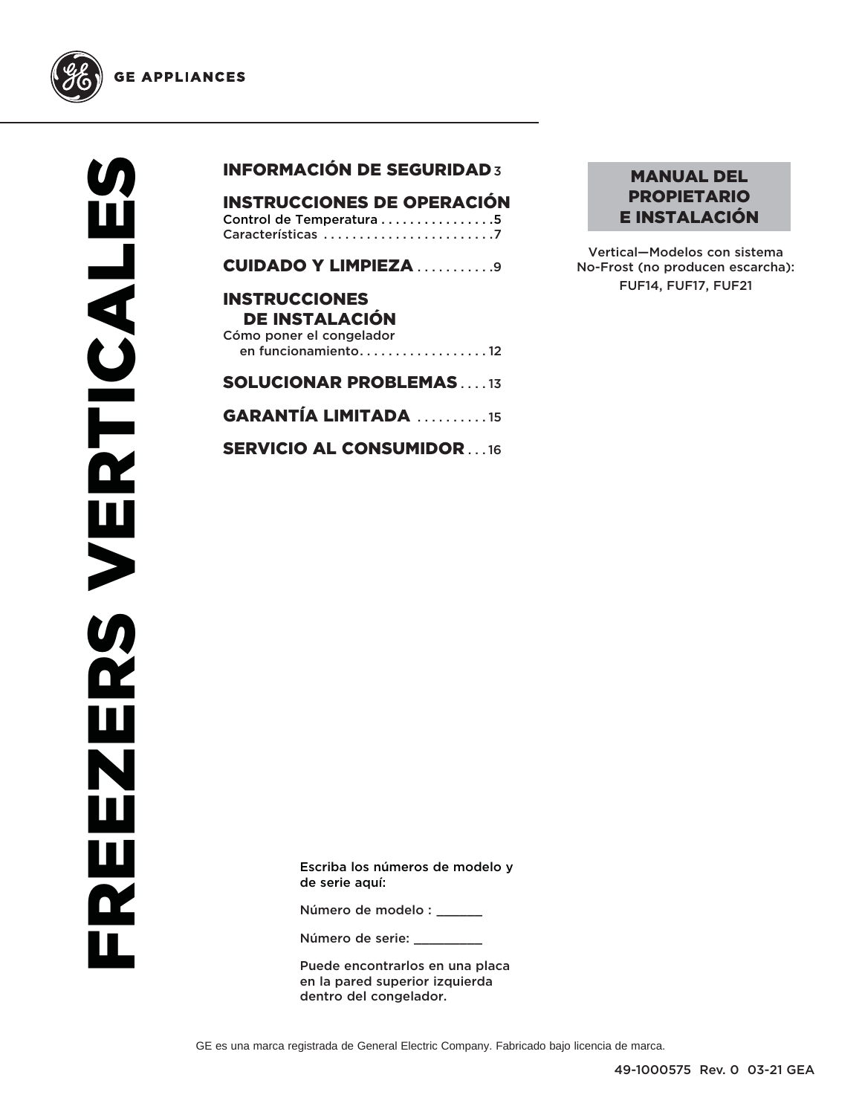

**GE APPLIANCES** 

# INFORMACIÓN DE SEGURIDAD 3

| <b>INSTRUCCIONES DE OPERACIÓN</b> |  |
|-----------------------------------|--|
| Control de Temperatura 5          |  |
|                                   |  |

CUIDADO Y LIMPIEZA . . . . . . . . . . 9

## INSTRUCCIONES DE INSTALACIÓN Cómo poner el congelador en funcionamiento . . . . . . . . . . . . . . . . . . 12

# SOLUCIONAR PROBLEMAS . . . . 13

GARANTÍA LIMITADA . . . . . . . . . . 15

SERVICIO AL CONSUMIDOR . . . 16

## MANUAL DEL PROPIETARIO E INSTALACIÓN

Vertical—Modelos con sistema No-Frost (no producen escarcha): FUF14, FUF17, FUF21

Escriba los números de modelo y de serie aquí:

Número de modelo : \_\_\_\_\_\_

Número de serie:

Puede encontrarlos en una placa en la pared superior izquierda dentro del congelador.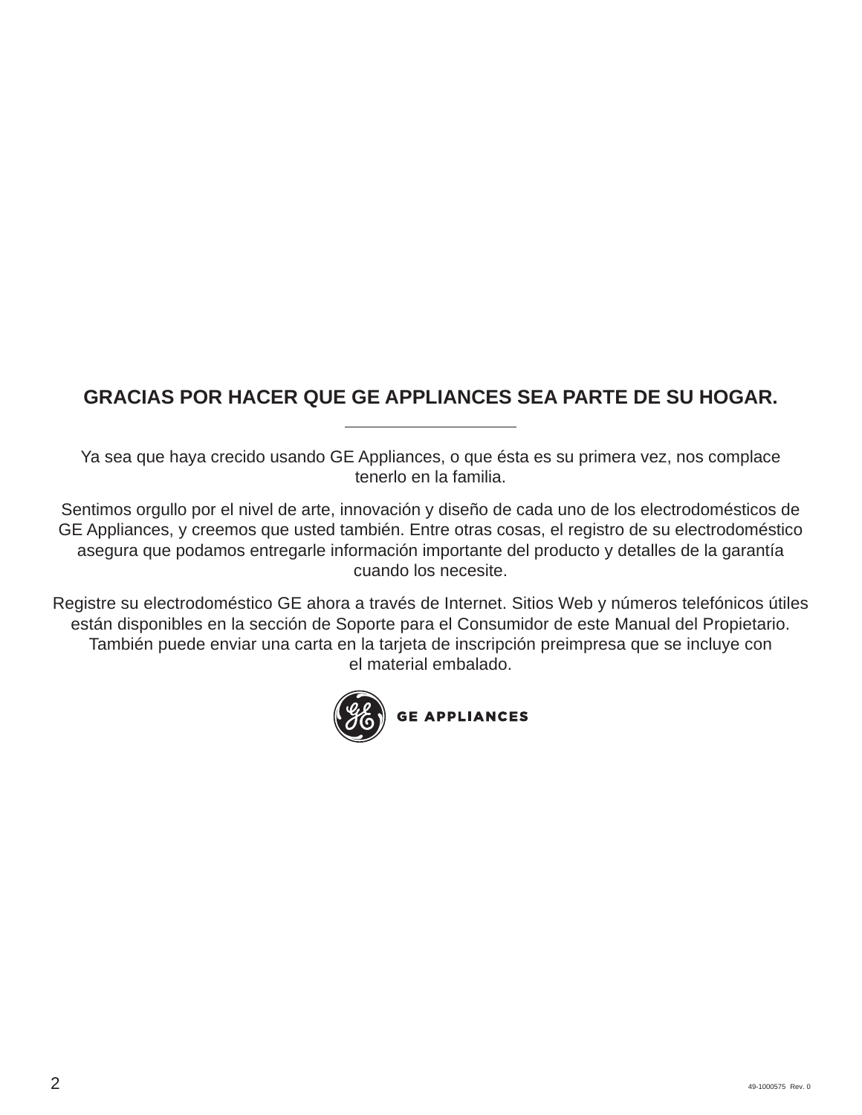# **GRACIAS POR HACER QUE GE APPLIANCES SEA PARTE DE SU HOGAR.**

Ya sea que haya crecido usando GE Appliances, o que ésta es su primera vez, nos complace tenerlo en la familia.

Sentimos orgullo por el nivel de arte, innovación y diseño de cada uno de los electrodomésticos de GE Appliances, y creemos que usted también. Entre otras cosas, el registro de su electrodoméstico asegura que podamos entregarle información importante del producto y detalles de la garantía cuando los necesite.

Registre su electrodoméstico GE ahora a través de Internet. Sitios Web y números telefónicos útiles están disponibles en la sección de Soporte para el Consumidor de este Manual del Propietario. También puede enviar una carta en la tarjeta de inscripción preimpresa que se incluye con el material embalado.

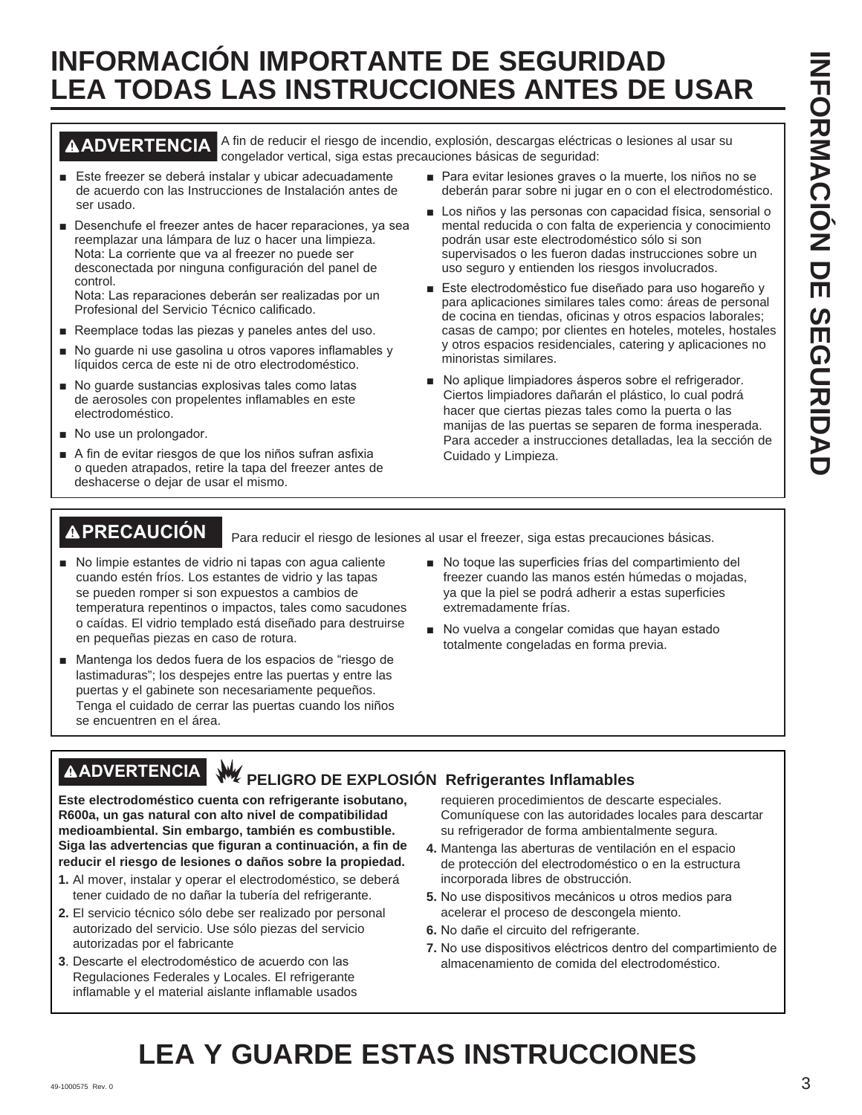# **INFORMACIÓN IMPORTANTE DE SEGURIDAD LEA TODAS LAS INSTRUCCIONES ANTES DE USAR**

**ADVERTENCIA** A fin de reducir el riesgo de incendio, explosión, descargas eléctricas o lesiones al usar su congelador vertical, siga estas precauciones básicas de seguridad:

- Este freezer se deberá instalar y ubicar adecuadamente de acuerdo con las Instrucciones de Instalación antes de ser usado.
- Desenchufe el freezer antes de hacer reparaciones, ya sea reemplazar una lámpara de luz o hacer una limpieza. Nota: La corriente que va al freezer no puede ser desconectada por ninguna configuración del panel de control.

Nota: Las reparaciones deberán ser realizadas por un Profesional del Servicio Técnico calificado.

- Reemplace todas las piezas y paneles antes del uso.
- No quarde ni use qasolina u otros vapores inflamables y líquidos cerca de este ni de otro electrodoméstico.
- No guarde sustancias explosivas tales como latas de aerosoles con propelentes inflamables en este electrodoméstico.
- No use un prolongador.
- A fin de evitar riesgos de que los niños sufran asfixia o queden atrapados, retire la tapa del freezer antes de deshacerse o dejar de usar el mismo.
- Para evitar lesiones graves o la muerte, los niños no se deberán parar sobre ni jugar en o con el electrodoméstico.
- Los niños y las personas con capacidad física, sensorial o mental reducida o con falta de experiencia y conocimiento podrán usar este electrodoméstico sólo si son supervisados o les fueron dadas instrucciones sobre un uso seguro y entienden los riesgos involucrados.
- Este electrodoméstico fue diseñado para uso hogareño y para aplicaciones similares tales como: áreas de personal de cocina en tiendas, oficinas y otros espacios laborales; casas de campo; por clientes en hoteles, moteles, hostales y otros espacios residenciales, catering y aplicaciones no minoristas similares.
- No aplique limpiadores ásperos sobre el refrigerador. Ciertos limpiadores dañarán el plástico, lo cual podrá hacer que ciertas piezas tales como la puerta o las manijas de las puertas se separen de forma inesperada. Para acceder a instrucciones detalladas, lea la sección de Cuidado y Limpieza.

**PRECAUCIÓN** Para reducir el riesgo de lesiones al usar el freezer, siga estas precauciones básicas.

- No limpie estantes de vidrio ni tapas con agua caliente cuando estén fríos. Los estantes de vidrio y las tapas se pueden romper si son expuestos a cambios de temperatura repentinos o impactos, tales como sacudones o caídas. El vidrio templado está diseñado para destruirse en pequeñas piezas en caso de rotura.
- Mantenga los dedos fuera de los espacios de "riesgo de lastimaduras"; los despejes entre las puertas y entre las puertas y el gabinete son necesariamente pequeños. Tenga el cuidado de cerrar las puertas cuando los niños se encuentren en el área.
- No toque las superficies frías del compartimiento del freezer cuando las manos estén húmedas o mojadas, ya que la piel se podrá adherir a estas superficies extremadamente frías.
- No vuelva a congelar comidas que hayan estado totalmente congeladas en forma previa.

# **AADVERTENCIA** W PELIGRO DE EXPLOSIÓN Refrigerantes Inflamables

**Este electrodoméstico cuenta con refrigerante isobutano, R600a, un gas natural con alto nivel de compatibilidad medioambiental. Sin embargo, también es combustible. Siga las advertencias que figuran a continuación, a fin de reducir el riesgo de lesiones o daños sobre la propiedad.**

- **1.** Al mover, instalar y operar el electrodoméstico, se deberá tener cuidado de no dañar la tubería del refrigerante.
- **2.** El servicio técnico sólo debe ser realizado por personal autorizado del servicio. Use sólo piezas del servicio autorizadas por el fabricante
- **3**. Descarte el electrodoméstico de acuerdo con las Regulaciones Federales y Locales. El refrigerante inflamable y el material aislante inflamable usados

requieren procedimientos de descarte especiales. Comuníquese con las autoridades locales para descartar su refrigerador de forma ambientalmente segura.

- **4.** Mantenga las aberturas de ventilación en el espacio de protección del electrodoméstico o en la estructura incorporada libres de obstrucción.
- 5. No use dispositivos mecánicos u otros medios para acelerar el proceso de descongela miento.
- 6. No dañe el circuito del refrigerante.
- **7.** No use dispositivos eléctricos dentro del compartimiento de almacenamiento de comida del electrodoméstico.

# **LEA Y GUARDE ESTAS INSTRUCCIONES**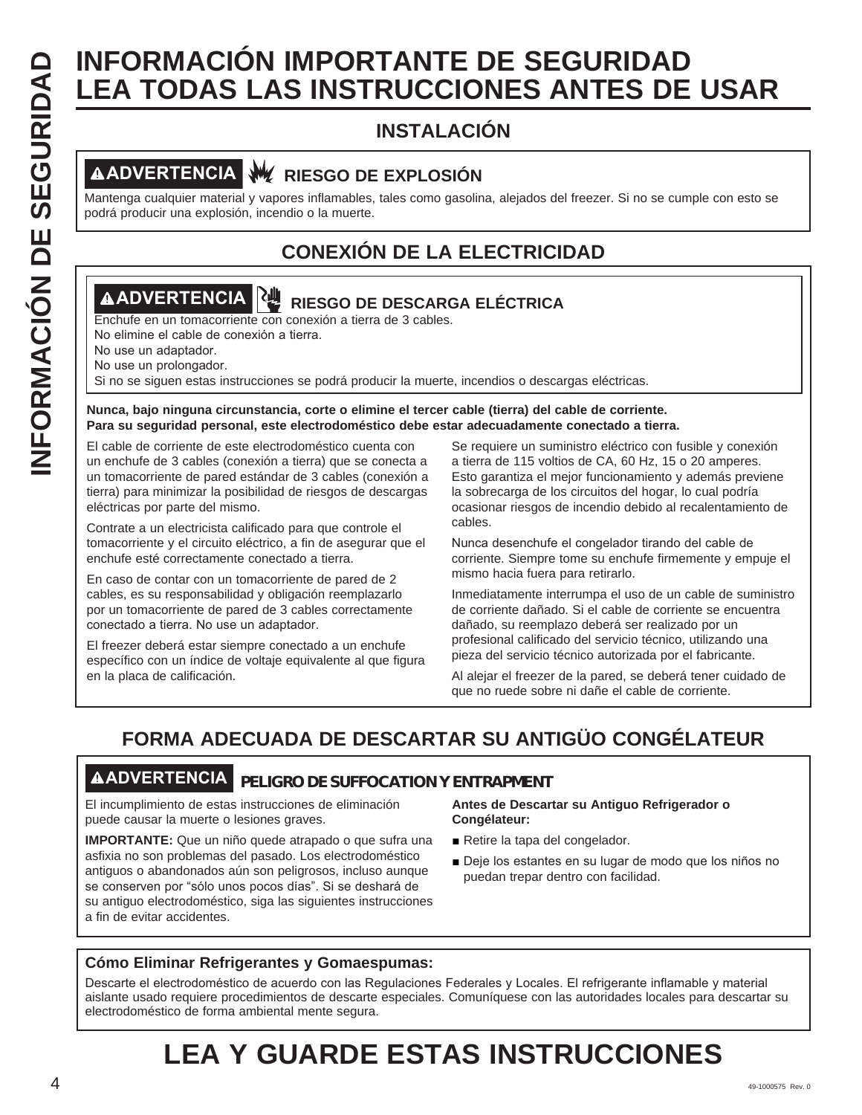# **INFORMACIÓN IMPORTANTE DE SEGURIDAD<br>
INSTALACIÓN<br>
<b>INSTALACIÓN**<br> **INSTALACIÓN**<br> **INSTALACIÓN**<br> **INSTALACIÓN**<br> **INSTALACIÓN**<br> **INSTALACIÓN**<br> **INSTALACIÓN**<br> **INSTALACIÓN**<br> **INSTALACIÓN**<br> **INSTALACIÓN**<br> **INSTALACIÓN**<br> **INSTA LEA TODAS LAS INSTRUCCIONES ANTES DE USAR**

# **INSTALACIÓN**

# **ADVERTENCIA RIESGO DE EXPLOSIÓN**

Mantenga cualquier material y vapores inflamables, tales como gasolina, alejados del freezer. Si no se cumple con esto se podrá producir una explosión, incendio o la muerte.

# **CONEXIÓN DE LA ELECTRICIDAD**

# **ADVERTENCIA RIESGO DE DESCARGA ELÉCTRICA**

Enchufe en un tomacorriente con conexión a tierra de 3 cables.

No elimine el cable de conexión a tierra.

No use un adaptador.

No use un prolongador.

Si no se siguen estas instrucciones se podrá producir la muerte, incendios o descargas eléctricas.

#### **Nunca, bajo ninguna circunstancia, corte o elimine el tercer cable (tierra) del cable de corriente. Para su seguridad personal, este electrodoméstico debe estar adecuadamente conectado a tierra.**

El cable de corriente de este electrodoméstico cuenta con un enchufe de 3 cables (conexión a tierra) que se conecta a un tomacorriente de pared estándar de 3 cables (conexión a tierra) para minimizar la posibilidad de riesgos de descargas eléctricas por parte del mismo.

Contrate a un electricista calificado para que controle el tomacorriente y el circuito eléctrico, a fin de asegurar que el enchufe esté correctamente conectado a tierra.

En caso de contar con un tomacorriente de pared de 2 cables, es su responsabilidad y obligación reemplazarlo por un tomacorriente de pared de 3 cables correctamente conectado a tierra. No use un adaptador.

El freezer deberá estar siempre conectado a un enchufe específico con un índice de voltaje equivalente al que figura en la placa de calificación.

Se requiere un suministro eléctrico con fusible y conexión a tierra de 115 voltios de CA, 60 Hz, 15 o 20 amperes. Esto garantiza el mejor funcionamiento y además previene la sobrecarga de los circuitos del hogar, lo cual podría ocasionar riesgos de incendio debido al recalentamiento de cables.

Nunca desenchufe el congelador tirando del cable de corriente. Siempre tome su enchufe firmemente y empuje el mismo hacia fuera para retirarlo.

Inmediatamente interrumpa el uso de un cable de suministro de corriente dañado. Si el cable de corriente se encuentra dañado, su reemplazo deberá ser realizado por un profesional calificado del servicio técnico, utilizando una pieza del servicio técnico autorizada por el fabricante.

Al alejar el freezer de la pared, se deberá tener cuidado de que no ruede sobre ni dañe el cable de corriente.

# **FORMA ADECUADA DE DESCARTAR SU ANTIGÜO CONGÉLATEUR**

# **ADVERTENCIA PELIGRO DE SUFFOCATION Y ENTRAPMENT**

El incumplimiento de estas instrucciones de eliminación puede causar la muerte o lesiones graves.

**IMPORTANTE:** Que un niño quede atrapado o que sufra una asfixia no son problemas del pasado. Los electrodoméstico antiguos o abandonados aún son peligrosos, incluso aunque se conserven por "sólo unos pocos días". Si se deshará de su antiguo electrodoméstico, siga las siguientes instrucciones a fin de evitar accidentes.

### **Antes de Descartar su Antiguo Refrigerador o Congélateur:**

- Retire la tapa del congelador.
- Deje los estantes en su lugar de modo que los niños no puedan trepar dentro con facilidad.

# **Cómo Eliminar Refrigerantes y Gomaespumas:**

Descarte el electrodoméstico de acuerdo con las Regulaciones Federales y Locales. El refrigerante inflamable y material aislante usado requiere procedimientos de descarte especiales. Comuníquese con las autoridades locales para descartar su electrodoméstico de forma ambiental mente segura.

# **LEA Y GUARDE ESTAS INSTRUCCIONES**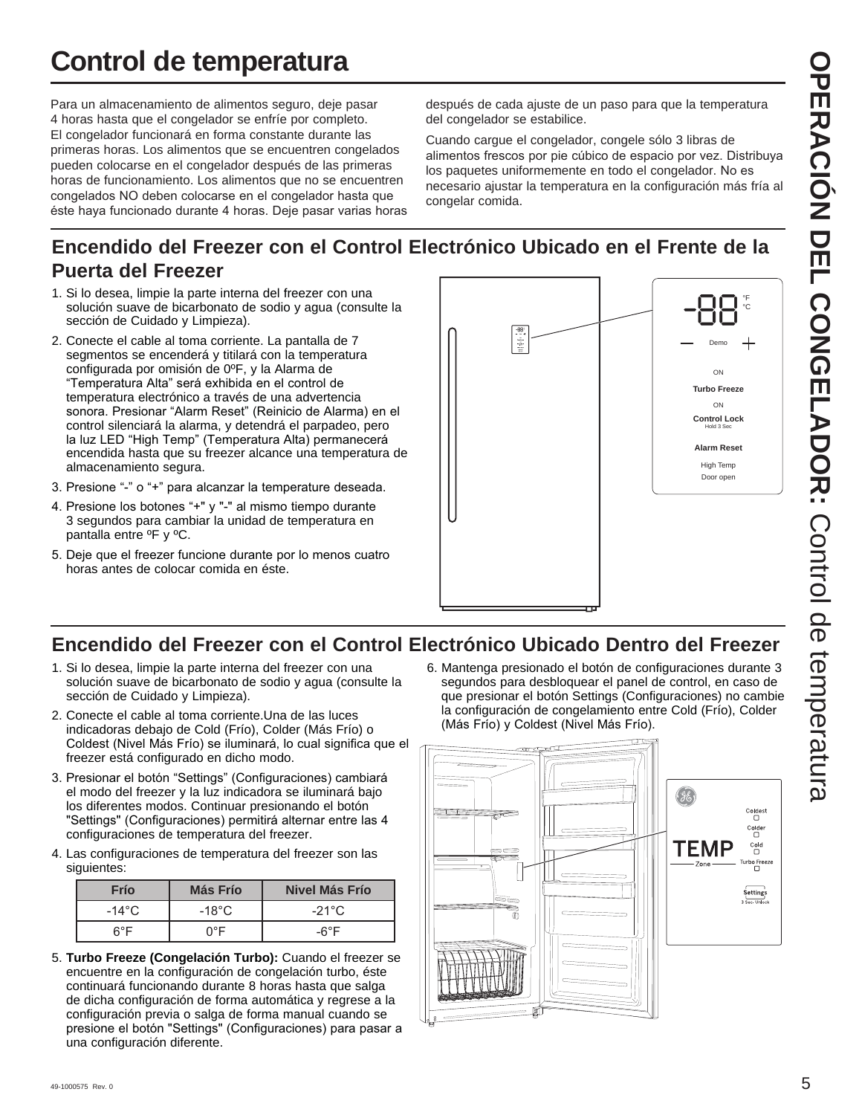# **Control de temperatura**

Para un almacenamiento de alimentos seguro, deje pasar 4 horas hasta que el congelador se enfríe por completo. El congelador funcionará en forma constante durante las primeras horas. Los alimentos que se encuentren congelados pueden colocarse en el congelador después de las primeras horas de funcionamiento. Los alimentos que no se encuentren congelados NO deben colocarse en el congelador hasta que éste haya funcionado durante 4 horas. Deje pasar varias horas después de cada ajuste de un paso para que la temperatura del congelador se estabilice.

Cuando cargue el congelador, congele sólo 3 libras de alimentos frescos por pie cúbico de espacio por vez. Distribuya los paquetes uniformemente en todo el congelador. No es necesario ajustar la temperatura en la configuración más fría al congelar comida.

# **Encendido del Freezer con el Control Electrónico Ubicado en el Frente de la Puerta del Freezer**

- 1. Si lo desea, limpie la parte interna del freezer con una solución suave de bicarbonato de sodio y agua (consulte la sección de Cuidado y Limpieza).
- 2. Conecte el cable al toma corriente. La pantalla de 7 segmentos se encenderá y titilará con la temperatura configurada por omisión de 0ºF, y la Alarma de "Temperatura Alta" será exhibida en el control de temperatura electrónico a través de una advertencia sonora. Presionar "Alarm Reset" (Reinicio de Alarma) en el control silenciará la alarma, y detendrá el parpadeo, pero la luz LED "High Temp" (Temperatura Alta) permanecerá encendida hasta que su freezer alcance una temperatura de almacenamiento segura.
- 3. Presione "-" o "+" para alcanzar la temperature deseada.
- 4. Presione los botones "+" y "-" al mismo tiempo durante 3 segundos para cambiar la unidad de temperatura en pantalla entre ºF y ºC.
- 5. Deje que el freezer funcione durante por lo menos cuatro horas antes de colocar comida en éste.



# **Encendido del Freezer con el Control Electrónico Ubicado Dentro del Freezer**

- 1. Si lo desea, limpie la parte interna del freezer con una solución suave de bicarbonato de sodio y agua (consulte la sección de Cuidado y Limpieza).
- 2. Conecte el cable al toma corriente.Una de las luces indicadoras debajo de Cold (Frío), Colder (Más Frío) o Coldest (Nivel Más Frío) se iluminará, lo cual significa que el freezer está configurado en dicho modo.
- 3. Presionar el botón "Settings" (Configuraciones) cambiará el modo del freezer y la luz indicadora se iluminará bajo los diferentes modos. Continuar presionando el botón "Settings" (Configuraciones) permitirá alternar entre las 4 configuraciones de temperatura del freezer.
- 4. Las configuraciones de temperatura del freezer son las siguientes:

| Frío          | Más Frío   | Nivel Más Frío  |
|---------------|------------|-----------------|
| -14°C $\cdot$ | -18°C $\,$ | $-21^{\circ}$ C |
| ନ°F           | ∩°F        | -6°F            |

5. **Turbo Freeze (Congelación Turbo):** Cuando el freezer se encuentre en la configuración de congelación turbo, éste continuará funcionando durante 8 horas hasta que salga de dicha configuración de forma automática y regrese a la configuración previa o salga de forma manual cuando se presione el botón "Settings" (Configuraciones) para pasar a una configuración diferente.

6. Mantenga presionado el botón de configuraciones durante 3 segundos para desbloquear el panel de control, en caso de que presionar el botón Settings (Configuraciones) no cambie la configuración de congelamiento entre Cold (Frío), Colder (Más Frío) y Coldest (Nivel Más Frío).

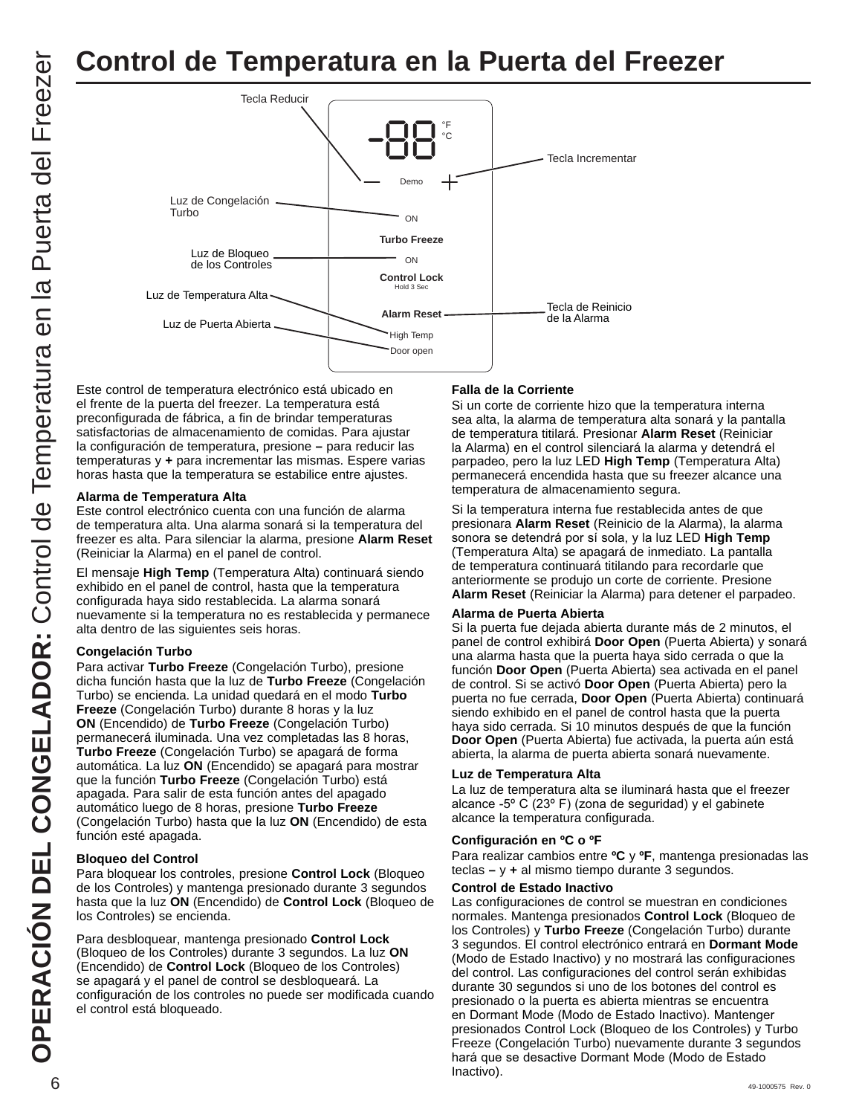# **Control de Temperatura en la Puerta del Freezer**



el frente de la puerta del freezer. La temperatura está preconfigurada de fábrica, a fin de brindar temperaturas satisfactorias de almacenamiento de comidas. Para ajustar la configuración de temperatura, presione **–** para reducir las temperaturas y **+** para incrementar las mismas. Espere varias horas hasta que la temperatura se estabilice entre ajustes.

#### **Alarma de Temperatura Alta**

Este control electrónico cuenta con una función de alarma de temperatura alta. Una alarma sonará si la temperatura del freezer es alta. Para silenciar la alarma, presione **Alarm Reset** (Reiniciar la Alarma) en el panel de control.

El mensaje **High Temp** (Temperatura Alta) continuará siendo exhibido en el panel de control, hasta que la temperatura configurada haya sido restablecida. La alarma sonará nuevamente si la temperatura no es restablecida y permanece alta dentro de las siguientes seis horas.

### **Congelación Turbo**

Para activar **Turbo Freeze** (Congelación Turbo), presione dicha función hasta que la luz de **Turbo Freeze** (Congelación Turbo) se encienda. La unidad quedará en el modo **Turbo Freeze** (Congelación Turbo) durante 8 horas y la luz **ON** (Encendido) de **Turbo Freeze** (Congelación Turbo) permanecerá iluminada. Una vez completadas las 8 horas, **Turbo Freeze** (Congelación Turbo) se apagará de forma automática. La luz **ON** (Encendido) se apagará para mostrar que la función **Turbo Freeze** (Congelación Turbo) está apagada. Para salir de esta función antes del apagado automático luego de 8 horas, presione **Turbo Freeze** (Congelación Turbo) hasta que la luz **ON** (Encendido) de esta función esté apagada.

#### **Bloqueo del Control**

Para bloquear los controles, presione **Control Lock** (Bloqueo de los Controles) y mantenga presionado durante 3 segundos hasta que la luz **ON** (Encendido) de **Control Lock** (Bloqueo de los Controles) se encienda.

Para desbloquear, mantenga presionado **Control Lock**  (Bloqueo de los Controles) durante 3 segundos. La luz **ON** (Encendido) de **Control Lock** (Bloqueo de los Controles) se apagará y el panel de control se desbloqueará. La configuración de los controles no puede ser modificada cuando el control está bloqueado.

#### **Falla de la Corriente**

Si un corte de corriente hizo que la temperatura interna sea alta, la alarma de temperatura alta sonará y la pantalla de temperatura titilará. Presionar **Alarm Reset** (Reiniciar la Alarma) en el control silenciará la alarma y detendrá el parpadeo, pero la luz LED High Temp (Temperatura Alta) permanecerá encendida hasta que su freezer alcance una temperatura de almacenamiento segura.

Si la temperatura interna fue restablecida antes de que presionara **Alarm Reset** (Reinicio de la Alarma), la alarma sonora se detendrá por sí sola, y la luz LED **High Temp** (Temperatura Alta) se apagará de inmediato. La pantalla de temperatura continuará titilando para recordarle que anteriormente se produjo un corte de corriente. Presione **Alarm Reset** (Reiniciar la Alarma) para detener el parpadeo.

#### **Alarma de Puerta Abierta**

Si la puerta fue dejada abierta durante más de 2 minutos, el panel de control exhibirá **Door Open** (Puerta Abierta) y sonará una alarma hasta que la puerta haya sido cerrada o que la función **Door Open** (Puerta Abierta) sea activada en el panel de control. Si se activó **Door Open** (Puerta Abierta) pero la puerta no fue cerrada, **Door Open** (Puerta Abierta) continuará siendo exhibido en el panel de control hasta que la puerta haya sido cerrada. Si 10 minutos después de que la función **Door Open** (Puerta Abierta) fue activada, la puerta aún está abierta, la alarma de puerta abierta sonará nuevamente.

#### **Luz de Temperatura Alta**

La luz de temperatura alta se iluminará hasta que el freezer alcance -5 $\degree$  C (23 $\degree$  F) (zona de seguridad) y el gabinete alcance la temperatura configurada.

#### **Configuración en ºC o ºF**

Para realizar cambios entre **ºC** y **ºF**, mantenga presionadas las teclas **–** y **+** al mismo tiempo durante 3 segundos.

#### **Control de Estado Inactivo**

 $\rm 6$  49-1000575 Rev. 0 Las configuraciones de control se muestran en condiciones normales. Mantenga presionados **Control Lock** (Bloqueo de los Controles) y **Turbo Freeze** (Congelación Turbo) durante 3 segundos. El control electrónico entrará en **Dormant Mode**  (Modo de Estado Inactivo) y no mostrará las configuraciones del control. Las configuraciones del control serán exhibidas durante 30 segundos si uno de los botones del control es presionado o la puerta es abierta mientras se encuentra en Dormant Mode (Modo de Estado Inactivo). Mantenger presionados Control Lock (Bloqueo de los Controles) y Turbo Freeze (Congelación Turbo) nuevamente durante 3 segundos hará que se desactive Dormant Mode (Modo de Estado Inactivo).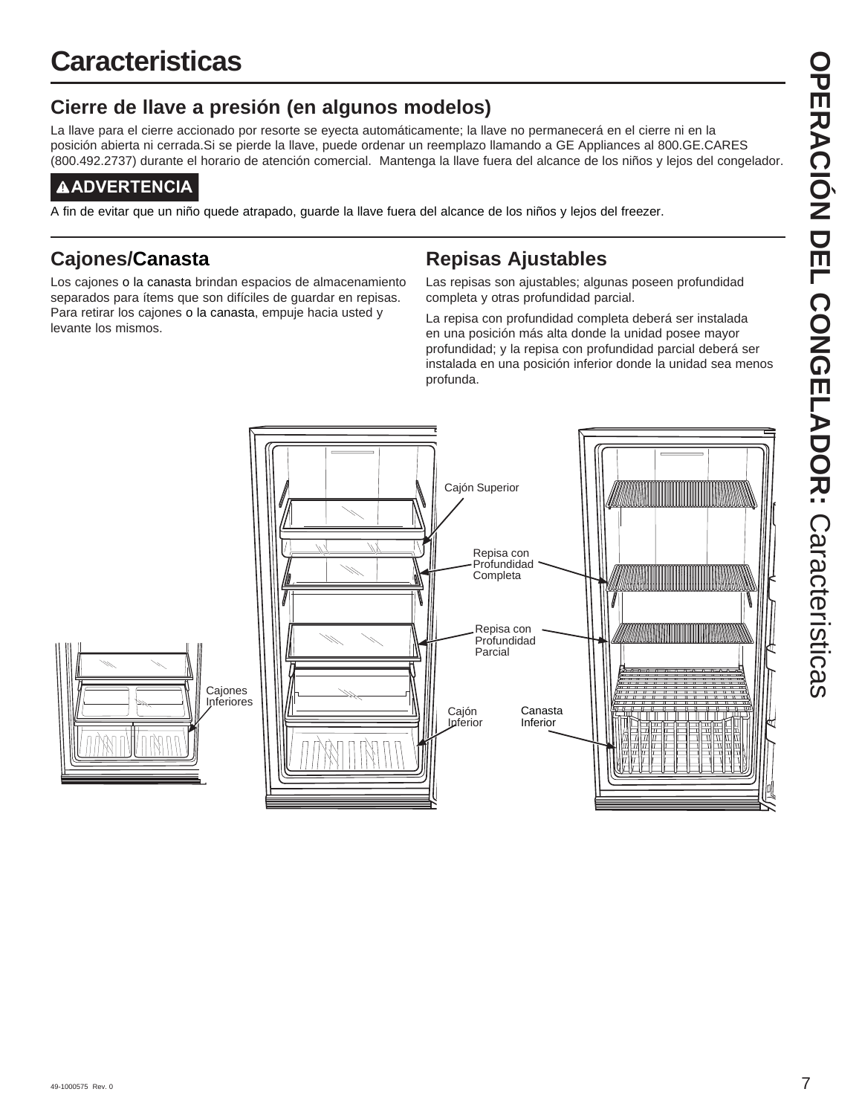# **Cierre de llave a presión (en algunos modelos)**

La llave para el cierre accionado por resorte se eyecta automáticamente; la llave no permanecerá en el cierre ni en la posición abierta ni cerrada.Si se pierde la llave, puede ordenar un reemplazo llamando a GE Appliances al 800.GE.CARES (800.492.2737) durante el horario de atención comercial. Mantenga la llave fuera del alcance de los niños y lejos del congelador.

# **ADVERTENCIA**

A fin de evitar que un niño quede atrapado, guarde la llave fuera del alcance de los niños y lejos del freezer.

# **Cajones/Canasta**

Los cajones o la canasta brindan espacios de almacenamiento separados para ítems que son difíciles de guardar en repisas. Para retirar los cajones o la canasta, empuje hacia usted y levante los mismos.

# **Repisas Ajustables**

Las repisas son ajustables; algunas poseen profundidad completa y otras profundidad parcial.

La repisa con profundidad completa deberá ser instalada en una posición más alta donde la unidad posee mayor profundidad; y la repisa con profundidad parcial deberá ser instalada en una posición inferior donde la unidad sea menos profunda.

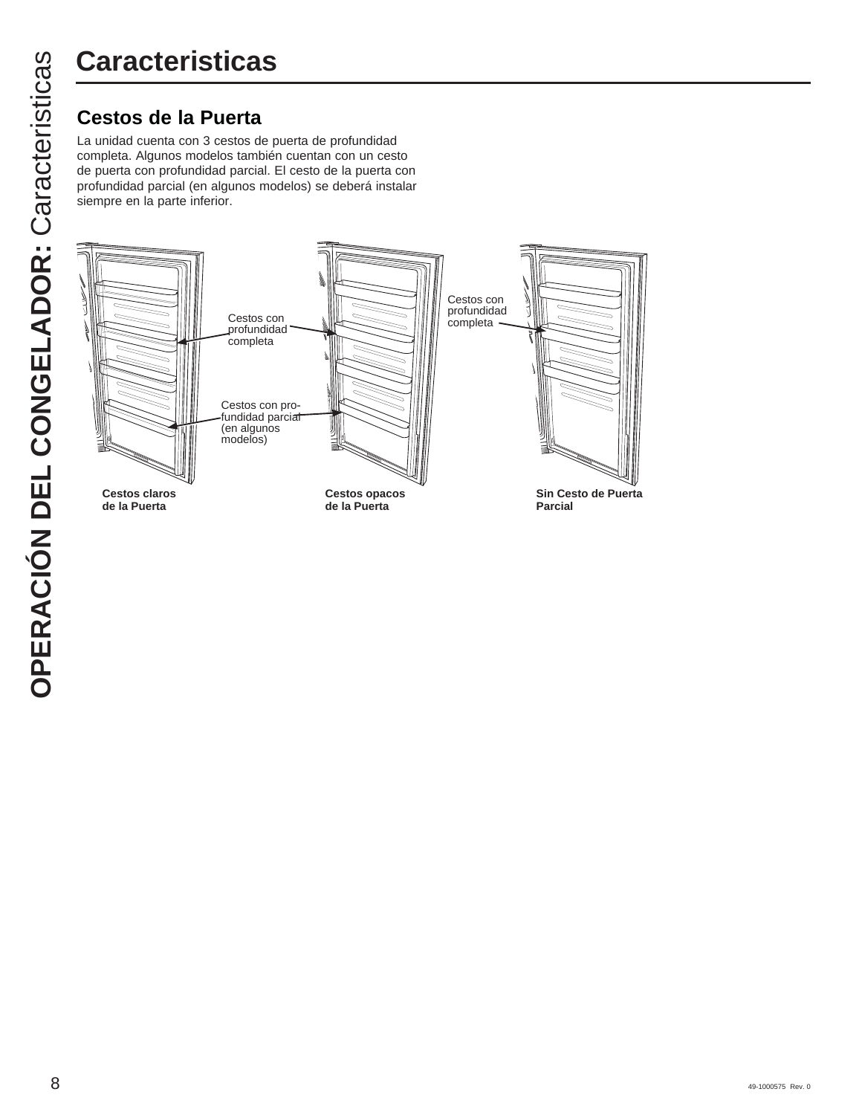La unidad cuenta con 3 cestos de puerta de profundidad completa. Algunos modelos también cuentan con un cesto de puerta con profundidad parcial. El cesto de la puerta con profundidad parcial (en algunos modelos) se deberá instalar siempre en la parte inferior.

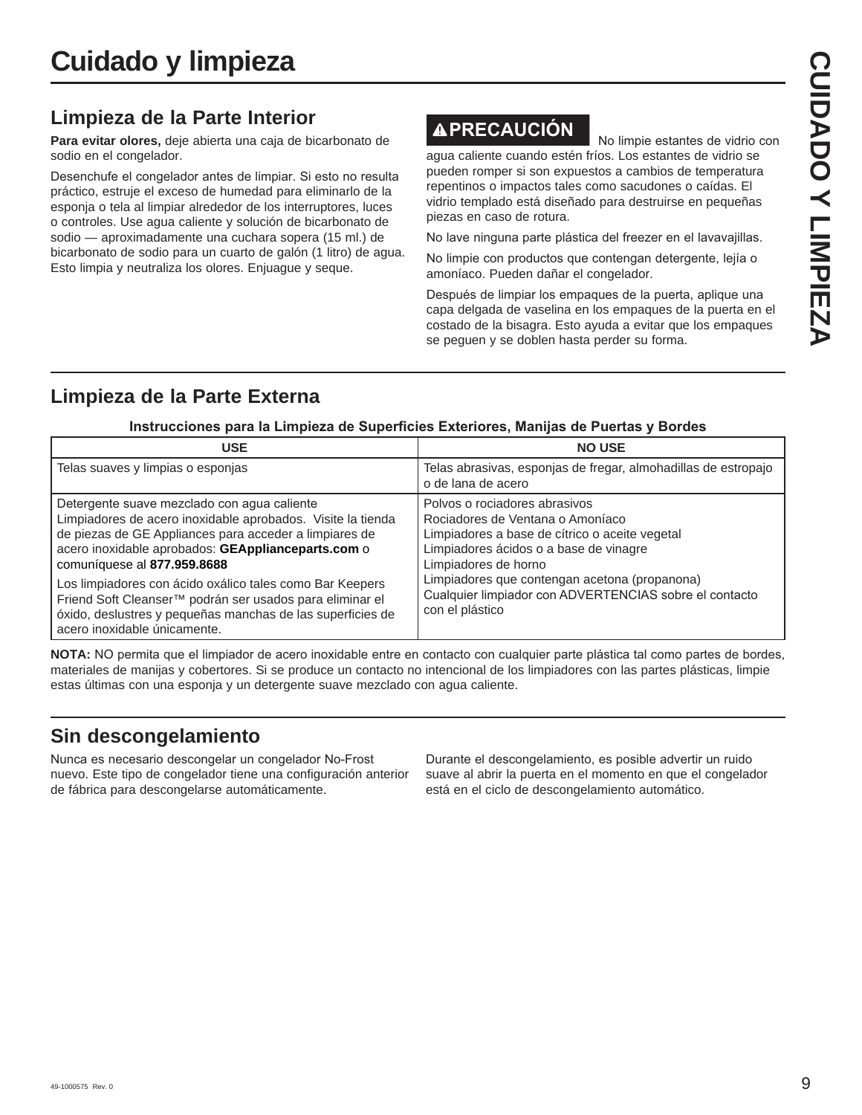# **Limpieza de la Parte Interior**

**Para evitar olores,** deje abierta una caja de bicarbonato de sodio en el congelador.

Desenchufe el congelador antes de limpiar. Si esto no resulta práctico, estruje el exceso de humedad para eliminarlo de la esponja o tela al limpiar alrededor de los interruptores, luces o controles. Use agua caliente y solución de bicarbonato de sodio — aproximadamente una cuchara sopera (15 ml.) de bicarbonato de sodio para un cuarto de galón (1 litro) de agua. Esto limpia y neutraliza los olores. Enjuague y seque.

# **APRECAUCIÓN** No limpie estantes de vidrio con

agua caliente cuando estén fríos. Los estantes de vidrio se pueden romper si son expuestos a cambios de temperatura repentinos o impactos tales como sacudones o caídas. El vidrio templado está diseñado para destruirse en pequeñas piezas en caso de rotura.

No lave ninguna parte plástica del freezer en el lavavajillas.

No limpie con productos que contengan detergente, lejía o amoníaco. Pueden dañar el congelador.

Después de limpiar los empaques de la puerta, aplique una capa delgada de vaselina en los empaques de la puerta en el costado de la bisagra. Esto ayuda a evitar que los empaques se peguen y se doblen hasta perder su forma.

# **Limpieza de la Parte Externa**

### Instrucciones para la Limpieza de Superficies Exteriores, Manijas de Puertas y Bordes

| <b>USE</b>                                                                                                                                                                                                                                                                                                                                                                                                                                                                      | <b>NO USE</b>                                                                                                                                                                                                                                                                                                       |
|---------------------------------------------------------------------------------------------------------------------------------------------------------------------------------------------------------------------------------------------------------------------------------------------------------------------------------------------------------------------------------------------------------------------------------------------------------------------------------|---------------------------------------------------------------------------------------------------------------------------------------------------------------------------------------------------------------------------------------------------------------------------------------------------------------------|
| Telas suaves y limpias o esponjas                                                                                                                                                                                                                                                                                                                                                                                                                                               | Telas abrasivas, esponjas de fregar, almohadillas de estropajo<br>o de lana de acero                                                                                                                                                                                                                                |
| Detergente suave mezclado con agua caliente<br>Limpiadores de acero inoxidable aprobados. Visite la tienda<br>de piezas de GE Appliances para acceder a limpiares de<br>acero inoxidable aprobados: GEApplianceparts.com o<br>comuníquese al 877.959.8688<br>Los limpiadores con ácido oxálico tales como Bar Keepers<br>Friend Soft Cleanser™ podrán ser usados para eliminar el<br>óxido, deslustres y pequeñas manchas de las superficies de<br>acero inoxidable únicamente. | Polvos o rociadores abrasivos<br>Rociadores de Ventana o Amoníaco<br>Limpiadores a base de cítrico o aceite vegetal<br>Limpiadores ácidos o a base de vinagre<br>Limpiadores de horno<br>Limpiadores que contengan acetona (propanona)<br>Cualquier limpiador con ADVERTENCIAS sobre el contacto<br>con el plástico |

**NOTA:** NO permita que el limpiador de acero inoxidable entre en contacto con cualquier parte plástica tal como partes de bordes, materiales de manijas y cobertores. Si se produce un contacto no intencional de los limpiadores con las partes plásticas, limpie estas últimas con una esponja y un detergente suave mezclado con agua caliente.

# **Sin descongelamiento**

Nunca es necesario descongelar un congelador No-Frost nuevo. Este tipo de congelador tiene una configuración anterior de fábrica para descongelarse automáticamente.

Durante el descongelamiento, es posible advertir un ruido suave al abrir la puerta en el momento en que el congelador está en el ciclo de descongelamiento automático.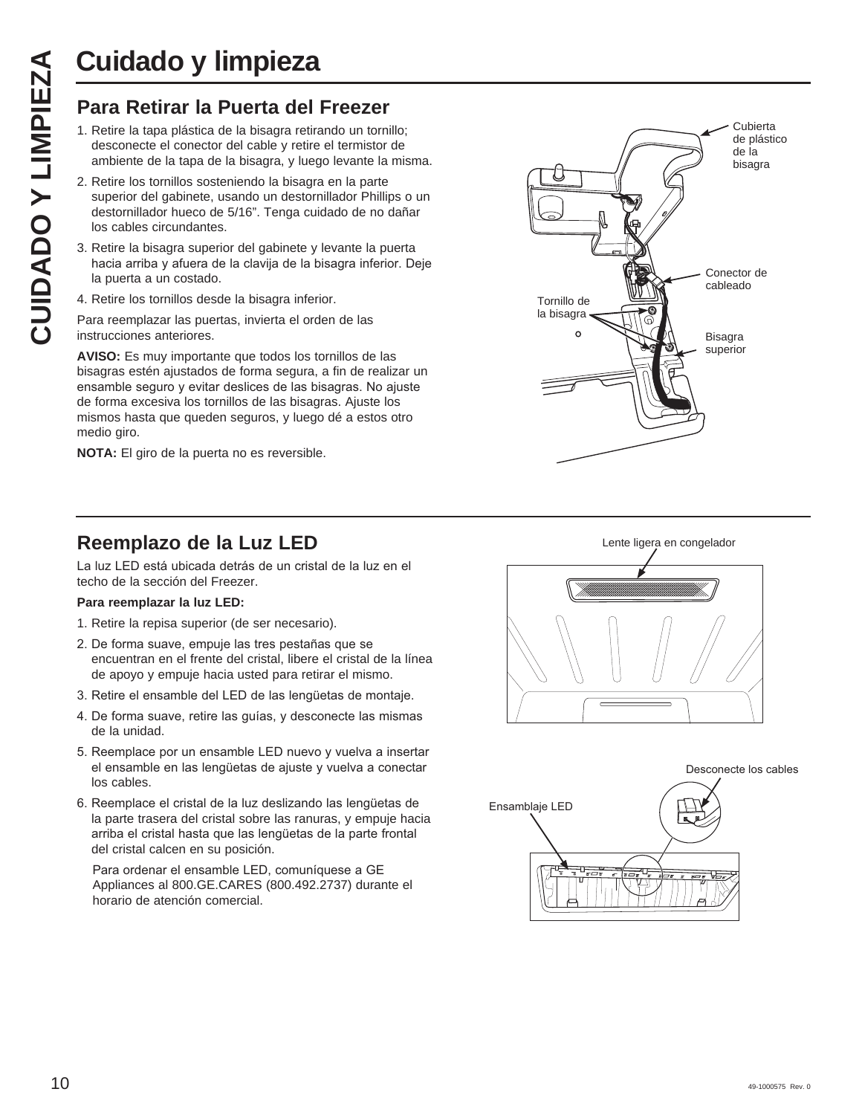# **Cuidado y limpieza**

- 1. Retire la tapa plástica de la bisagra retirando un tornillo; desconecte el conector del cable y retire el termistor de ambiente de la tapa de la bisagra, y luego levante la misma.
- **CUIDADO Y LIMPIEZA**<br> **Para Retirar la Puerta del Freezer**<br>
1. Retire la tapa plástica de la bisagra retirando un tornil desconecte el conector del cable y retire el termistor communicambiente de la tapa de la bisagra, y l 2. Retire los tornillos sosteniendo la bisagra en la parte superior del gabinete, usando un destornillador Phillips o un destornillador hueco de 5/16". Tenga cuidado de no dañar los cables circundantes.
	- 3. Retire la bisagra superior del gabinete y levante la puerta hacia arriba y afuera de la clavija de la bisagra inferior. Deje la puerta a un costado.
	- 4. Retire los tornillos desde la bisagra inferior.
	- Para reemplazar las puertas, invierta el orden de las instrucciones anteriores.

**AVISO:** Es muy importante que todos los tornillos de las bisagras estén ajustados de forma segura, a fin de realizar un ensamble seguro y evitar deslices de las bisagras. No ajuste de forma excesiva los tornillos de las bisagras. Ajuste los mismos hasta que queden seguros, y luego dé a estos otro medio giro.

**NOTA:** El giro de la puerta no es reversible.



# **Reemplazo de la Luz LED**

La luz LED está ubicada detrás de un cristal de la luz en el techo de la sección del Freezer.

## **Para reemplazar la luz LED:**

- 1. Retire la repisa superior (de ser necesario).
- 2. De forma suave, empuje las tres pestañas que se encuentran en el frente del cristal, libere el cristal de la línea de apoyo y empuje hacia usted para retirar el mismo.
- 3. Retire el ensamble del LED de las lengüetas de montaje.
- 4. De forma suave, retire las quías, y desconecte las mismas de la unidad.
- 5. Reemplace por un ensamble LED nuevo y vuelva a insertar el ensamble en las lengüetas de ajuste y vuelva a conectar los cables.
- 6. Reemplace el cristal de la luz deslizando las lengüetas de la parte trasera del cristal sobre las ranuras, y empuje hacia arriba el cristal hasta que las lengüetas de la parte frontal del cristal calcen en su posición.

Para ordenar el ensamble LED, comuníquese a GE Appliances al 800.GE.CARES (800.492.2737) durante el horario de atención comercial.



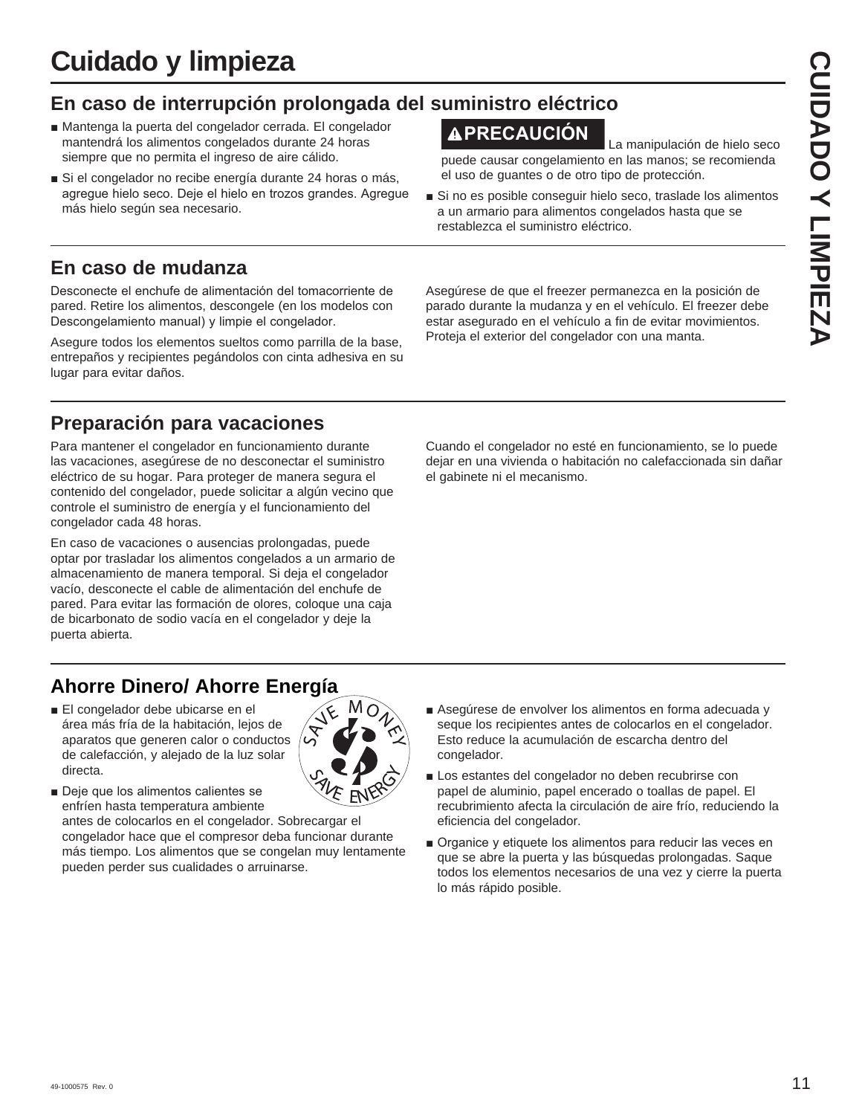# **Cuidado y limpieza**

# **En caso de interrupción prolongada del suministro eléctrico**

- Mantenga la puerta del congelador cerrada. El congelador mantendrá los alimentos congelados durante 24 horas siempre que no permita el ingreso de aire cálido.
- Si el congelador no recibe energía durante 24 horas o más, agregue hielo seco. Deje el hielo en trozos grandes. Agregue más hielo según sea necesario.

# **En caso de mudanza**

Desconecte el enchufe de alimentación del tomacorriente de pared. Retire los alimentos, descongele (en los modelos con Descongelamiento manual) y limpie el congelador.

Asegure todos los elementos sueltos como parrilla de la base, entrepaños y recipientes pegándolos con cinta adhesiva en su lugar para evitar daños.

# **Preparación para vacaciones**

Para mantener el congelador en funcionamiento durante las vacaciones, asegúrese de no desconectar el suministro eléctrico de su hogar. Para proteger de manera segura el contenido del congelador, puede solicitar a algún vecino que controle el suministro de energía y el funcionamiento del congelador cada 48 horas.

En caso de vacaciones o ausencias prolongadas, puede optar por trasladar los alimentos congelados a un armario de almacenamiento de manera temporal. Si deja el congelador vacío, desconecte el cable de alimentación del enchufe de pared. Para evitar las formación de olores, coloque una caja de bicarbonato de sodio vacía en el congelador y deje la puerta abierta.

# **Ahorre Dinero/ Ahorre Energía**

■ El congelador debe ubicarse en el área más fría de la habitación, lejos de aparatos que generen calor o conductos de calefacción, y alejado de la luz solar directa.



congelador hace que el compresor deba funcionar durante más tiempo. Los alimentos que se congelan muy lentamente pueden perder sus cualidades o arruinarse.

- - Asegúrese de envolver los alimentos en forma adecuada y seque los recipientes antes de colocarlos en el congelador. Esto reduce la acumulación de escarcha dentro del congelador.
	- Los estantes del congelador no deben recubrirse con papel de aluminio, papel encerado o toallas de papel. El recubrimiento afecta la circulación de aire frío, reduciendo la eficiencia del congelador.
	- $\blacksquare$  Organice y etiquete los alimentos para reducir las veces en que se abre la puerta y las búsquedas prolongadas. Saque todos los elementos necesarios de una vez y cierre la puerta lo más rápido posible.

Proteja el exterior del congelador con una manta.

Asegúrese de que el freezer permanezca en la posición de parado durante la mudanza y en el vehículo. El freezer debe estar asegurado en el vehículo a fin de evitar movimientos.

Cuando el congelador no esté en funcionamiento, se lo puede dejar en una vivienda o habitación no calefaccionada sin dañar el gabinete ni el mecanismo.

**PRECAUCIÓN** La manipulación de hielo seco

puede causar congelamiento en las manos; se recomienda el uso de guantes o de otro tipo de protección.

Si no es posible conseguir hielo seco, traslade los alimentos a un armario para alimentos congelados hasta que se restablezca el suministro eléctrico.

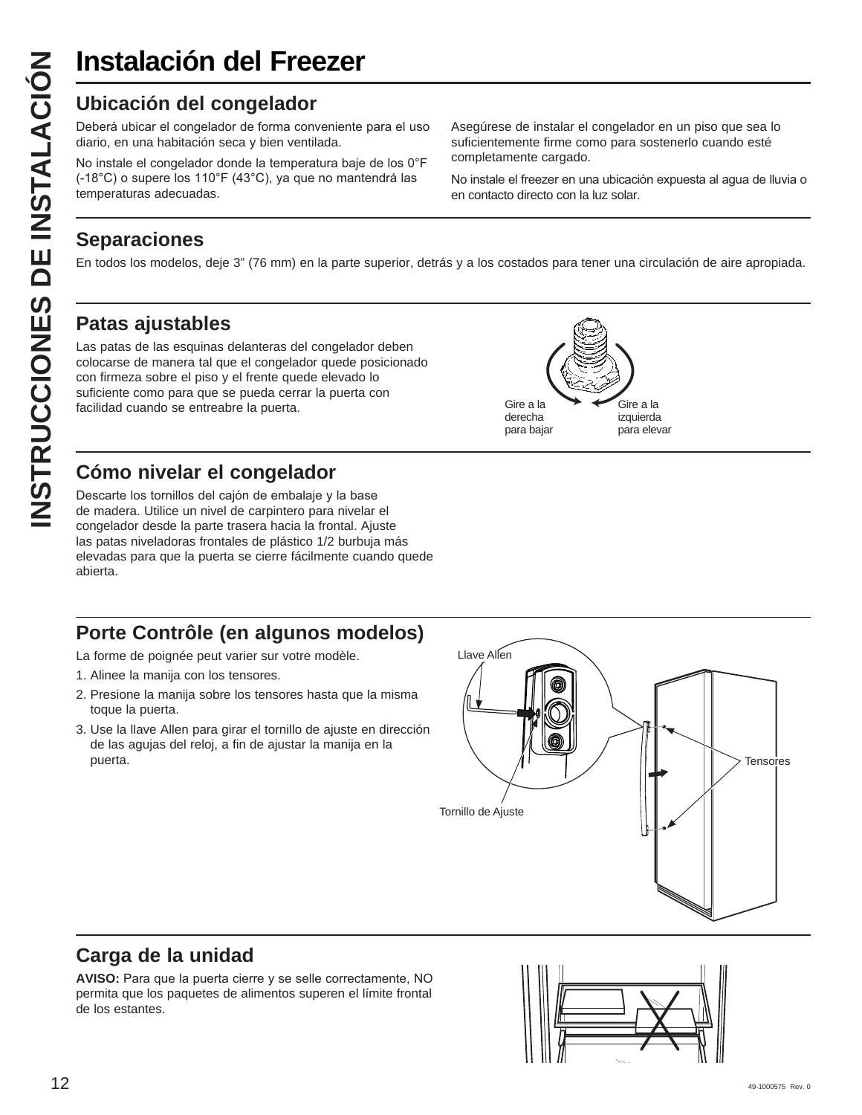Deberá ubicar el congelador de forma conveniente para el uso diario, en una habitación seca y bien ventilada.

No instale el congelador donde la temperatura baje de los 0°F (-18°C) o supere los 110°F (43°C), ya que no mantendrá las temperaturas adecuadas.

Asegúrese de instalar el congelador en un piso que sea lo suficientemente firme como para sostenerlo cuando esté completamente cargado.

No instale el freezer en una ubicación expuesta al agua de lluvia o en contacto directo con la luz solar.

# **Separaciones**

En todos los modelos, deje 3" (76 mm) en la parte superior, detrás y a los costados para tener una circulación de aire apropiada.

# **Patas ajustables**

**INSTRUCCION DEL FREE INSTRUCCION CONSTRUMENT CONSTRUMENT (-18°C) o supere los 10°F (43°C), ya que temperaturas adecuadas.**<br> **INSTRUCCION CONSTRUCCION CONSTRUMENT (-18°C)** o supere los 110°F (43°C), ya que temperaturas ade Las patas de las esquinas delanteras del congelador deben colocarse de manera tal que el congelador quede posicionado con firmeza sobre el piso y el frente quede elevado lo suficiente como para que se pueda cerrar la puerta con facilidad cuando se entreabre la puerta.



# **Cómo nivelar el congelador**

Descarte los tornillos del cajón de embalaje y la base de madera. Utilice un nivel de carpintero para nivelar el congelador desde la parte trasera hacia la frontal. Ajuste las patas niveladoras frontales de plástico 1/2 burbuja más elevadas para que la puerta se cierre fácilmente cuando quede abierta.

# **Porte Contrôle (en algunos modelos)**

La forme de poignée peut varier sur votre modèle.

- 1. Alinee la manija con los tensores.
- 2. Presione la manija sobre los tensores hasta que la misma toque la puerta.
- 3. Use la llave Allen para girar el tornillo de ajuste en dirección de las agujas del reloj, a fin de ajustar la manija en la



# **Carga de la unidad**

**AVISO:** Para que la puerta cierre y se selle correctamente, NO permita que los paquetes de alimentos superen el límite frontal de los estantes.

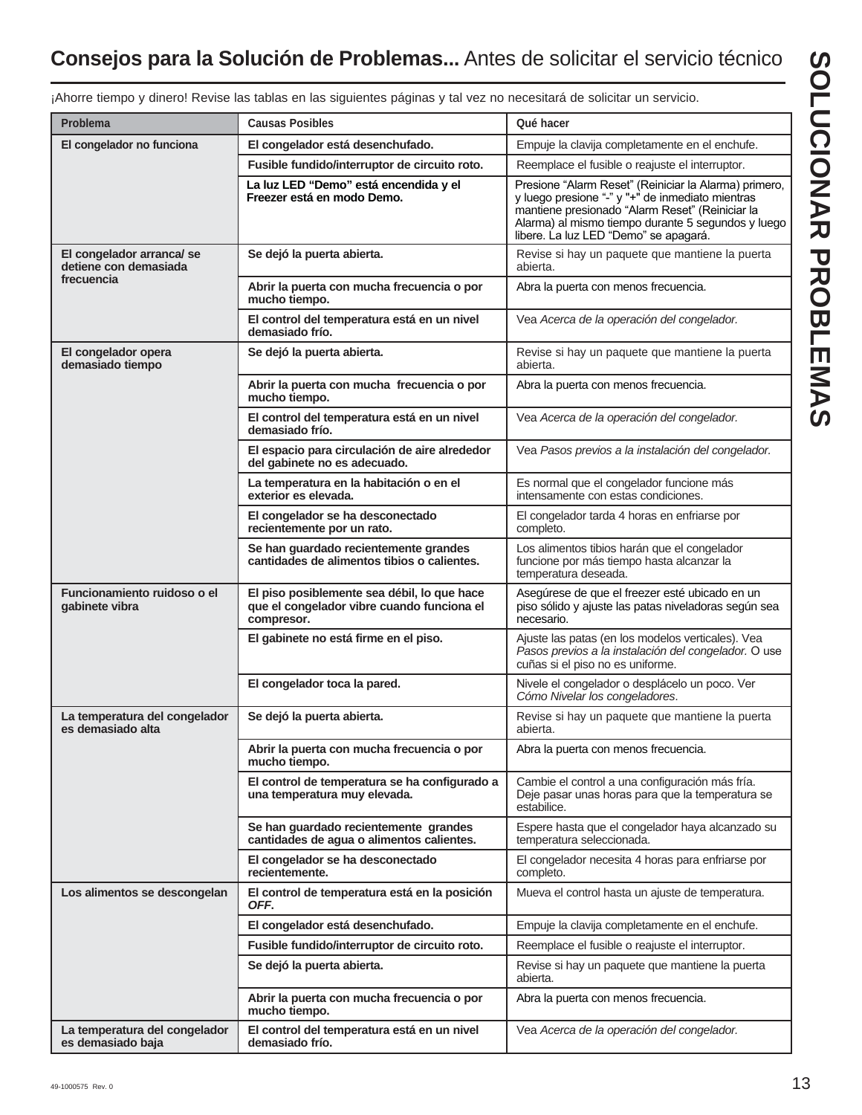# **Consejos para la Solución de Problemas...** Antes de solicitar el servicio técnico

|                                                    | amoro: Horioo ido tabido on ido oigaiontoo pagindo y tai roz no noooditara do oomottar an               |                                                                                                                                                                                                                                                             |
|----------------------------------------------------|---------------------------------------------------------------------------------------------------------|-------------------------------------------------------------------------------------------------------------------------------------------------------------------------------------------------------------------------------------------------------------|
| <b>Problema</b>                                    | <b>Causas Posibles</b>                                                                                  | Qué hacer                                                                                                                                                                                                                                                   |
| El congelador no funciona                          | El congelador está desenchufado.                                                                        | Empuje la clavija completamente en el enchufe.                                                                                                                                                                                                              |
|                                                    | Fusible fundido/interruptor de circuito roto.                                                           | Reemplace el fusible o reajuste el interruptor.                                                                                                                                                                                                             |
|                                                    | La luz LED "Demo" está encendida y el<br>Freezer está en modo Demo.                                     | Presione "Alarm Reset" (Reiniciar la Alarma) primero,<br>y luego presione "-" y "+" de inmediato mientras<br>mantiene presionado "Alarm Reset" (Reiniciar la<br>Alarma) al mismo tiempo durante 5 segundos y luego<br>libere. La luz LED "Demo" se apagará. |
| El congelador arranca/se<br>detiene con demasiada  | Se dejó la puerta abierta.                                                                              | Revise si hay un paquete que mantiene la puerta<br>abierta.                                                                                                                                                                                                 |
| frecuencia                                         | Abrir la puerta con mucha frecuencia o por<br>mucho tiempo.                                             | Abra la puerta con menos frecuencia.                                                                                                                                                                                                                        |
|                                                    | El control del temperatura está en un nivel<br>demasiado frío.                                          | Vea Acerca de la operación del congelador.                                                                                                                                                                                                                  |
| El congelador opera<br>demasiado tiempo            | Se dejó la puerta abierta.                                                                              | Revise si hay un paquete que mantiene la puerta<br>abierta.                                                                                                                                                                                                 |
|                                                    | Abrir la puerta con mucha frecuencia o por<br>mucho tiempo.                                             | Abra la puerta con menos frecuencia.                                                                                                                                                                                                                        |
|                                                    | El control del temperatura está en un nivel<br>demasiado frío.                                          | Vea Acerca de la operación del congelador.                                                                                                                                                                                                                  |
|                                                    | El espacio para circulación de aire alrededor<br>del gabinete no es adecuado.                           | Vea Pasos previos a la instalación del congelador.                                                                                                                                                                                                          |
|                                                    | La temperatura en la habitación o en el<br>exterior es elevada.                                         | Es normal que el congelador funcione más<br>intensamente con estas condiciones.                                                                                                                                                                             |
|                                                    | El congelador se ha desconectado<br>recientemente por un rato.                                          | El congelador tarda 4 horas en enfriarse por<br>completo.                                                                                                                                                                                                   |
|                                                    | Se han guardado recientemente grandes<br>cantidades de alimentos tibios o calientes.                    | Los alimentos tibios harán que el congelador<br>funcione por más tiempo hasta alcanzar la<br>temperatura deseada.                                                                                                                                           |
| Funcionamiento ruidoso o el<br>gabinete vibra      | El piso posiblemente sea débil, lo que hace<br>que el congelador vibre cuando funciona el<br>compresor. | Asegúrese de que el freezer esté ubicado en un<br>piso sólido y ajuste las patas niveladoras según sea<br>necesario.                                                                                                                                        |
|                                                    | El gabinete no está firme en el piso.                                                                   | Ajuste las patas (en los modelos verticales). Vea<br>Pasos previos a la instalación del congelador. O use<br>cuñas si el piso no es uniforme.                                                                                                               |
|                                                    | El congelador toca la pared.                                                                            | Nivele el congelador o desplácelo un poco. Ver<br>Cómo Nivelar los congeladores.                                                                                                                                                                            |
| La temperatura del congelador<br>es demasiado alta | Se dejó la puerta abierta.                                                                              | Revise si hay un paquete que mantiene la puerta<br>abierta.                                                                                                                                                                                                 |
|                                                    | Abrir la puerta con mucha frecuencia o por<br>mucho tiempo.                                             | Abra la puerta con menos frecuencia.                                                                                                                                                                                                                        |
|                                                    | El control de temperatura se ha configurado a<br>una temperatura muy elevada.                           | Cambie el control a una configuración más fría.<br>Deje pasar unas horas para que la temperatura se<br>estabilice.                                                                                                                                          |
|                                                    | Se han guardado recientemente grandes<br>cantidades de agua o alimentos calientes.                      | Espere hasta que el congelador haya alcanzado su<br>temperatura seleccionada.                                                                                                                                                                               |
|                                                    | El congelador se ha desconectado<br>recientemente.                                                      | El congelador necesita 4 horas para enfriarse por<br>completo.                                                                                                                                                                                              |
| Los alimentos se descongelan                       | El control de temperatura está en la posición<br>OFF.                                                   | Mueva el control hasta un ajuste de temperatura.                                                                                                                                                                                                            |
|                                                    | El congelador está desenchufado.                                                                        | Empuje la clavija completamente en el enchufe.                                                                                                                                                                                                              |
|                                                    | Fusible fundido/interruptor de circuito roto.                                                           | Reemplace el fusible o reajuste el interruptor.                                                                                                                                                                                                             |
|                                                    | Se dejó la puerta abierta.                                                                              | Revise si hay un paquete que mantiene la puerta<br>abierta.                                                                                                                                                                                                 |
|                                                    | Abrir la puerta con mucha frecuencia o por<br>mucho tiempo.                                             | Abra la puerta con menos frecuencia.                                                                                                                                                                                                                        |
| La temperatura del congelador<br>es demasiado baja | El control del temperatura está en un nivel<br>demasiado frío.                                          | Vea Acerca de la operación del congelador.                                                                                                                                                                                                                  |

¡Ahorre tiempo y dinero! Revise las tablas en las siguientes páginas y tal vez no necesitará de solicitar un servicio.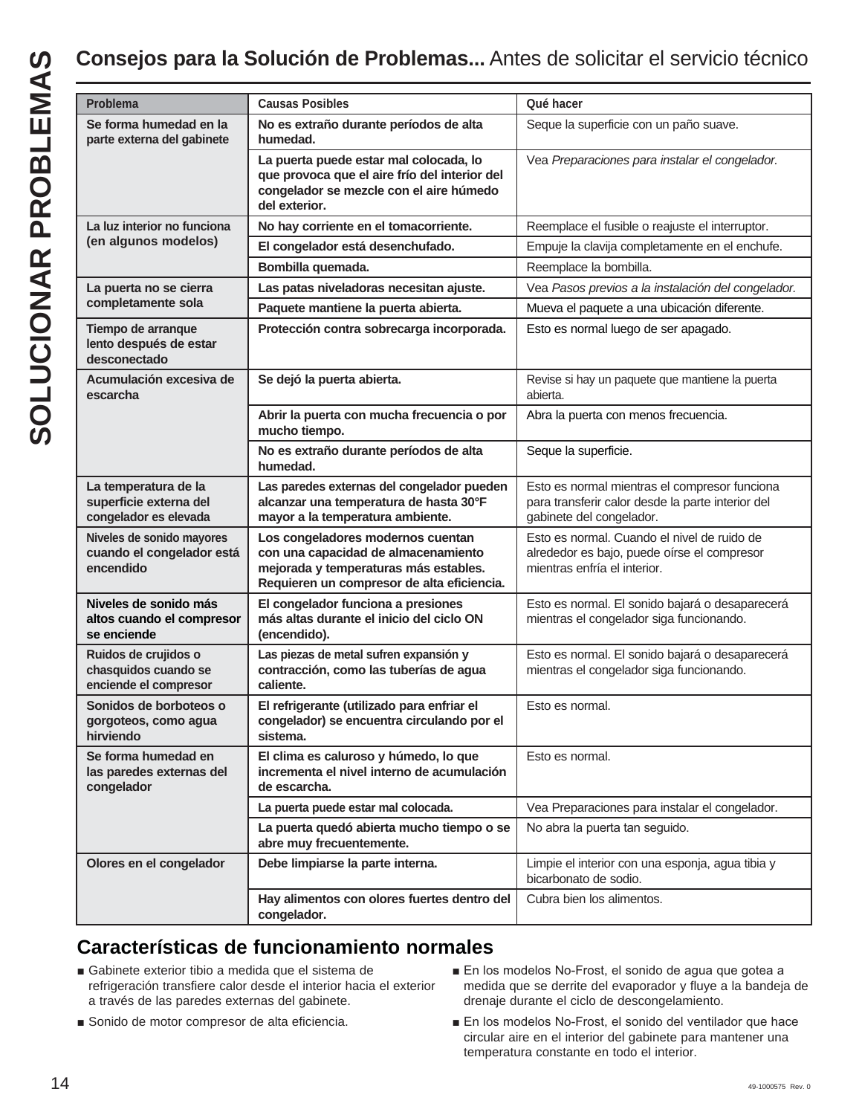| Se forma humedad en la<br>Seque la superficie con un paño suave.<br>No es extraño durante períodos de alta<br>parte externa del gabinete<br>humedad.<br>La puerta puede estar mal colocada, lo<br>que provoca que el aire frío del interior del<br>congelador se mezcle con el aire húmedo<br>del exterior.<br>La luz interior no funciona<br>No hay corriente en el tomacorriente.<br>(en algunos modelos)<br>El congelador está desenchufado.<br>Bombilla quemada.<br>Reemplace la bombilla.<br>Las patas niveladoras necesitan ajuste.<br>La puerta no se cierra<br>completamente sola<br>Paquete mantiene la puerta abierta.<br>Protección contra sobrecarga incorporada.<br>Tiempo de arranque<br>Esto es normal luego de ser apagado.<br>lento después de estar<br>desconectado<br>Acumulación excesiva de<br>Se dejó la puerta abierta.<br>escarcha<br>abierta.<br>Abrir la puerta con mucha frecuencia o por<br>Abra la puerta con menos frecuencia.<br>mucho tiempo.<br>No es extraño durante períodos de alta<br>Seque la superficie.<br>humedad.<br>Las paredes externas del congelador pueden<br>La temperatura de la<br>superficie externa del<br>alcanzar una temperatura de hasta 30°F<br>congelador es elevada<br>mayor a la temperatura ambiente.<br>gabinete del congelador.<br>Niveles de sonido mayores<br>Los congeladores modernos cuentan<br>cuando el congelador está<br>con una capacidad de almacenamiento<br>encendido<br>mejorada y temperaturas más estables.<br>mientras enfría el interior.<br>Requieren un compresor de alta eficiencia.<br>Niveles de sonido más<br>El congelador funciona a presiones<br>altos cuando el compresor<br>más altas durante el inicio del ciclo ON<br>mientras el congelador siga funcionando.<br>se enciende<br>(encendido).<br>Ruidos de crujidos o<br>Las piezas de metal sufren expansión y<br>contracción, como las tuberías de agua<br>chasquidos cuando se<br>mientras el congelador siga funcionando.<br>enciende el compresor<br>caliente.<br>Sonidos de borboteos o<br>El refrigerante (utilizado para enfriar el<br>Esto es normal.<br>congelador) se encuentra circulando por el<br>gorgoteos, como agua<br>hirviendo<br>sistema.<br>Se forma humedad en<br>El clima es caluroso y húmedo, lo que<br>Esto es normal.<br>incrementa el nivel interno de acumulación<br>las paredes externas del<br>congelador<br>de escarcha.<br>La puerta puede estar mal colocada.<br>La puerta quedó abierta mucho tiempo o se<br>No abra la puerta tan seguido.<br>abre muy frecuentemente.<br>Olores en el congelador<br>Debe limpiarse la parte interna.<br>bicarbonato de sodio.<br>Cubra bien los alimentos.<br>Hay alimentos con olores fuertes dentro del<br>congelador. | <b>Problema</b> | <b>Causas Posibles</b> | Qué hacer                                                                                          |
|---------------------------------------------------------------------------------------------------------------------------------------------------------------------------------------------------------------------------------------------------------------------------------------------------------------------------------------------------------------------------------------------------------------------------------------------------------------------------------------------------------------------------------------------------------------------------------------------------------------------------------------------------------------------------------------------------------------------------------------------------------------------------------------------------------------------------------------------------------------------------------------------------------------------------------------------------------------------------------------------------------------------------------------------------------------------------------------------------------------------------------------------------------------------------------------------------------------------------------------------------------------------------------------------------------------------------------------------------------------------------------------------------------------------------------------------------------------------------------------------------------------------------------------------------------------------------------------------------------------------------------------------------------------------------------------------------------------------------------------------------------------------------------------------------------------------------------------------------------------------------------------------------------------------------------------------------------------------------------------------------------------------------------------------------------------------------------------------------------------------------------------------------------------------------------------------------------------------------------------------------------------------------------------------------------------------------------------------------------------------------------------------------------------------------------------------------------------------------------------------------------------------------------------------------------------------------------------------------------------------------------------------------------------------------------------------------------------------------------------------|-----------------|------------------------|----------------------------------------------------------------------------------------------------|
|                                                                                                                                                                                                                                                                                                                                                                                                                                                                                                                                                                                                                                                                                                                                                                                                                                                                                                                                                                                                                                                                                                                                                                                                                                                                                                                                                                                                                                                                                                                                                                                                                                                                                                                                                                                                                                                                                                                                                                                                                                                                                                                                                                                                                                                                                                                                                                                                                                                                                                                                                                                                                                                                                                                                             |                 |                        |                                                                                                    |
|                                                                                                                                                                                                                                                                                                                                                                                                                                                                                                                                                                                                                                                                                                                                                                                                                                                                                                                                                                                                                                                                                                                                                                                                                                                                                                                                                                                                                                                                                                                                                                                                                                                                                                                                                                                                                                                                                                                                                                                                                                                                                                                                                                                                                                                                                                                                                                                                                                                                                                                                                                                                                                                                                                                                             |                 |                        | Vea Preparaciones para instalar el congelador.                                                     |
|                                                                                                                                                                                                                                                                                                                                                                                                                                                                                                                                                                                                                                                                                                                                                                                                                                                                                                                                                                                                                                                                                                                                                                                                                                                                                                                                                                                                                                                                                                                                                                                                                                                                                                                                                                                                                                                                                                                                                                                                                                                                                                                                                                                                                                                                                                                                                                                                                                                                                                                                                                                                                                                                                                                                             |                 |                        | Reemplace el fusible o reajuste el interruptor.                                                    |
|                                                                                                                                                                                                                                                                                                                                                                                                                                                                                                                                                                                                                                                                                                                                                                                                                                                                                                                                                                                                                                                                                                                                                                                                                                                                                                                                                                                                                                                                                                                                                                                                                                                                                                                                                                                                                                                                                                                                                                                                                                                                                                                                                                                                                                                                                                                                                                                                                                                                                                                                                                                                                                                                                                                                             |                 |                        | Empuje la clavija completamente en el enchufe.                                                     |
|                                                                                                                                                                                                                                                                                                                                                                                                                                                                                                                                                                                                                                                                                                                                                                                                                                                                                                                                                                                                                                                                                                                                                                                                                                                                                                                                                                                                                                                                                                                                                                                                                                                                                                                                                                                                                                                                                                                                                                                                                                                                                                                                                                                                                                                                                                                                                                                                                                                                                                                                                                                                                                                                                                                                             |                 |                        |                                                                                                    |
|                                                                                                                                                                                                                                                                                                                                                                                                                                                                                                                                                                                                                                                                                                                                                                                                                                                                                                                                                                                                                                                                                                                                                                                                                                                                                                                                                                                                                                                                                                                                                                                                                                                                                                                                                                                                                                                                                                                                                                                                                                                                                                                                                                                                                                                                                                                                                                                                                                                                                                                                                                                                                                                                                                                                             |                 |                        | Vea Pasos previos a la instalación del congelador.                                                 |
|                                                                                                                                                                                                                                                                                                                                                                                                                                                                                                                                                                                                                                                                                                                                                                                                                                                                                                                                                                                                                                                                                                                                                                                                                                                                                                                                                                                                                                                                                                                                                                                                                                                                                                                                                                                                                                                                                                                                                                                                                                                                                                                                                                                                                                                                                                                                                                                                                                                                                                                                                                                                                                                                                                                                             |                 |                        | Mueva el paquete a una ubicación diferente.                                                        |
|                                                                                                                                                                                                                                                                                                                                                                                                                                                                                                                                                                                                                                                                                                                                                                                                                                                                                                                                                                                                                                                                                                                                                                                                                                                                                                                                                                                                                                                                                                                                                                                                                                                                                                                                                                                                                                                                                                                                                                                                                                                                                                                                                                                                                                                                                                                                                                                                                                                                                                                                                                                                                                                                                                                                             |                 |                        |                                                                                                    |
|                                                                                                                                                                                                                                                                                                                                                                                                                                                                                                                                                                                                                                                                                                                                                                                                                                                                                                                                                                                                                                                                                                                                                                                                                                                                                                                                                                                                                                                                                                                                                                                                                                                                                                                                                                                                                                                                                                                                                                                                                                                                                                                                                                                                                                                                                                                                                                                                                                                                                                                                                                                                                                                                                                                                             |                 |                        | Revise si hay un paquete que mantiene la puerta                                                    |
|                                                                                                                                                                                                                                                                                                                                                                                                                                                                                                                                                                                                                                                                                                                                                                                                                                                                                                                                                                                                                                                                                                                                                                                                                                                                                                                                                                                                                                                                                                                                                                                                                                                                                                                                                                                                                                                                                                                                                                                                                                                                                                                                                                                                                                                                                                                                                                                                                                                                                                                                                                                                                                                                                                                                             |                 |                        |                                                                                                    |
|                                                                                                                                                                                                                                                                                                                                                                                                                                                                                                                                                                                                                                                                                                                                                                                                                                                                                                                                                                                                                                                                                                                                                                                                                                                                                                                                                                                                                                                                                                                                                                                                                                                                                                                                                                                                                                                                                                                                                                                                                                                                                                                                                                                                                                                                                                                                                                                                                                                                                                                                                                                                                                                                                                                                             |                 |                        |                                                                                                    |
|                                                                                                                                                                                                                                                                                                                                                                                                                                                                                                                                                                                                                                                                                                                                                                                                                                                                                                                                                                                                                                                                                                                                                                                                                                                                                                                                                                                                                                                                                                                                                                                                                                                                                                                                                                                                                                                                                                                                                                                                                                                                                                                                                                                                                                                                                                                                                                                                                                                                                                                                                                                                                                                                                                                                             |                 |                        | Esto es normal mientras el compresor funciona<br>para transferir calor desde la parte interior del |
|                                                                                                                                                                                                                                                                                                                                                                                                                                                                                                                                                                                                                                                                                                                                                                                                                                                                                                                                                                                                                                                                                                                                                                                                                                                                                                                                                                                                                                                                                                                                                                                                                                                                                                                                                                                                                                                                                                                                                                                                                                                                                                                                                                                                                                                                                                                                                                                                                                                                                                                                                                                                                                                                                                                                             |                 |                        | Esto es normal. Cuando el nivel de ruido de<br>alrededor es bajo, puede oírse el compresor         |
|                                                                                                                                                                                                                                                                                                                                                                                                                                                                                                                                                                                                                                                                                                                                                                                                                                                                                                                                                                                                                                                                                                                                                                                                                                                                                                                                                                                                                                                                                                                                                                                                                                                                                                                                                                                                                                                                                                                                                                                                                                                                                                                                                                                                                                                                                                                                                                                                                                                                                                                                                                                                                                                                                                                                             |                 |                        | Esto es normal. El sonido bajará o desaparecerá                                                    |
|                                                                                                                                                                                                                                                                                                                                                                                                                                                                                                                                                                                                                                                                                                                                                                                                                                                                                                                                                                                                                                                                                                                                                                                                                                                                                                                                                                                                                                                                                                                                                                                                                                                                                                                                                                                                                                                                                                                                                                                                                                                                                                                                                                                                                                                                                                                                                                                                                                                                                                                                                                                                                                                                                                                                             |                 |                        | Esto es normal. El sonido bajará o desaparecerá                                                    |
|                                                                                                                                                                                                                                                                                                                                                                                                                                                                                                                                                                                                                                                                                                                                                                                                                                                                                                                                                                                                                                                                                                                                                                                                                                                                                                                                                                                                                                                                                                                                                                                                                                                                                                                                                                                                                                                                                                                                                                                                                                                                                                                                                                                                                                                                                                                                                                                                                                                                                                                                                                                                                                                                                                                                             |                 |                        |                                                                                                    |
|                                                                                                                                                                                                                                                                                                                                                                                                                                                                                                                                                                                                                                                                                                                                                                                                                                                                                                                                                                                                                                                                                                                                                                                                                                                                                                                                                                                                                                                                                                                                                                                                                                                                                                                                                                                                                                                                                                                                                                                                                                                                                                                                                                                                                                                                                                                                                                                                                                                                                                                                                                                                                                                                                                                                             |                 |                        |                                                                                                    |
|                                                                                                                                                                                                                                                                                                                                                                                                                                                                                                                                                                                                                                                                                                                                                                                                                                                                                                                                                                                                                                                                                                                                                                                                                                                                                                                                                                                                                                                                                                                                                                                                                                                                                                                                                                                                                                                                                                                                                                                                                                                                                                                                                                                                                                                                                                                                                                                                                                                                                                                                                                                                                                                                                                                                             |                 |                        | Vea Preparaciones para instalar el congelador.                                                     |
|                                                                                                                                                                                                                                                                                                                                                                                                                                                                                                                                                                                                                                                                                                                                                                                                                                                                                                                                                                                                                                                                                                                                                                                                                                                                                                                                                                                                                                                                                                                                                                                                                                                                                                                                                                                                                                                                                                                                                                                                                                                                                                                                                                                                                                                                                                                                                                                                                                                                                                                                                                                                                                                                                                                                             |                 |                        |                                                                                                    |
|                                                                                                                                                                                                                                                                                                                                                                                                                                                                                                                                                                                                                                                                                                                                                                                                                                                                                                                                                                                                                                                                                                                                                                                                                                                                                                                                                                                                                                                                                                                                                                                                                                                                                                                                                                                                                                                                                                                                                                                                                                                                                                                                                                                                                                                                                                                                                                                                                                                                                                                                                                                                                                                                                                                                             |                 |                        | Limpie el interior con una esponja, agua tibia y                                                   |
|                                                                                                                                                                                                                                                                                                                                                                                                                                                                                                                                                                                                                                                                                                                                                                                                                                                                                                                                                                                                                                                                                                                                                                                                                                                                                                                                                                                                                                                                                                                                                                                                                                                                                                                                                                                                                                                                                                                                                                                                                                                                                                                                                                                                                                                                                                                                                                                                                                                                                                                                                                                                                                                                                                                                             |                 |                        |                                                                                                    |

# **Características de funcionamiento normales**

- Gabinete exterior tibio a medida que el sistema de refrigeración transfiere calor desde el interior hacia el exterior a través de las paredes externas del gabinete.
- Sonido de motor compresor de alta eficiencia.
- En los modelos No-Frost, el sonido de aqua que gotea a medida que se derrite del evaporador y fluye a la bandeja de drenaje durante el ciclo de descongelamiento.
- En los modelos No-Frost, el sonido del ventilador que hace circular aire en el interior del gabinete para mantener una temperatura constante en todo el interior.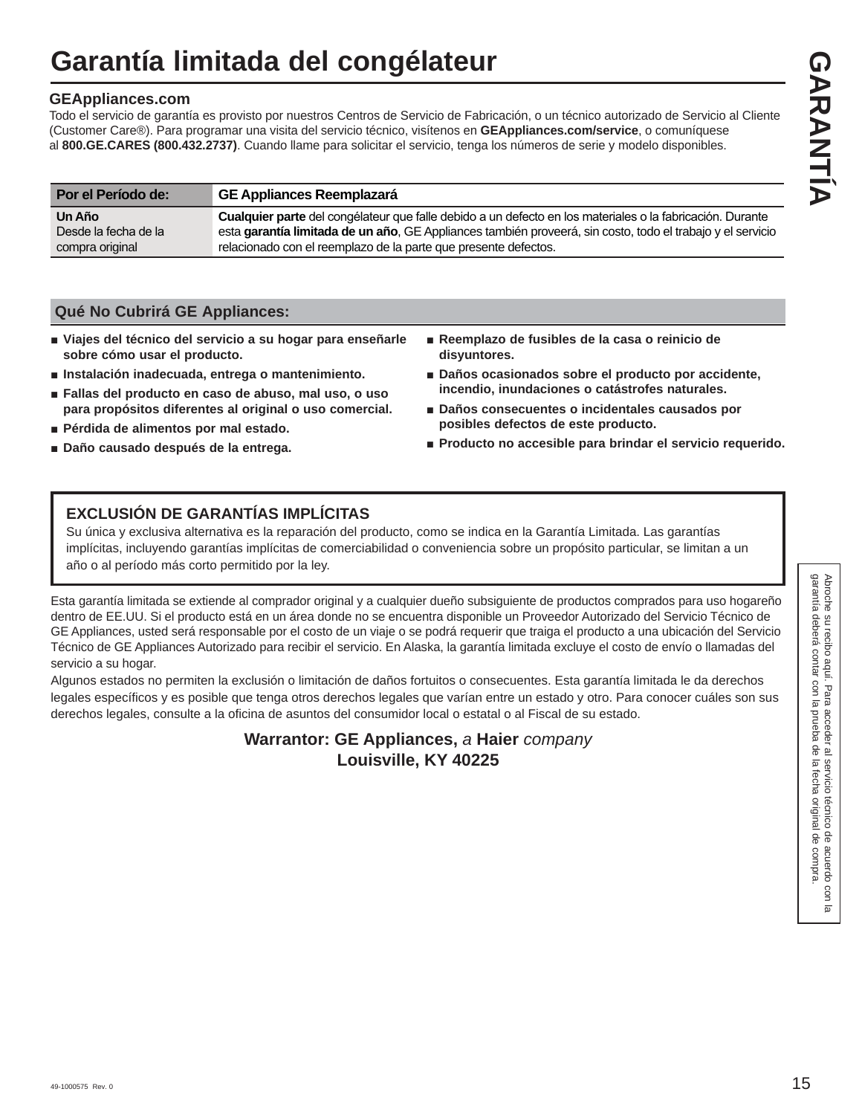# **Garantía limitada del congélateur**

# **GEAppliances.com**

Todo el servicio de garantía es provisto por nuestros Centros de Servicio de Fabricación, o un técnico autorizado de Servicio al Cliente (Customer Care®). Para programar una visita del servicio técnico, visítenos en **GEAppliances.com/service**, o comuníquese al **800.GE.CARES (800.432.2737)**. Cuando llame para solicitar el servicio, tenga los números de serie y modelo disponibles.

| Por el Período de:             | <b>GE Appliances Reemplazará</b>                                                                                                                                                                                        |
|--------------------------------|-------------------------------------------------------------------------------------------------------------------------------------------------------------------------------------------------------------------------|
| Un Año<br>Desde la fecha de la | Cualquier parte del congélateur que falle debido a un defecto en los materiales o la fabricación. Durante<br>esta garantía limitada de un año, GE Appliances también proveerá, sin costo, todo el trabajo y el servicio |
| compra original                | relacionado con el reemplazo de la parte que presente defectos.                                                                                                                                                         |

# **Qué No Cubrirá GE Appliances:**

- **Ŷ Viajes del técnico del servicio a su hogar para enseñarle sobre cómo usar el producto.**
- Instalación inadecuada, entrega o mantenimiento.
- Fallas del producto en caso de abuso, mal uso, o uso **para propósitos diferentes al original o uso comercial.**
- $\blacksquare$  Pérdida de alimentos por mal estado.
- **Ŷ Daño causado después de la entrega.**
- **Ŷ Reemplazo de fusibles de la casa o reinicio de disyuntores.**
- **Ŷ Daños ocasionados sobre el producto por accidente, incendio, inundaciones o catástrofes naturales.**
- Daños consecuentes o incidentales causados por **posibles defectos de este producto.**
- Producto no accesible para brindar el servicio requerido.

# **EXCLUSIÓN DE GARANTÍAS IMPLÍCITAS**

Su única y exclusiva alternativa es la reparación del producto, como se indica en la Garantía Limitada. Las garantías implícitas, incluyendo garantías implícitas de comerciabilidad o conveniencia sobre un propósito particular, se limitan a un año o al período más corto permitido por la ley.

Esta garantía limitada se extiende al comprador original y a cualquier dueño subsiguiente de productos comprados para uso hogareño dentro de EE.UU. Si el producto está en un área donde no se encuentra disponible un Proveedor Autorizado del Servicio Técnico de GE Appliances, usted será responsable por el costo de un viaje o se podrá requerir que traiga el producto a una ubicación del Servicio Técnico de GE Appliances Autorizado para recibir el servicio. En Alaska, la garantía limitada excluye el costo de envío o llamadas del servicio a su hogar.

Algunos estados no permiten la exclusión o limitación de daños fortuitos o consecuentes. Esta garantía limitada le da derechos legales específicos y es posible que tenga otros derechos legales que varían entre un estado y otro. Para conocer cuáles son sus derechos legales, consulte a la oficina de asuntos del consumidor local o estatal o al Fiscal de su estado.

> **Warrantor: GE Appliances,** *a* **Haier** *company*  **Louisville, KY 40225**